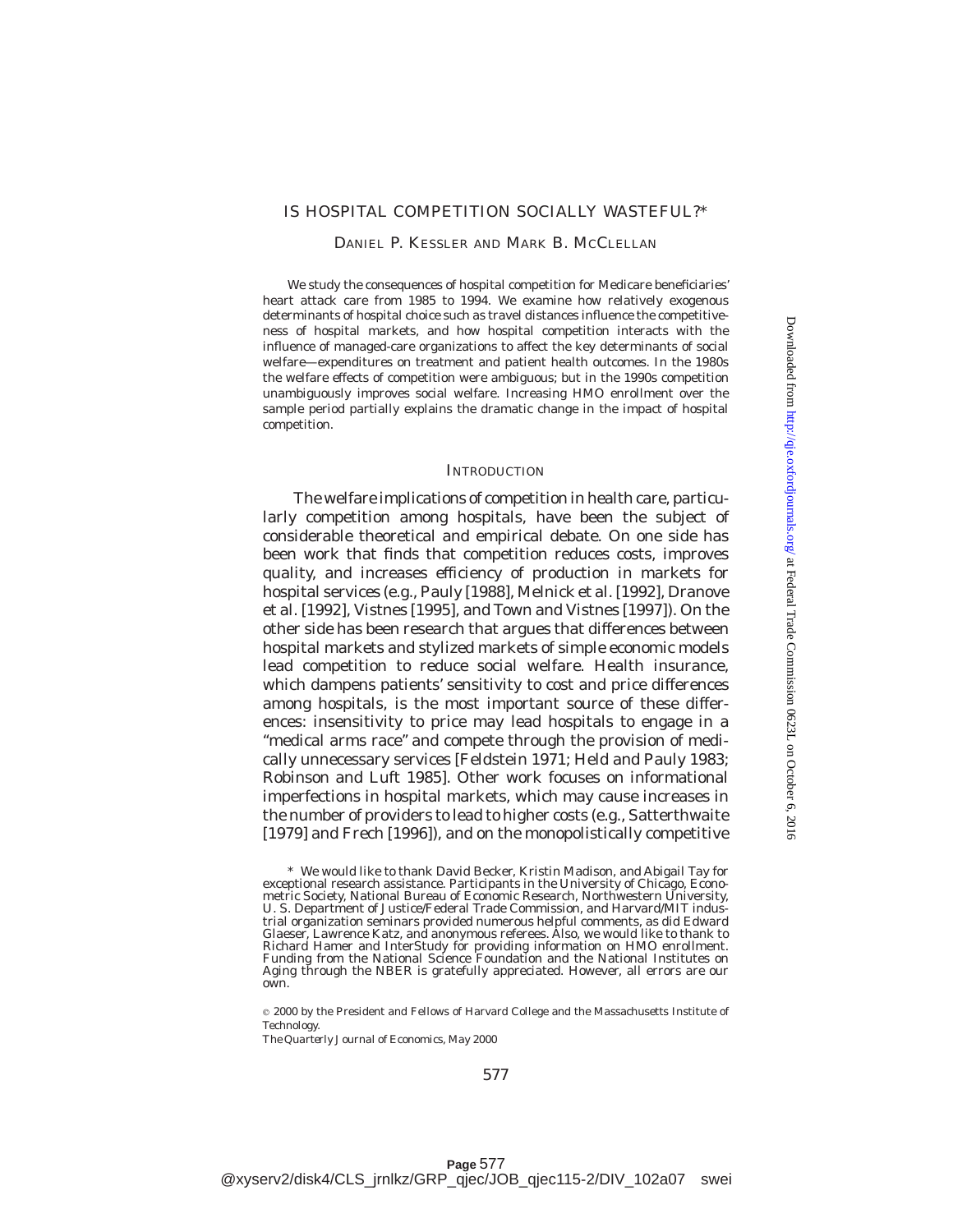#### IS HOSPITAL COMPETITION SOCIALLY WASTEFUL?\*

DANIEL P. KESSLER AND MARK B. MCCLELLAN

We study the consequences of hospital competition for Medicare beneficiaries' heart attack care from 1985 to 1994. We examine how relatively exogenous determinants of hospital choice such as travel distances influence the competitiveness of hospital markets, and how hospital competition interacts with the influence of managed-care organizations to affect the key determinants of social welfare—expenditures on treatment and patient health outcomes. In the 1980s the welfare effects of competition were ambiguous; but in the 1990s competition unambiguously improves social welfare. Increasing HMO enrollment over the sample period partially explains the dramatic change in the impact of hospital competition.

#### **INTRODUCTION**

The welfare implications of competition in health care, particularly competition among hospitals, have been the subject of considerable theoretical and empirical debate. On one side has been work that finds that competition reduces costs, improves quality, and increases efficiency of production in markets for hospital services (e.g., Pauly [1988], Melnick et al. [1992], Dranove et al. [1992], Vistnes [1995], and Town and Vistnes [1997]). On the other side has been research that argues that differences between hospital markets and stylized markets of simple economic models lead competition to reduce social welfare. Health insurance, which dampens patients' sensitivity to cost and price differences among hospitals, is the most important source of these differences: insensitivity to price may lead hospitals to engage in a "medical arms race" and compete through the provision of medically unnecessary services [Feldstein 1971; Held and Pauly 1983; Robinson and Luft 1985]. Other work focuses on informational imperfections in hospital markets, which may cause increases in the number of providers to lead to higher costs (e.g., Satterthwaite [1979] and Frech [1996]), and on the monopolistically competitive

*The Quarterly Journal of Economics,* May 2000

<sup>\*</sup> We would like to thank David Becker, Kristin Madison, and Abigail Tay for exceptional research assistance. Participants in the University of Chicago, Econometric Society, National Bureau of Economic Research, Northwestern University, U. S. Department of Justice/Federal Trade Commission, and Harvard/MIT industrial organization seminars provided numerous helpful comments, as did Edward Glaeser, Lawrence Katz, and anonymous referees. Also, we would like to thank to Richard Hamer and InterStudy for providing information on HMO enrollment. Funding from the National Science Foundation and the National Institutes on Aging through the NBER is gratefully appreciated. However, all errors are our own.

 $\odot$  2000 by the President and Fellows of Harvard College and the Massachusetts Institute of Technology.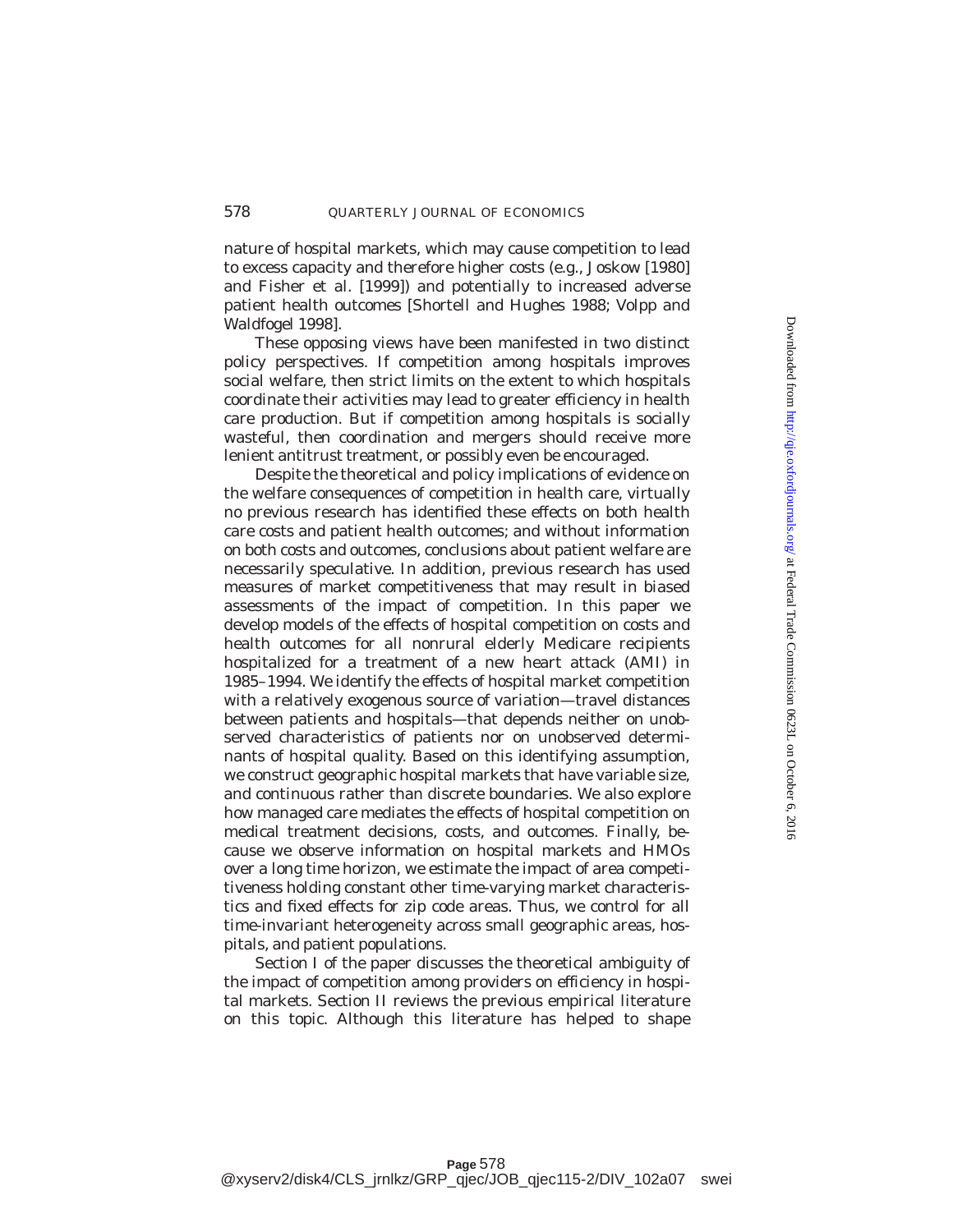nature of hospital markets, which may cause competition to lead to excess capacity and therefore higher costs (e.g., Joskow [1980] and Fisher et al. [1999]) and potentially to increased adverse patient health outcomes [Shortell and Hughes 1988; Volpp and Waldfogel 1998].

These opposing views have been manifested in two distinct policy perspectives. If competition among hospitals improves social welfare, then strict limits on the extent to which hospitals coordinate their activities may lead to greater efficiency in health care production. But if competition among hospitals is socially wasteful, then coordination and mergers should receive more lenient antitrust treatment, or possibly even be encouraged.

Despite the theoretical and policy implications of evidence on the welfare consequences of competition in health care, virtually no previous research has identified these effects on both health care costs and patient health outcomes; and without information on both costs and outcomes, conclusions about patient welfare are necessarily speculative. In addition, previous research has used measures of market competitiveness that may result in biased assessments of the impact of competition. In this paper we develop models of the effects of hospital competition on costs and health outcomes for all nonrural elderly Medicare recipients hospitalized for a treatment of a new heart attack (AMI) in 1985–1994. We identify the effects of hospital market competition with a relatively exogenous source of variation—travel distances between patients and hospitals—that depends neither on unobserved characteristics of patients nor on unobserved determinants of hospital quality. Based on this identifying assumption, we construct geographic hospital markets that have variable size, and continuous rather than discrete boundaries. We also explore how managed care mediates the effects of hospital competition on medical treatment decisions, costs, and outcomes. Finally, because we observe information on hospital markets and HMOs over a long time horizon, we estimate the impact of area competitiveness holding constant other time-varying market characteristics and fixed effects for zip code areas. Thus, we control for all time-invariant heterogeneity across small geographic areas, hospitals, and patient populations.

Section I of the paper discusses the theoretical ambiguity of the impact of competition among providers on efficiency in hospital markets. Section II reviews the previous empirical literature on this topic. Although this literature has helped to shape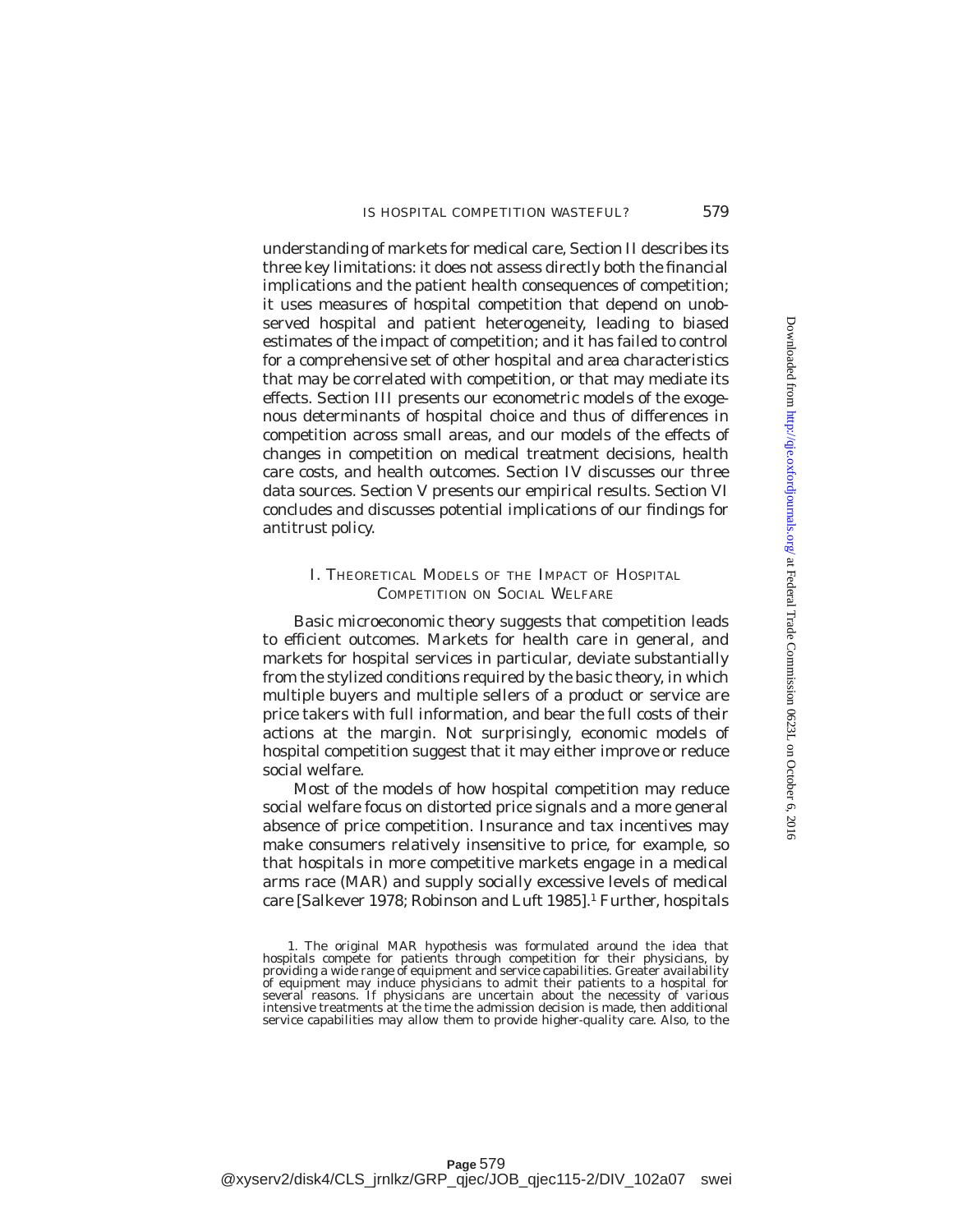understanding of markets for medical care, Section II describes its three key limitations: it does not assess directly both the financial implications and the patient health consequences of competition; it uses measures of hospital competition that depend on unobserved hospital and patient heterogeneity, leading to biased estimates of the impact of competition; and it has failed to control for a comprehensive set of other hospital and area characteristics that may be correlated with competition, or that may mediate its effects. Section III presents our econometric models of the exogenous determinants of hospital choice and thus of differences in competition across small areas, and our models of the effects of changes in competition on medical treatment decisions, health care costs, and health outcomes. Section IV discusses our three data sources. Section V presents our empirical results. Section VI concludes and discusses potential implications of our findings for antitrust policy.

## I. THEORETICAL MODELS OF THE IMPACT OF HOSPITAL COMPETITION ON SOCIAL WELFARE

Basic microeconomic theory suggests that competition leads to efficient outcomes. Markets for health care in general, and markets for hospital services in particular, deviate substantially from the stylized conditions required by the basic theory, in which multiple buyers and multiple sellers of a product or service are price takers with full information, and bear the full costs of their actions at the margin. Not surprisingly, economic models of hospital competition suggest that it may either improve or reduce social welfare.

Most of the models of how hospital competition may reduce social welfare focus on distorted price signals and a more general absence of price competition. Insurance and tax incentives may make consumers relatively insensitive to price, for example, so that hospitals in more competitive markets engage in a medical arms race (MAR) and supply socially excessive levels of medical care [Salkever 1978; Robinson and Luft 1985].1 Further, hospitals

<sup>1.</sup> The original MAR hypothesis was formulated around the idea that hospitals compete for patients through competition for their physicians, by providing a wide range of equipment and service capabilities. Greater availability of equipment may induce physicians to admit their patients to a hospital for<br>several reasons. If physicians are uncertain about the necessity of various<br>intensive treatments at the time the admission decision is made, then service capabilities may allow them to provide higher-quality care. Also, to the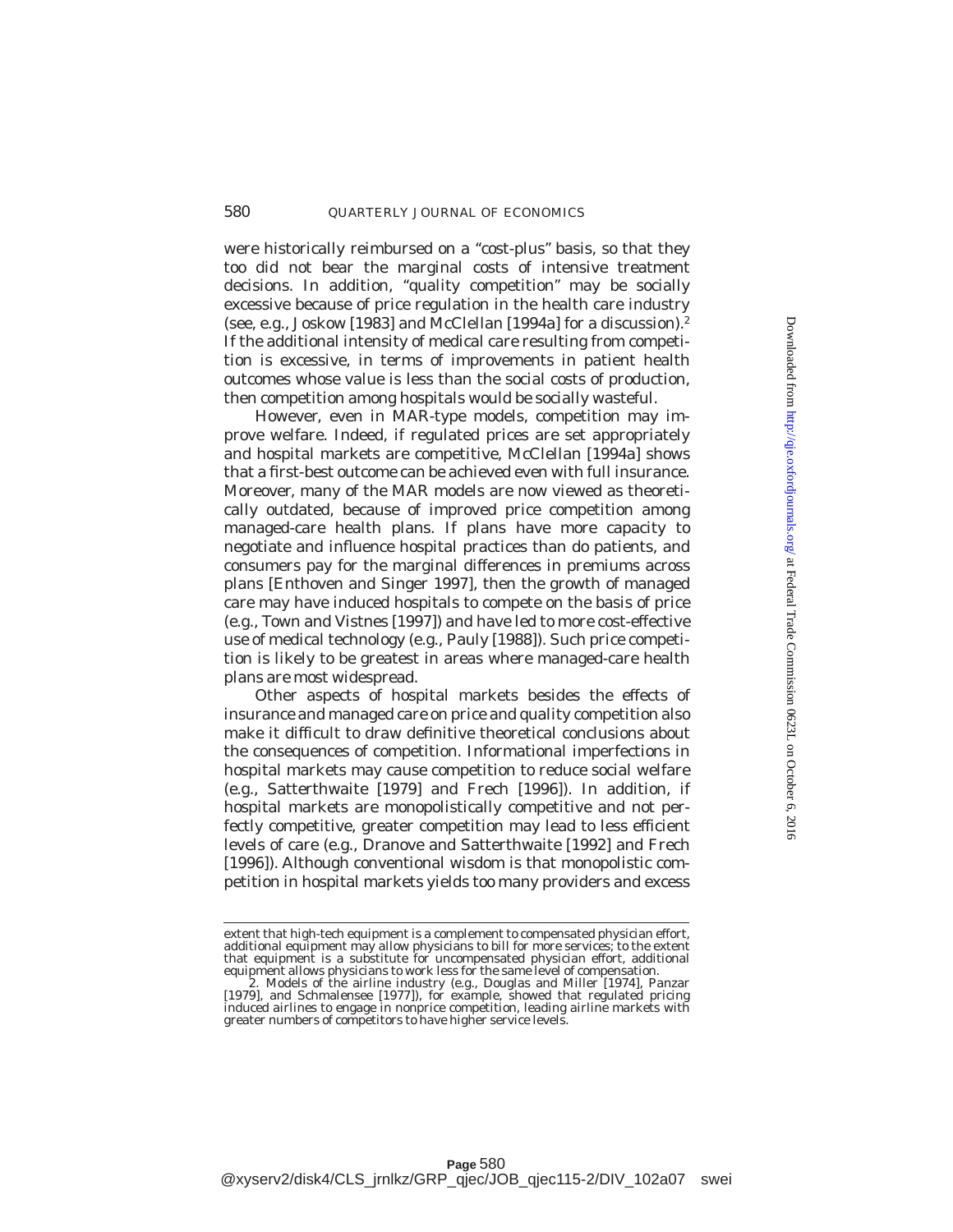were historically reimbursed on a "cost-plus" basis, so that they too did not bear the marginal costs of intensive treatment decisions. In addition, ''quality competition'' may be socially excessive because of price regulation in the health care industry (see, e.g., Joskow [1983] and McClellan [1994a] for a discussion).2 If the additional intensity of medical care resulting from competition is excessive, in terms of improvements in patient health outcomes whose value is less than the social costs of production, then competition among hospitals would be socially wasteful.

However, even in MAR-type models, competition may improve welfare. Indeed, if regulated prices are set appropriately and hospital markets are competitive, McClellan [1994a] shows that a first-best outcome can be achieved even with full insurance. Moreover, many of the MAR models are now viewed as theoretically outdated, because of improved price competition among managed-care health plans. If plans have more capacity to negotiate and influence hospital practices than do patients, and consumers pay for the marginal differences in premiums across plans [Enthoven and Singer 1997], then the growth of managed care may have induced hospitals to compete on the basis of price (e.g., Town and Vistnes [1997]) and have led to more cost-effective use of medical technology (e.g., Pauly [1988]). Such price competition is likely to be greatest in areas where managed-care health plans are most widespread.

Other aspects of hospital markets besides the effects of insurance and managed care on price and quality competition also make it difficult to draw definitive theoretical conclusions about the consequences of competition. Informational imperfections in hospital markets may cause competition to reduce social welfare (e.g., Satterthwaite [1979] and Frech [1996]). In addition, if hospital markets are monopolistically competitive and not perfectly competitive, greater competition may lead to less efficient levels of care (e.g., Dranove and Satterthwaite [1992] and Frech [1996]). Although conventional wisdom is that monopolistic competition in hospital markets yields too many providers and excess

extent that high-tech equipment is a complement to compensated physician effort, additional equipment may allow physicians to bill for more services; to the extent that equipment is a substitute for uncompensated physician effort, additional equipment allows physicians to work less for the same level of compensation.

<sup>2.</sup> Models of the airline industry (e.g., Douglas and Miller [1974], Panzar<br>[1979], and Schmalensee [1977]), for example, showed that regulated pricing<br>induced airlines to engage in nonprice competition, leading airline mar greater numbers of competitors to have higher service levels.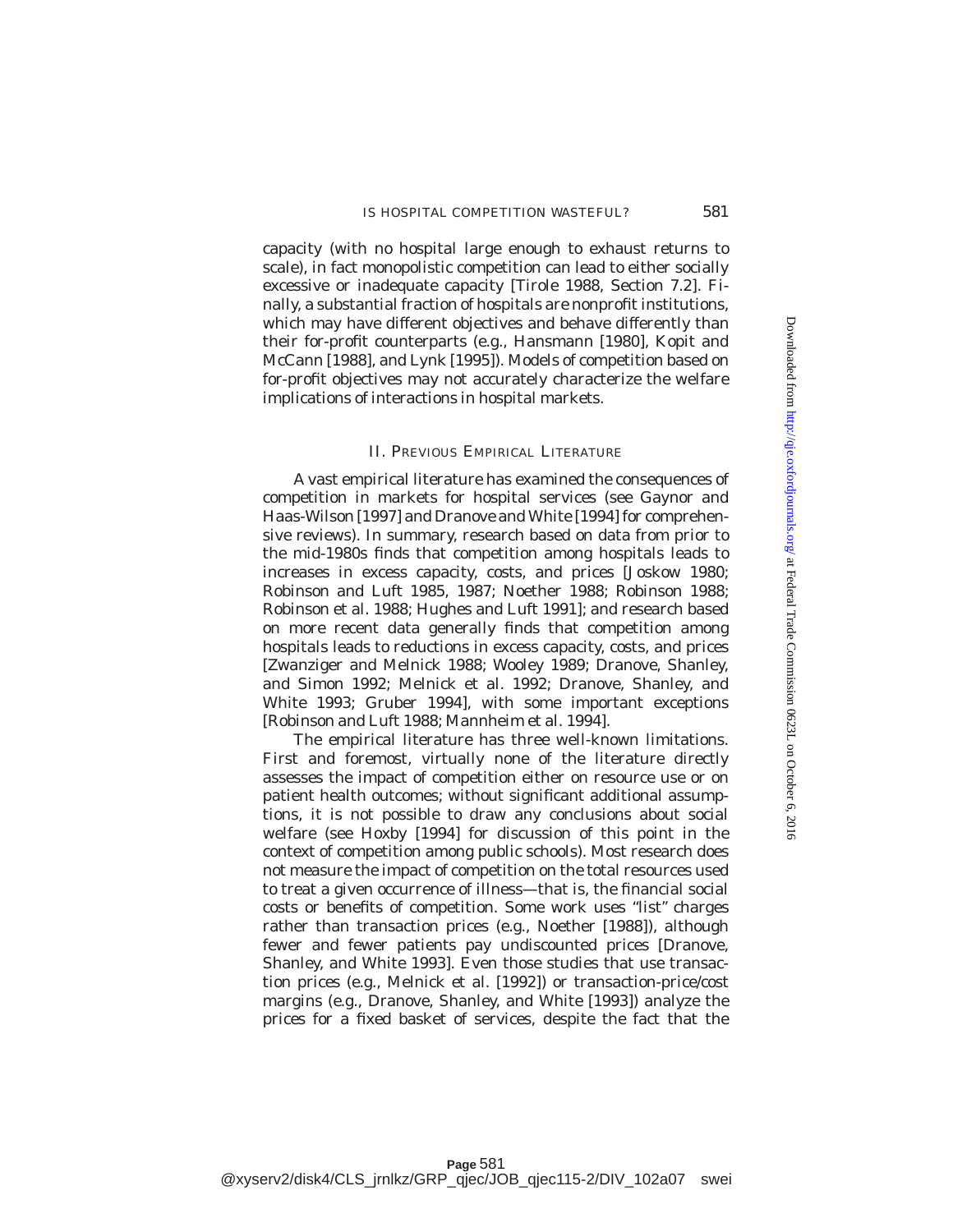capacity (with no hospital large enough to exhaust returns to scale), in fact monopolistic competition can lead to either socially excessive or inadequate capacity [Tirole 1988, Section 7.2]. Finally, a substantial fraction of hospitals are nonprofit institutions, which may have different objectives and behave differently than their for-profit counterparts (e.g., Hansmann [1980], Kopit and McCann [1988], and Lynk [1995]). Models of competition based on for-profit objectives may not accurately characterize the welfare implications of interactions in hospital markets.

## II. PREVIOUS EMPIRICAL LITERATURE

A vast empirical literature has examined the consequences of competition in markets for hospital services (see Gaynor and Haas-Wilson [1997] and Dranove and White [1994] for comprehensive reviews). In summary, research based on data from prior to the mid-1980s finds that competition among hospitals leads to increases in excess capacity, costs, and prices [Joskow 1980; Robinson and Luft 1985, 1987; Noether 1988; Robinson 1988; Robinson et al. 1988; Hughes and Luft 1991]; and research based on more recent data generally finds that competition among hospitals leads to reductions in excess capacity, costs, and prices [Zwanziger and Melnick 1988; Wooley 1989; Dranove, Shanley, and Simon 1992; Melnick et al. 1992; Dranove, Shanley, and White 1993; Gruber 1994], with some important exceptions [Robinson and Luft 1988; Mannheim et al. 1994].

The empirical literature has three well-known limitations. First and foremost, virtually none of the literature directly assesses the impact of competition either on resource use or on patient health outcomes; without significant additional assumptions, it is not possible to draw any conclusions about social welfare (see Hoxby [1994] for discussion of this point in the context of competition among public schools). Most research does not measure the impact of competition on the total resources used to treat a given occurrence of illness—that is, the financial social costs or benefits of competition. Some work uses ''list'' charges rather than transaction prices (e.g., Noether [1988]), although fewer and fewer patients pay undiscounted prices [Dranove, Shanley, and White 1993]. Even those studies that use transaction prices (e.g., Melnick et al. [1992]) or transaction-price/cost margins (e.g., Dranove, Shanley, and White [1993]) analyze the prices for a fixed basket of services, despite the fact that the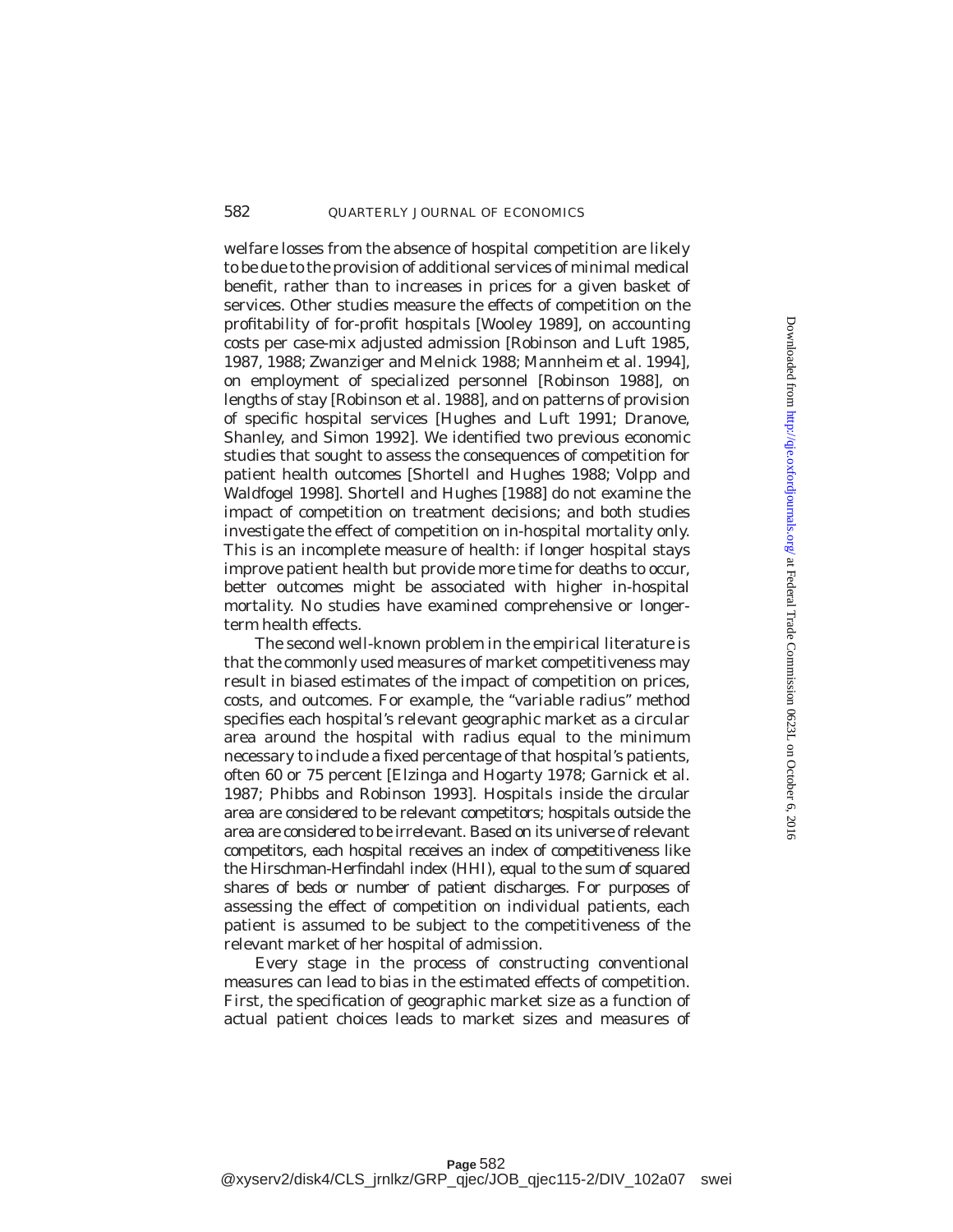welfare losses from the absence of hospital competition are likely to be due to the provision of additional services of minimal medical benefit, rather than to increases in prices for a given basket of services. Other studies measure the effects of competition on the profitability of for-profit hospitals [Wooley 1989], on accounting costs per case-mix adjusted admission [Robinson and Luft 1985, 1987, 1988; Zwanziger and Melnick 1988; Mannheim et al. 1994], on employment of specialized personnel [Robinson 1988], on lengths of stay [Robinson et al. 1988], and on patterns of provision of specific hospital services [Hughes and Luft 1991; Dranove, Shanley, and Simon 1992]. We identified two previous economic studies that sought to assess the consequences of competition for patient health outcomes [Shortell and Hughes 1988; Volpp and Waldfogel 1998]. Shortell and Hughes [1988] do not examine the impact of competition on treatment decisions; and both studies investigate the effect of competition on in-hospital mortality only. This is an incomplete measure of health: if longer hospital stays improve patient health but provide more time for deaths to occur, better outcomes might be associated with higher in-hospital mortality. No studies have examined comprehensive or longerterm health effects.

The second well-known problem in the empirical literature is that the commonly used measures of market competitiveness may result in biased estimates of the impact of competition on prices, costs, and outcomes. For example, the ''variable radius'' method specifies each hospital's relevant geographic market as a circular area around the hospital with radius equal to the minimum necessary to include a fixed percentage of that hospital's patients, often 60 or 75 percent [Elzinga and Hogarty 1978; Garnick et al. 1987; Phibbs and Robinson 1993]. Hospitals inside the circular area are considered to be relevant competitors; hospitals outside the area are considered to be irrelevant. Based on its universe of relevant competitors, each hospital receives an index of competitiveness like the Hirschman-Herfindahl index (HHI), equal to the sum of squared shares of beds or number of patient discharges. For purposes of assessing the effect of competition on individual patients, each patient is assumed to be subject to the competitiveness of the relevant market of her hospital of admission.

Every stage in the process of constructing conventional measures can lead to bias in the estimated effects of competition. First, the specification of geographic market size as a function of actual patient choices leads to market sizes and measures of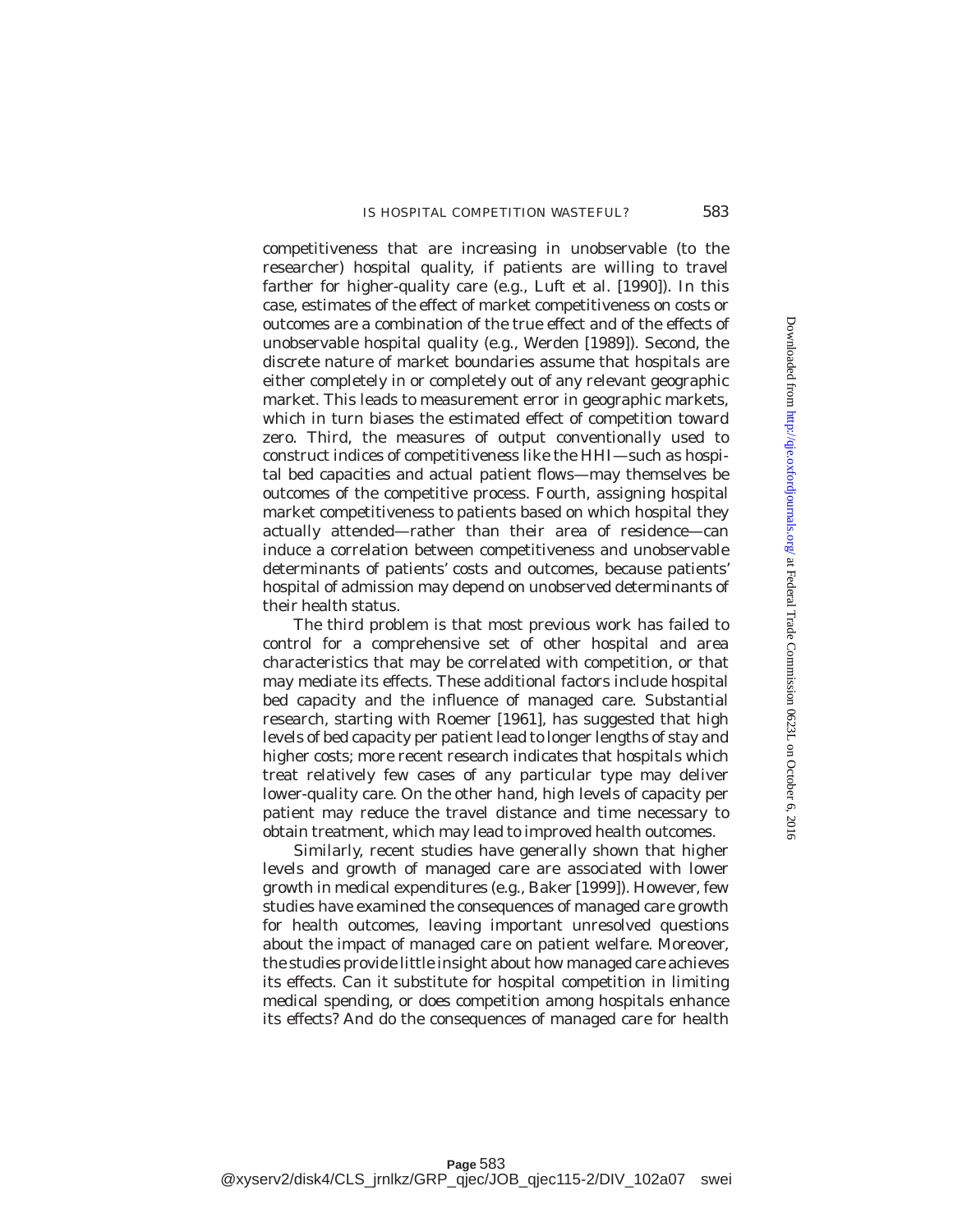competitiveness that are increasing in unobservable (to the researcher) hospital quality, if patients are willing to travel farther for higher-quality care (e.g., Luft et al. [1990]). In this case, estimates of the effect of market competitiveness on costs or outcomes are a combination of the true effect and of the effects of unobservable hospital quality (e.g., Werden [1989]). Second, the discrete nature of market boundaries assume that hospitals are either completely in or completely out of any relevant geographic market. This leads to measurement error in geographic markets, which in turn biases the estimated effect of competition toward zero. Third, the measures of output conventionally used to construct indices of competitiveness like the HHI—such as hospital bed capacities and actual patient flows—may themselves be outcomes of the competitive process. Fourth, assigning hospital market competitiveness to patients based on which hospital they actually attended—rather than their area of residence—can induce a correlation between competitiveness and unobservable determinants of patients' costs and outcomes, because patients' hospital of admission may depend on unobserved determinants of their health status.

The third problem is that most previous work has failed to control for a comprehensive set of other hospital and area characteristics that may be correlated with competition, or that may mediate its effects. These additional factors include hospital bed capacity and the influence of managed care. Substantial research, starting with Roemer [1961], has suggested that high levels of bed capacity per patient lead to longer lengths of stay and higher costs; more recent research indicates that hospitals which treat relatively few cases of any particular type may deliver lower-quality care. On the other hand, high levels of capacity per patient may reduce the travel distance and time necessary to obtain treatment, which may lead to improved health outcomes.

Similarly, recent studies have generally shown that higher levels and growth of managed care are associated with lower growth in medical expenditures (e.g., Baker [1999]). However, few studies have examined the consequences of managed care growth for health outcomes, leaving important unresolved questions about the impact of managed care on patient welfare. Moreover, the studies provide little insight about how managed care achieves its effects. Can it substitute for hospital competition in limiting medical spending, or does competition among hospitals enhance its effects? And do the consequences of managed care for health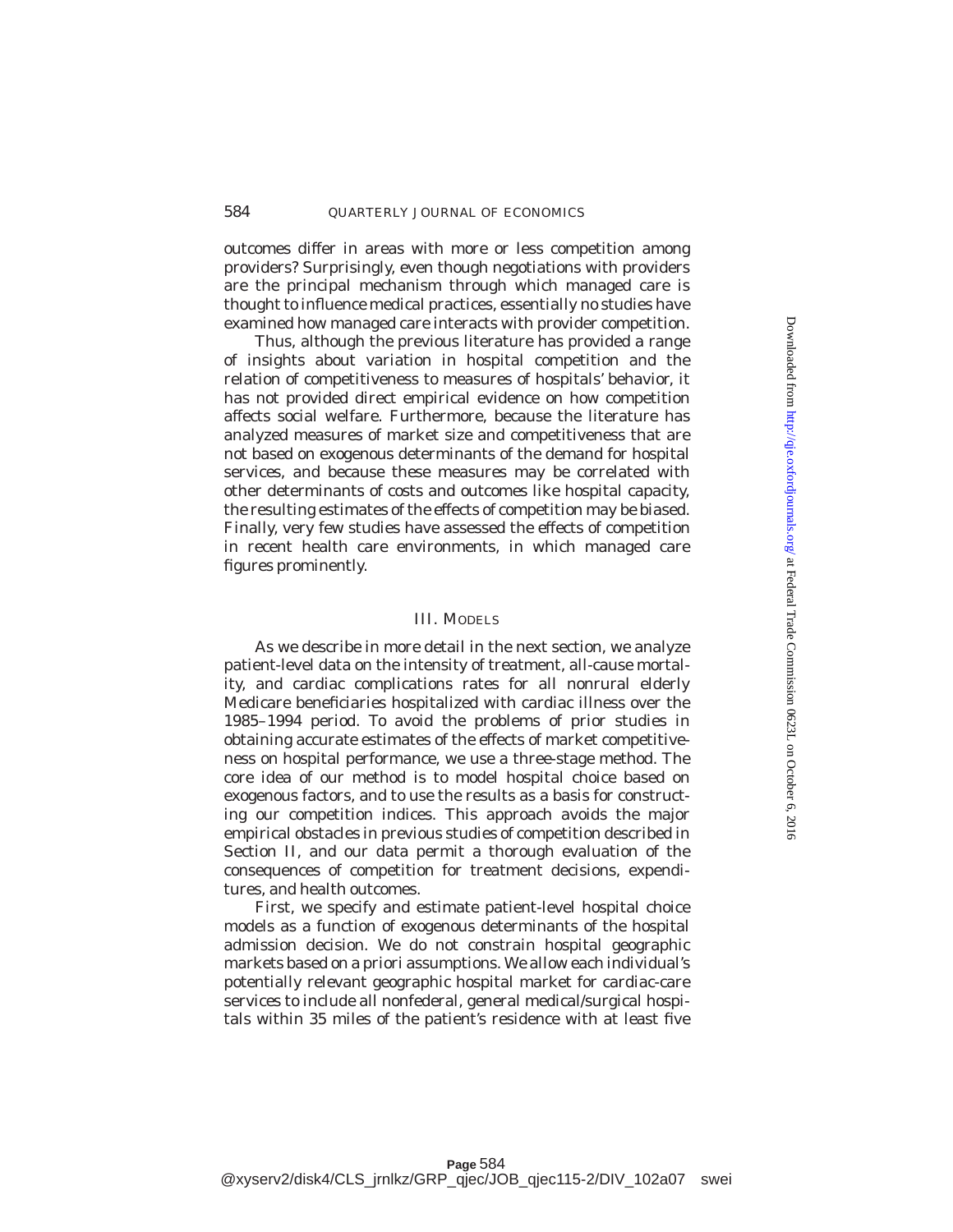outcomes differ in areas with more or less competition among providers? Surprisingly, even though negotiations with providers are the principal mechanism through which managed care is thought to influence medical practices, essentially no studies have examined how managed care interacts with provider competition.

Thus, although the previous literature has provided a range of insights about variation in hospital competition and the relation of competitiveness to measures of hospitals' behavior, it has not provided direct empirical evidence on how competition affects social welfare. Furthermore, because the literature has analyzed measures of market size and competitiveness that are not based on exogenous determinants of the demand for hospital services, and because these measures may be correlated with other determinants of costs and outcomes like hospital capacity, the resulting estimates of the effects of competition may be biased. Finally, very few studies have assessed the effects of competition in recent health care environments, in which managed care figures prominently.

## III. MODELS

As we describe in more detail in the next section, we analyze patient-level data on the intensity of treatment, all-cause mortality, and cardiac complications rates for all nonrural elderly Medicare beneficiaries hospitalized with cardiac illness over the 1985–1994 period. To avoid the problems of prior studies in obtaining accurate estimates of the effects of market competitiveness on hospital performance, we use a three-stage method. The core idea of our method is to model hospital choice based on exogenous factors, and to use the results as a basis for constructing our competition indices. This approach avoids the major empirical obstacles in previous studies of competition described in Section II, and our data permit a thorough evaluation of the consequences of competition for treatment decisions, expenditures, and health outcomes.

First, we specify and estimate patient-level hospital choice models as a function of exogenous determinants of the hospital admission decision. We do not constrain hospital geographic markets based on a priori assumptions. We allow each individual's potentially relevant geographic hospital market for cardiac-care services to include all nonfederal, general medical/surgical hospitals within 35 miles of the patient's residence with at least five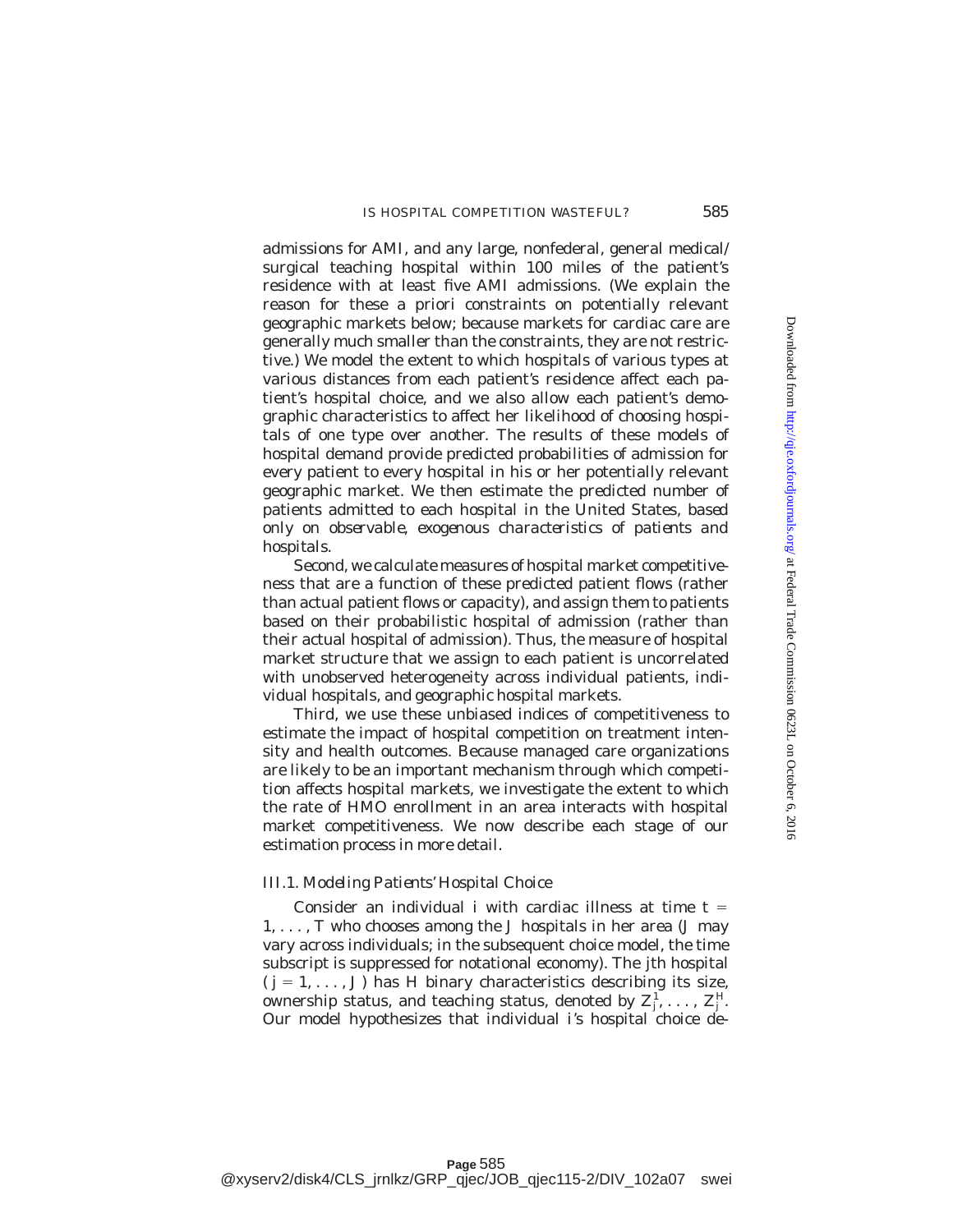admissions for AMI, and any large, nonfederal, general medical/ surgical teaching hospital within 100 miles of the patient's residence with at least five AMI admissions. (We explain the reason for these a priori constraints on potentially relevant geographic markets below; because markets for cardiac care are generally much smaller than the constraints, they are not restrictive.) We model the extent to which hospitals of various types at various distances from each patient's residence affect each patient's hospital choice, and we also allow each patient's demographic characteristics to affect her likelihood of choosing hospitals of one type over another. The results of these models of hospital demand provide predicted probabilities of admission for every patient to every hospital in his or her potentially relevant geographic market. We then estimate the predicted number of patients admitted to each hospital in the United States, *based only on observable, exogenous characteristics of patients and hospitals.*

Second, we calculate measures of hospital market competitiveness that are a function of these predicted patient flows (rather than actual patient flows or capacity), and assign them to patients based on their probabilistic hospital of admission (rather than their actual hospital of admission). Thus, the measure of hospital market structure that we assign to each patient is uncorrelated with unobserved heterogeneity across individual patients, individual hospitals, and geographic hospital markets.

Third, we use these unbiased indices of competitiveness to estimate the impact of hospital competition on treatment intensity and health outcomes. Because managed care organizations are likely to be an important mechanism through which competition affects hospital markets, we investigate the extent to which the rate of HMO enrollment in an area interacts with hospital market competitiveness. We now describe each stage of our estimation process in more detail.

### *III.1. Modeling Patients' Hospital Choice*

Consider an individual *i* with cardiac illness at time  $t =$ 1, . . . , *T* who chooses among the *J* hospitals in her area (*J* may vary across individuals; in the subsequent choice model, the time subscript is suppressed for notational economy). The *j*th hospital  $(j = 1, \ldots, J)$  has *H* binary characteristics describing its size, ownership status, and teaching status, denoted by  $Z_j^1, \ldots, Z_j^H$ . Our model hypothesizes that individual *i*'s hospital choice de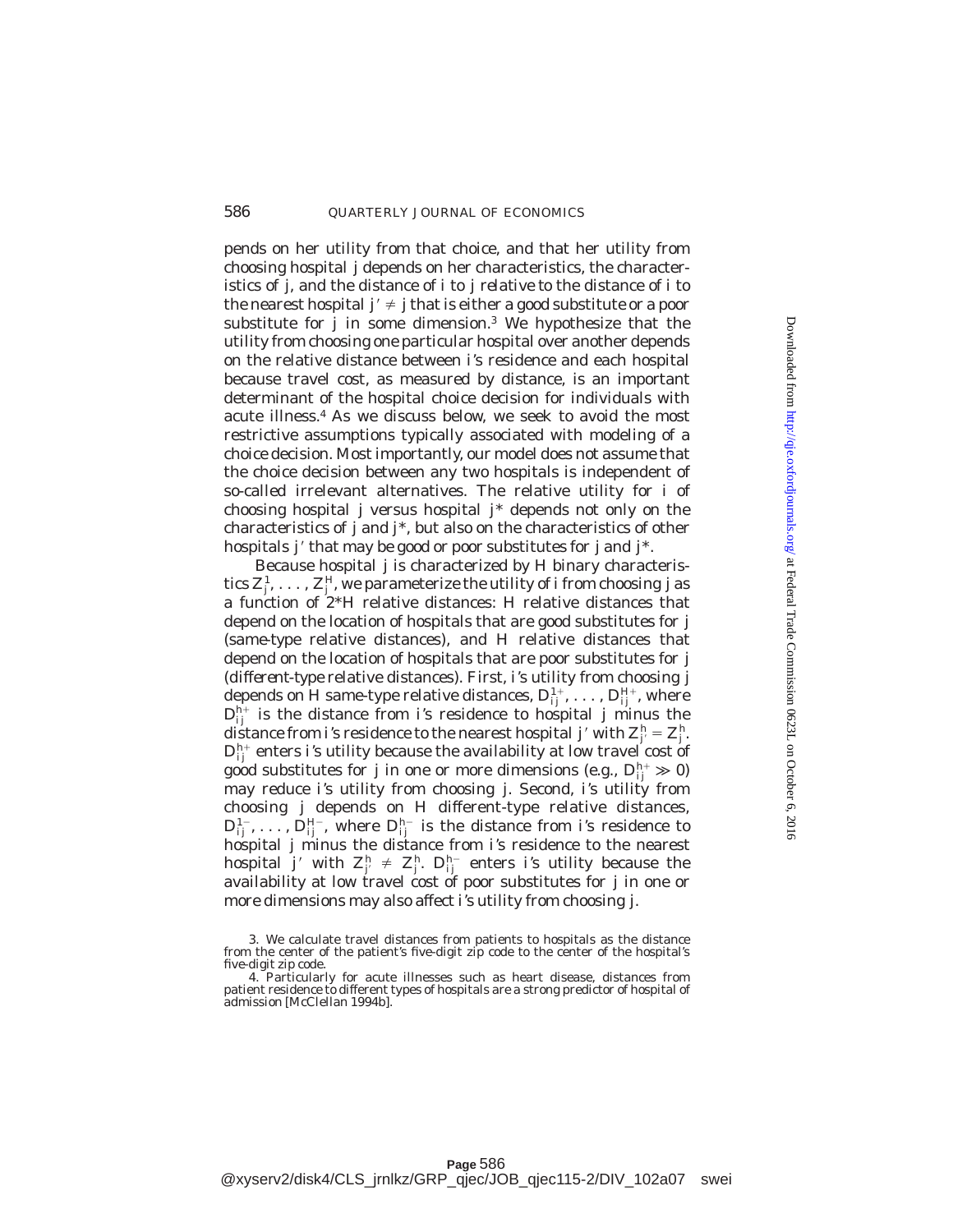pends on her utility from that choice, and that her utility from choosing hospital *j* depends on her characteristics, the characteristics of *j*, and the distance of *i* to *j relative to* the distance of *i* to the nearest hospital  $j' \neq j$  that is either a good substitute or a poor substitute for  $j$  in some dimension.<sup>3</sup> We hypothesize that the utility from choosing one particular hospital over another depends on the relative distance between *i*'s residence and each hospital because travel cost, as measured by distance, is an important determinant of the hospital choice decision for individuals with acute illness.4 As we discuss below, we seek to avoid the most restrictive assumptions typically associated with modeling of a choice decision. Most importantly, our model does not assume that the choice decision between any two hospitals is independent of so-called irrelevant alternatives. The relative utility for *i* of choosing hospital *j* versus hospital *j*\* depends not only on the characteristics of *j* and *j*\*, but also on the characteristics of other hospitals *j'* that may be good or poor substitutes for *j* and *j*\*.

Because hospital *j* is characterized by *H* binary characteristics  $Z^1_j,\,\ldots,\,Z^{H}_j$ , we parameterize the utility of *i* from choosing *j* as a function of 2\**H* relative distances: *H* relative distances that depend on the location of hospitals that are good substitutes for *j* (*same-type* relative distances), and *H* relative distances that depend on the location of hospitals that are poor substitutes for *j* (*different-type* relative distances). First, *i*'s utility from choosing *j* depends on  $H$  same-type relative distances,  $D_{ij}^{1+},\,\ldots,\,D_{ij}^{H+}$ , where  $D_{ij}^{h+}$  is the distance from *i*'s residence to hospital *j* minus the distance from *i*'s residence to the nearest hospital *j'* with  $Z^h_j = Z^h_j$ .  $D_{ij}^{h+}$  enters *i*'s utility because the availability at low travel cost of good substitutes for *j* in one or more dimensions (e.g.,  $D_{ij}^{h+} \gg 0$ ) may reduce *i*'s utility from choosing *j*. Second, *i*'s utility from choosing *j* depends on *H* different-type relative distances,  $D_{ij}^{1-}, \ldots, D_{ij}^{H-}$ , where  $D_{ij}^{h-}$  is the distance from *i*'s residence to hospital *j* minus the distance from *i*'s residence to the nearest hospital *j'* with  $Z_j^h \neq Z_j^h$ .  $D_{ij}^{h-}$  enters *i*'s utility because the availability at low travel cost of poor substitutes for *j* in one or more dimensions may also affect *i*'s utility from choosing *j*.

<sup>3.</sup> We calculate travel distances from patients to hospitals as the distance from the center of the patient's five-digit zip code to the center of the hospital's five-digit zip code. 4. Particularly for acute illnesses such as heart disease, distances from

patient residence to different types of hospitals are a strong predictor of hospital of admission [McClellan 1994b].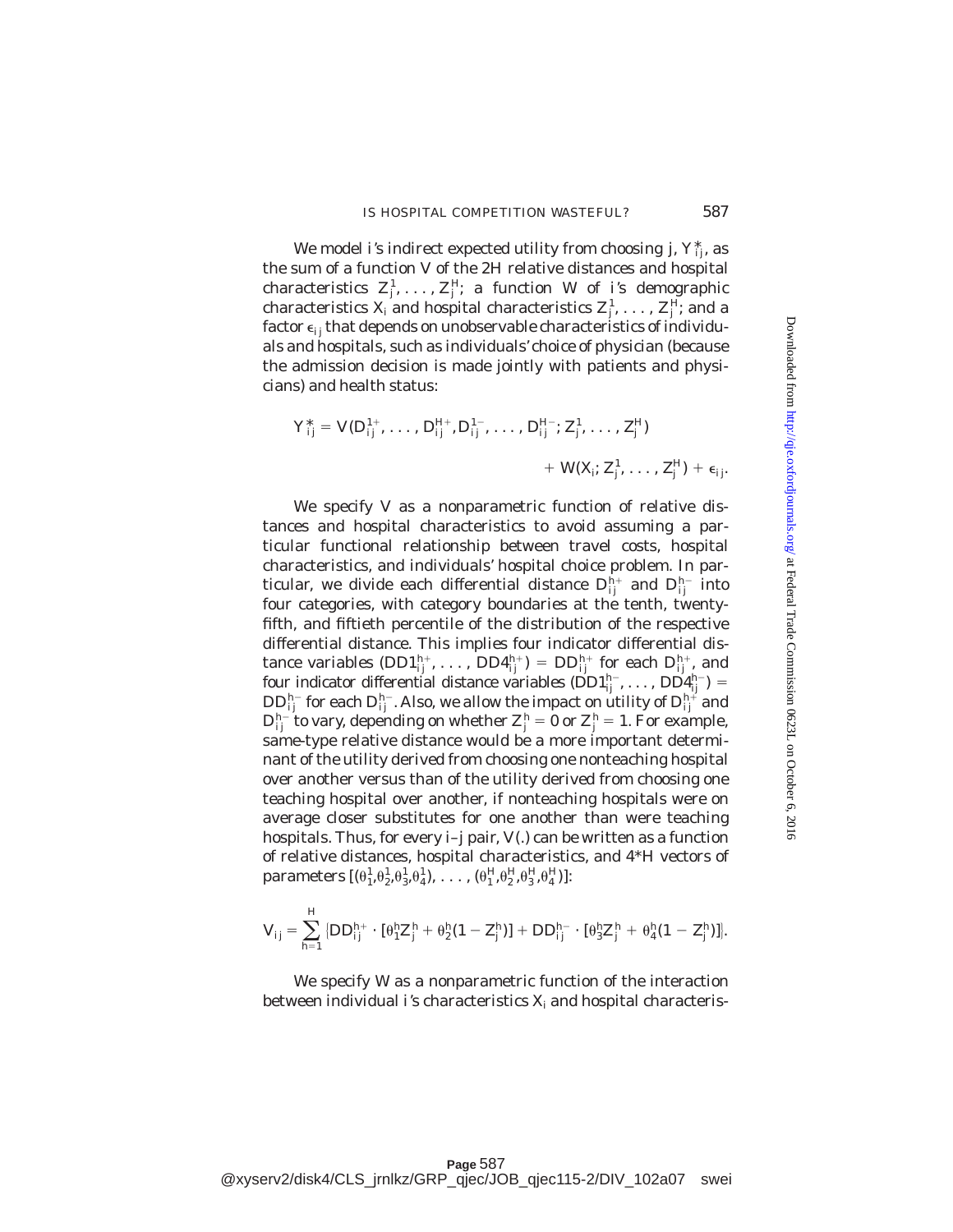We model *i*'s indirect expected utility from choosing *j*,  $Y_{ij}^*$ , as the sum of a function *V* of the 2*H* relative distances and hospital characteristics  $Z^1_j, \ldots, Z^{H}_{j};$  a function  $W$  of  $i$ 's demographic characteristics  $X_i$  and hospital characteristics  $Z_j^1, \ldots, Z_j^H$  and a factor  $\epsilon_{ii}$  that depends on unobservable characteristics of individuals and hospitals, such as individuals' choice of physician (because the admission decision is made jointly with patients and physicians) and health status:

$$
Y_{ij}^* = V(D_{ij}^{1+}, \ldots, D_{ij}^{H+}, D_{ij}^{1-}, \ldots, D_{ij}^{H-}; Z_j^1, \ldots, Z_j^H) + W(X_i, Z_j^1, \ldots, Z_j^H) + \epsilon_{ij}.
$$

We specify *V* as a nonparametric function of relative distances and hospital characteristics to avoid assuming a particular functional relationship between travel costs, hospital characteristics, and individuals' hospital choice problem. In particular, we divide each differential distance  $D_{ij}^{h+}$  and  $D_{ij}^{h-}$  into four categories, with category boundaries at the tenth, twentyfifth, and fiftieth percentile of the distribution of the respective differential distance. This implies four indicator differential dis- $\tance$  variables  $(DD1^{h+}_{ij},\ldots, \,DD4^{h+}_{ij}) = DD^{h+}_{ij}$  for each  $D^{h+}_{ij},$  and four indicator differential distance variables  $(\check{D}D1^{h-}_{ij}, \ldots, \check{D}\check{D4}^{h-}_{ij}) =$  $DD_{ij}^{h-}$  for each  $D_{ij}^{h-}$  . Also, we allow the impact on utility of  $D_{ij}^{h+}$  and  $D_{ij}^{h-1}$  to vary, depending on whether  $Z_j^h = 0$  or  $Z_j^h = 1$ . For example, same-type relative distance would be a more important determinant of the utility derived from choosing one nonteaching hospital over another versus than of the utility derived from choosing one teaching hospital over another, if nonteaching hospitals were on average closer substitutes for one another than were teaching hospitals. Thus, for every *i*–*j* pair, *V*(.) can be written as a function of relative distances, hospital characteristics, and 4\**H* vectors of  ${\rm parameters}\;[(\theta_{1}^{1},\theta_{2}^{1},\theta_{3}^{1},\theta_{4}^{1}),\;\ldots\;,\;(\theta_{1}^{H},\theta_{2}^{H},\theta_{3}^{H},\theta_{4}^{H})]$ :

$$
V_{ij} = \sum_{h=1}^{H} [DD_{ij}^{h+} \cdot [\theta_1^h Z_j^h + \theta_2^h (1 - Z_j^h)] + DD_{ij}^{h-} \cdot [\theta_3^h Z_j^h + \theta_4^h (1 - Z_j^h)]
$$

We specify *W* as a nonparametric function of the interaction between individual  $\mathbf{i}'$ s characteristics  $X_i$  and hospital characteris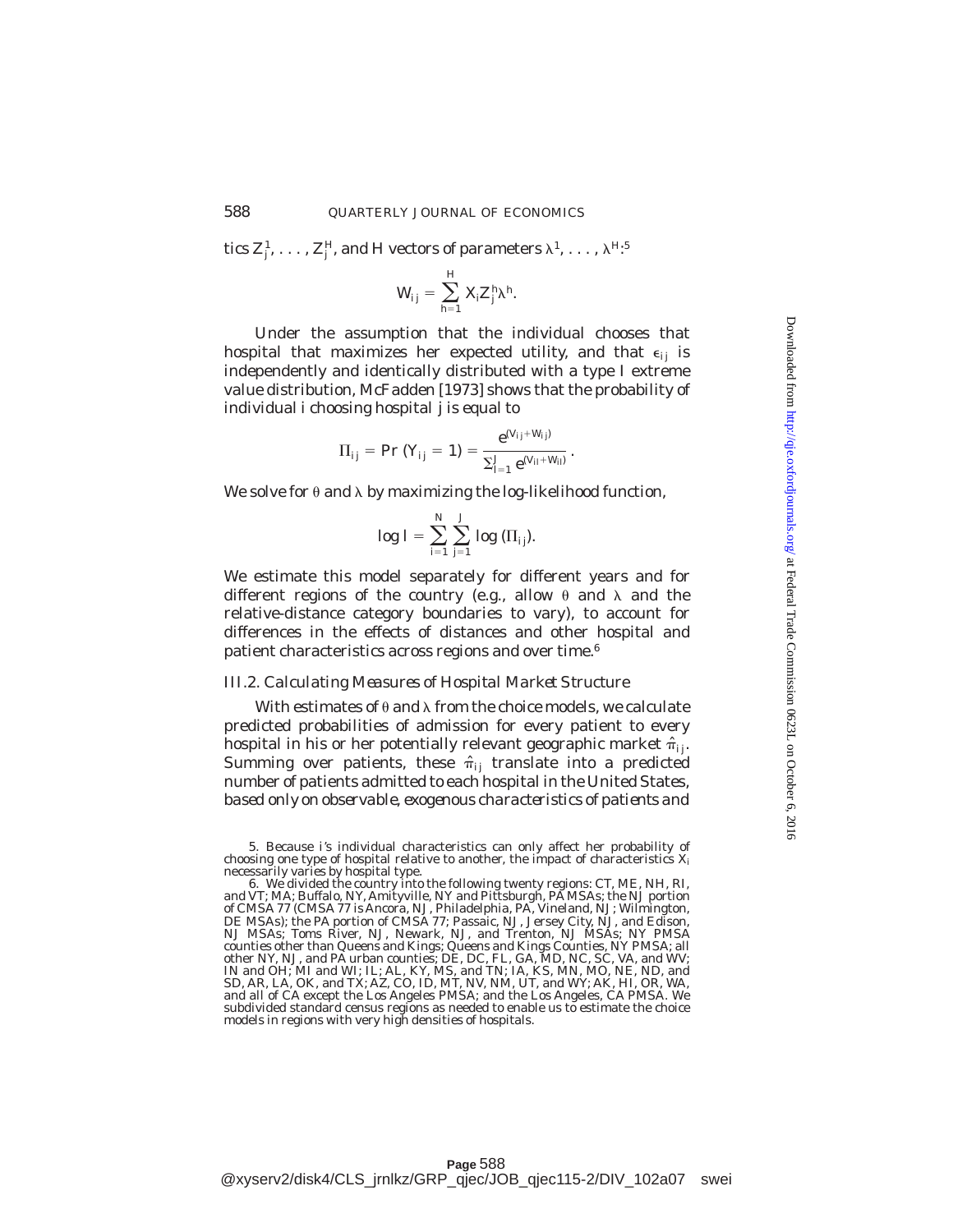tics  $Z^1_j,\ldots,Z^H_j,$  and  $H$  vectors of parameters  $\lambda^1,\ldots,\lambda^{H.5}$ 

$$
W_{ij} = \sum_{h=1}^{H} X_i Z_j^h \lambda^h.
$$

Under the assumption that the individual chooses that hospital that maximizes her expected utility, and that  $\epsilon_{ij}$  is independently and identically distributed with a type *I* extreme value distribution, McFadden [1973] shows that the probability of individual *i* choosing hospital *j* is equal to

$$
\Pi_{ij} = \Pr(Y_{ij} = 1) = \frac{e^{(V_{ij} + W_{ij})}}{\sum_{j=1}^{J} e^{(V_{il} + W_{il})}}.
$$

We solve for  $\theta$  and  $\lambda$  by maximizing the log-likelihood function,

$$
\log l = \sum_{j=1}^{N} \sum_{j=1}^{J} \log (\Pi_{ij}).
$$

We estimate this model separately for different years and for different regions of the country (e.g., allow  $\theta$  and  $\lambda$  and the relative-distance category boundaries to vary), to account for differences in the effects of distances and other hospital and patient characteristics across regions and over time.6

### *III.2. Calculating Measures of Hospital Market Structure*

With estimates of  $\theta$  and  $\lambda$  from the choice models, we calculate predicted probabilities of admission for every patient to every hospital in his or her potentially relevant geographic market  $\hat{\pi}_{ji}$ . Summing over patients, these  $\hat{\pi}_{ij}$  translate into a predicted number of patients admitted to each hospital in the United States, *based only on observable, exogenous characteristics of patients and*

<sup>5.</sup> Because *i*'s individual characteristics can only affect her probability of choosing one type of hospital relative to another, the impact of characteristics  $X_i$ necessarily varies by hospital type. 6. We divided the country into the following twenty regions: CT, ME, NH, RI,

and VT; MA; Buffalo, NY, Amityville, NY and Pittsburgh, PĂ MSAs; the NJ portion<br>of CMSA 77 (CMSA 77 is Ancora, NJ, Philadelphia, PA, Vineland, NJ; Wilmington,<br>DE MSAs); the PA portion of CMSA 77; Passaic, NJ, Jersey City, models in regions with very high densities of hospitals.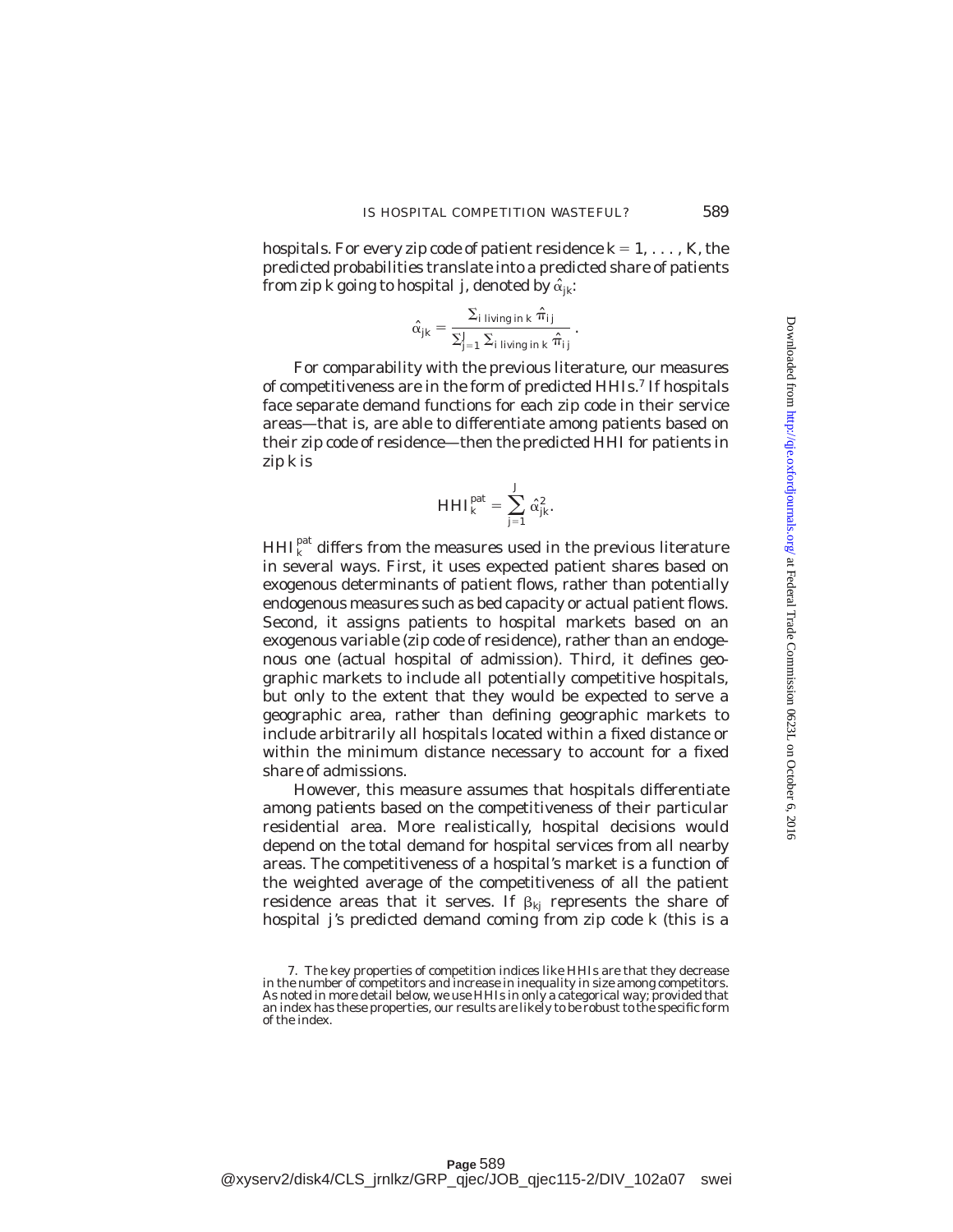*hospitals.* For every zip code of patient residence  $k = 1, \ldots, K$ , the predicted probabilities translate into a predicted share of patients from zip *k* going to hospital *j*, denoted by  $\hat{\alpha}_{ik}$ :

$$
\hat{\alpha}_{jk} = \frac{\sum_{j \text{ living in } k} \hat{\pi}_{ij}}{\sum_{j=1}^{J} \sum_{j \text{ living in } k} \hat{\pi}_{ij}}.
$$

For comparability with the previous literature, our measures of competitiveness are in the form of predicted HHIs.<sup>7</sup> If hospitals face separate demand functions for each zip code in their service areas—that is, are able to differentiate among patients based on their zip code of residence—then the predicted HHI for patients in zip *k* is

$$
HHI_k^{\text{pat}} = \sum_{j=1}^J \hat{\alpha}_{jk}^2.
$$

 $\mathit{HHI}^{\mathrm{pat}}_k$  differs from the measures used in the previous literature in several ways. First, it uses expected patient shares based on exogenous determinants of patient flows, rather than potentially endogenous measures such as bed capacity or actual patient flows. Second, it assigns patients to hospital markets based on an exogenous variable (zip code of residence), rather than an endogenous one (actual hospital of admission). Third, it defines geographic markets to include all potentially competitive hospitals, but only to the extent that they would be expected to serve a geographic area, rather than defining geographic markets to include arbitrarily all hospitals located within a fixed distance or within the minimum distance necessary to account for a fixed share of admissions.

However, this measure assumes that hospitals differentiate among patients based on the competitiveness of their particular residential area. More realistically, hospital decisions would depend on the total demand for hospital services from all nearby areas. The competitiveness of a *hospital's* market is a function of the weighted average of the competitiveness of all the patient residence areas that it serves. If  $\beta_{kj}$  represents the share of hospital *j*'s predicted demand coming from zip code *k* (this is a

<sup>7.</sup> The key properties of competition indices like HHIs are that they decrease in the number of competitors and increase in inequality in size among competitors.<br>As noted in more detail below, we use HHIs in only a categorical way; provided that<br>an index has these properties, our results are likely t of the index.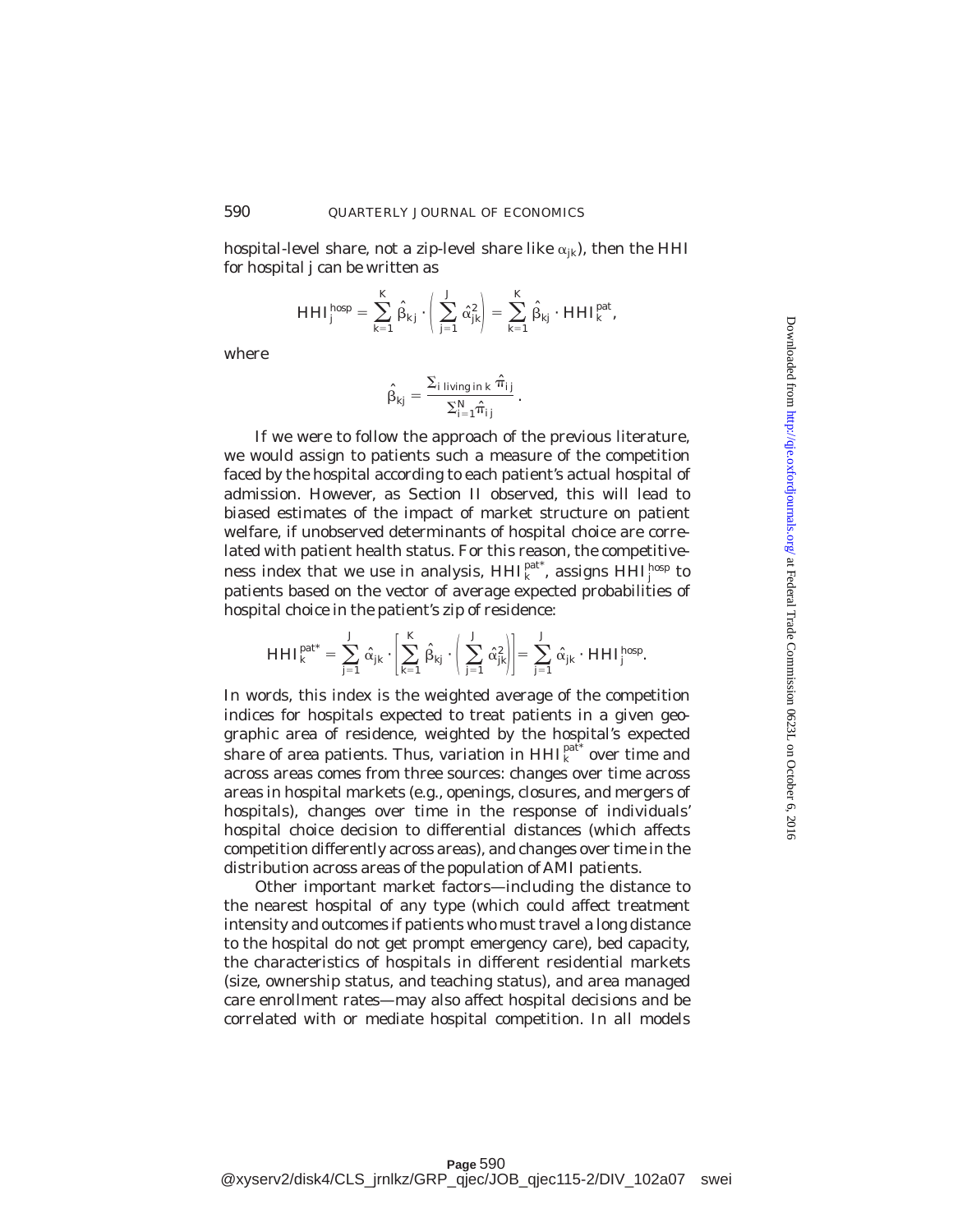*hospital*-level share, not a zip-level share like  $\alpha_{ik}$ ), then the *HHI* for *hospital j* can be written as

$$
HHI_j^{\text{hosp}} = \sum_{k=1}^K \hat{\beta}_{kj} \cdot \left( \sum_{j=1}^J \hat{\alpha}_{jk}^2 \right) = \sum_{k=1}^K \hat{\beta}_{kj} \cdot HHI_k^{\text{pat}},
$$

where

$$
\hat{\beta}_{kj} = \frac{\sum_{j \text{ living in } k} \hat{\pi}_{ij}}{\sum_{j=1}^{N} \hat{\pi}_{ij}}.
$$

If we were to follow the approach of the previous literature, we would assign to patients such a measure of the competition faced by the hospital according to each patient's actual hospital of admission. However, as Section II observed, this will lead to biased estimates of the impact of market structure on patient welfare, if unobserved determinants of hospital choice are correlated with patient health status. For this reason, the competitiveness index that we use in analysis,  $\mathit{HH}_k^{\text{pat}*}$ , assigns  $\mathit{HH}_j^{\text{hosp}}$  to patients based on the vector of average expected probabilities of hospital choice in the patient's zip of residence:

$$
HHI_k^{\text{pat}*} = \sum_{j=1}^J \hat{\alpha}_{jk} \cdot \left[ \sum_{k=1}^K \hat{\beta}_{kj} \cdot \left( \sum_{j=1}^J \hat{\alpha}_{jk}^2 \right) \right] = \sum_{j=1}^J \hat{\alpha}_{jk} \cdot HHI_j^{\text{hosp}}.
$$

In words, this index is the weighted average of the competition indices for hospitals expected to treat patients in a given geographic area of residence, weighted by the hospital's expected share of area patients. Thus, variation in  $\mathit{HHI}^{\text{pat}^*}_k$  over time and across areas comes from three sources: changes over time across areas in hospital markets (e.g., openings, closures, and mergers of hospitals), changes over time in the response of individuals' hospital choice decision to differential distances (which affects competition differently across areas), and changes over time in the distribution across areas of the population of AMI patients.

Other important market factors—including the distance to the nearest hospital of any type (which could affect treatment intensity and outcomes if patients who must travel a long distance to the hospital do not get prompt emergency care), bed capacity, the characteristics of hospitals in different residential markets (size, ownership status, and teaching status), and area managed care enrollment rates—may also affect hospital decisions and be correlated with or mediate hospital competition. In all models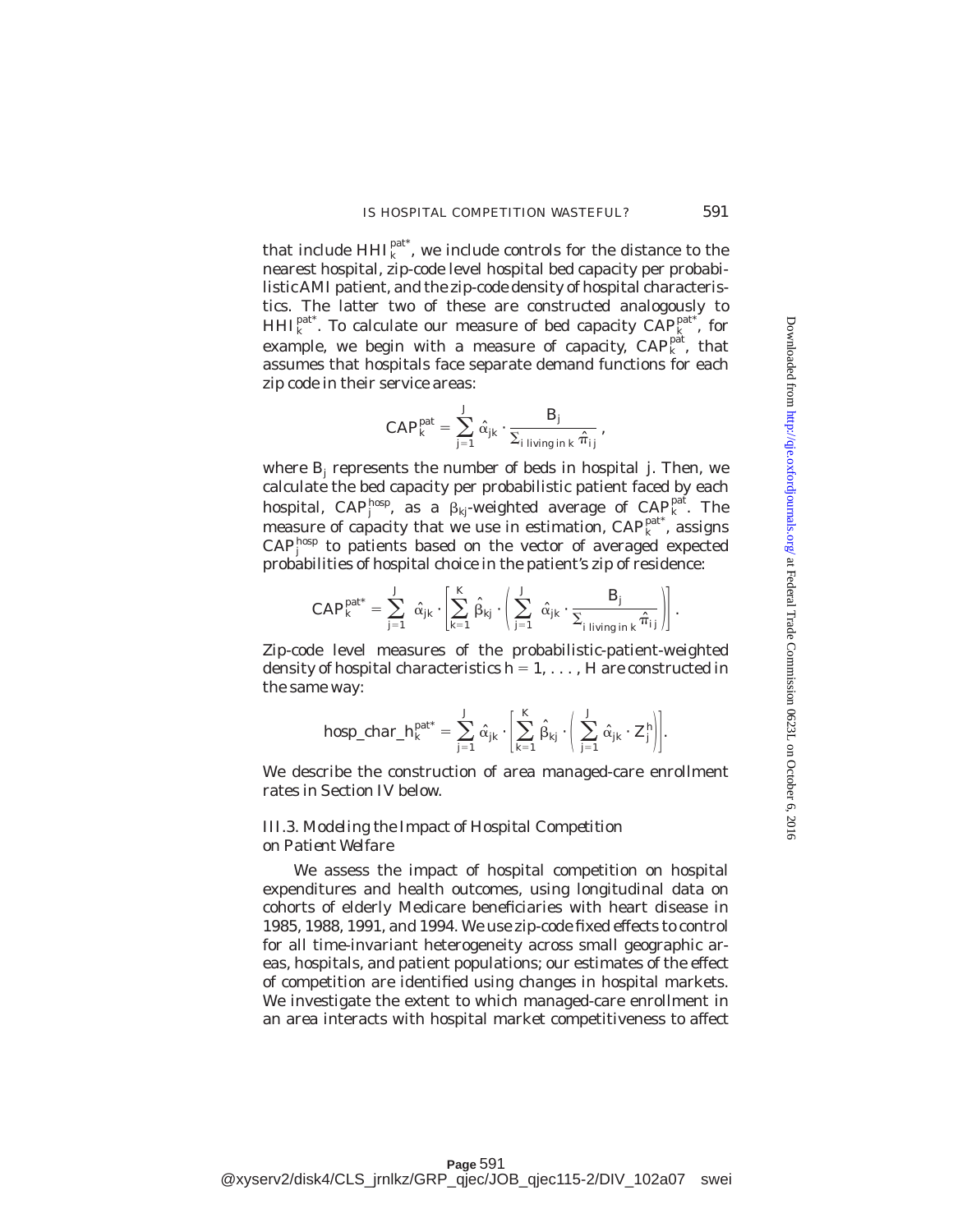that include  $\mathit{HHI}^{\mathrm{pat}^*}_{k}$ , we include controls for the distance to the nearest hospital, zip-code level hospital bed capacity per probabilistic AMI patient, and the zip-code density of hospital characteristics. The latter two of these are constructed analogously to *HHI*<sup> $\mu$ k<sup>\*</sup>. To calculate our measure of bed capacity  $CAP_k^{\text{pat}*}$ , for</sup> example, we begin with a measure of capacity,  $\mathit{CAP}_k^\text{pat}$ , that assumes that hospitals face separate demand functions for each zip code in their service areas:

$$
CAP_k^{\text{pat}} = \sum_{j=1}^J \hat{\alpha}_{jk} \cdot \frac{B_j}{\sum_{j \text{ living in } k} \hat{\pi}_{ij}},
$$

where  $B_i$  represents the number of beds in hospital  $j$ . Then, we calculate the bed capacity per probabilistic patient faced by each hospital,  $CAP_j^{\text{hosp}},$  as a  $\beta_{kf}$ -weighted average of  $CAP_k^{\text{pat}}$ . The measure of capacity that we use in estimation,  $\mathit{CAP}_k^{\text{pat}^*}$ , assigns  $CAP<sub>j</sub><sup>hosp</sup>$  to patients based on the vector of averaged expected probabilities of hospital choice in the patient's zip of residence:

$$
CAP_k^{\text{pat*}} = \sum_{j=1}^J \hat{\alpha}_{jk} \cdot \left[ \sum_{k=1}^K \hat{\beta}_{kj} \cdot \left( \sum_{j=1}^J \hat{\alpha}_{jk} \cdot \frac{B_j}{\sum_{j \text{ living in } k} \hat{\pi}_{ij}} \right) \right].
$$

Zip-code level measures of the probabilistic-patient-weighted density of hospital characteristics  $h = 1, \ldots, H$  are constructed in the same way:

$$
hosp\_char\_h_k^{\text{pat}} = \sum_{j=1}^J \hat{\alpha}_{jk} \cdot \left[ \sum_{k=1}^K \hat{\beta}_{kj} \cdot \left( \sum_{j=1}^J \hat{\alpha}_{jk} \cdot Z_j^h \right) \right].
$$

We describe the construction of area managed-care enrollment rates in Section IV below.

## *III.3. Modeling the Impact of Hospital Competition on Patient Welfare*

We assess the impact of hospital competition on hospital expenditures and health outcomes, using longitudinal data on cohorts of elderly Medicare beneficiaries with heart disease in 1985, 1988, 1991, and 1994. We use zip-code fixed effects to control for all time-invariant heterogeneity across small geographic areas, hospitals, and patient populations; our estimates of the effect of competition are identified using *changes* in hospital markets. We investigate the extent to which managed-care enrollment in an area interacts with hospital market competitiveness to affect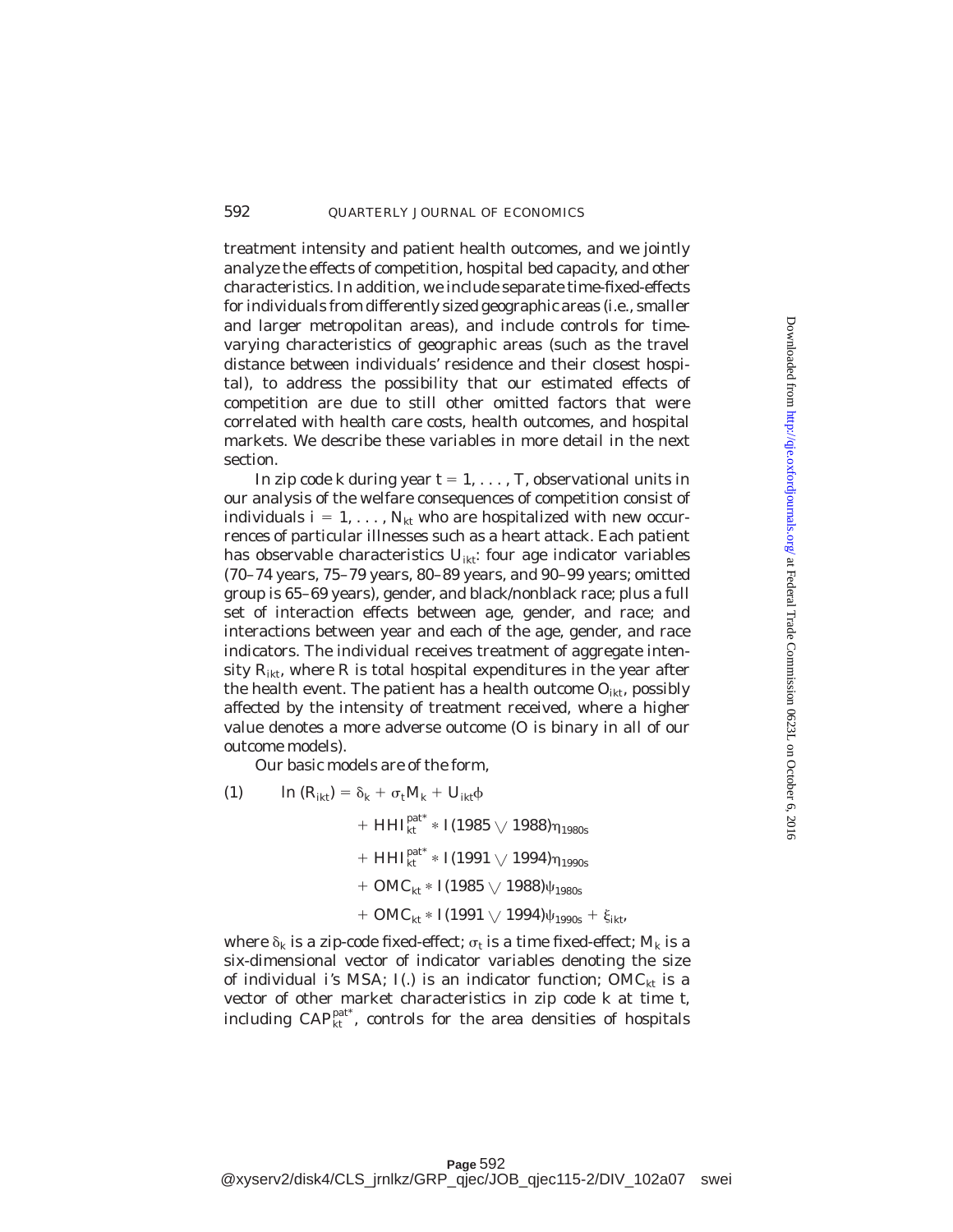treatment intensity and patient health outcomes, and we jointly analyze the effects of competition, hospital bed capacity, and other characteristics. In addition, we include separate time-fixed-effects for individuals from differently sized geographic areas (i.e., smaller and larger metropolitan areas), and include controls for timevarying characteristics of geographic areas (such as the travel distance between individuals' residence and their closest hospital), to address the possibility that our estimated effects of competition are due to still other omitted factors that were correlated with health care costs, health outcomes, and hospital markets. We describe these variables in more detail in the next section.

In zip code *k* during year  $t = 1, \ldots, T$ , observational units in our analysis of the welfare consequences of competition consist of individuals  $i = 1, \ldots, N_{kt}$  who are hospitalized with new occurrences of particular illnesses such as a heart attack. Each patient has observable characteristics *Uikt*: four age indicator variables (70–74 years, 75–79 years, 80–89 years, and 90–99 years; omitted group is 65–69 years), gender, and black/nonblack race; plus a full set of interaction effects between age, gender, and race; and interactions between year and each of the age, gender, and race indicators. The individual receives treatment of aggregate intensity  $R_{ikt}$ , where R is total hospital expenditures in the year after the health event. The patient has a health outcome  $O_{ik}$ , possibly affected by the intensity of treatment received, where a higher value denotes a more adverse outcome (*O* is binary in all of our outcome models).

Our basic models are of the form,

(1) 
$$
\ln (R_{ikt}) = \delta_k + \sigma_t M_k + U_{ikt} \phi
$$
  
+ 
$$
HHI_{kt}^{\text{part}} * I(1985 \vee 1988) \eta_{1980s}
$$
  
+ 
$$
HHI_{kt}^{\text{part}} * I(1991 \vee 1994) \eta_{1990s}
$$
  
+ 
$$
OMC_{kt} * I(1985 \vee 1988) \psi_{1980s}
$$
  
+ 
$$
OMC_{kt} * I(1991 \vee 1994) \psi_{1990s} + \xi_{ikb}
$$

where  $\delta_k$  is a zip-code fixed-effect;  $\sigma_t$  is a time fixed-effect;  $M_k$  is a six-dimensional vector of indicator variables denoting the size of individual *i*'s MSA;  $I(.)$  is an indicator function;  $OMC_{kt}$  is a vector of other market characteristics in zip code *k* at time *t*, including  $\mathit{CAP}_{kt}^{\text{pat} *},$  controls for the area densities of hospitals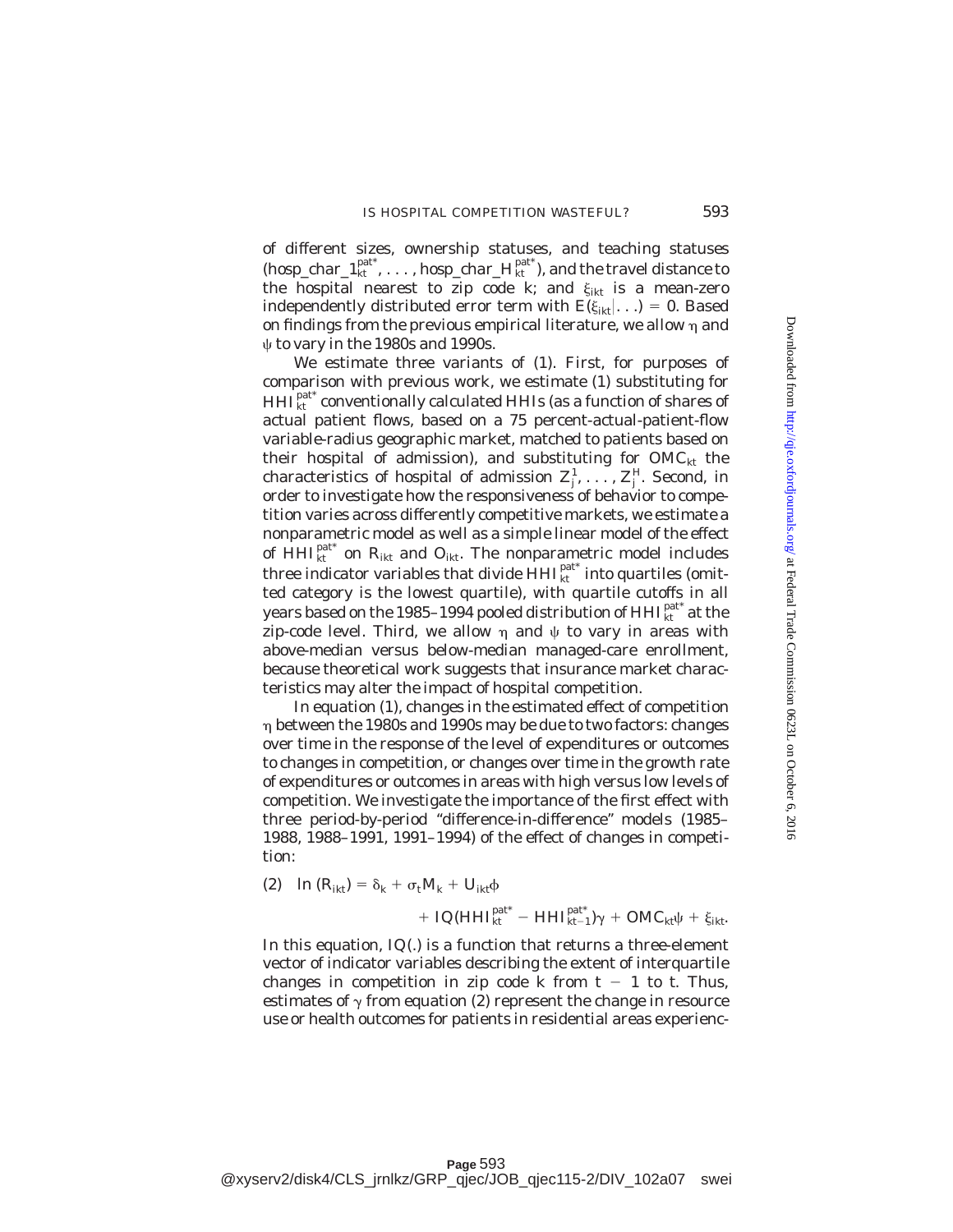of different sizes, ownership statuses, and teaching statuses  $(hosp\_char\_1_{kt}^{\text{pat}^*}, \ldots, \text{hosp\_char\_H}_{kt}^{\text{pat}^*}),$  and the travel distance to the hospital nearest to zip code  $k$ ; and  $\xi_{ikt}$  is a mean-zero independently distributed error term with  $E(\xi_{ikt}|...) = 0$ . Based on findings from the previous empirical literature, we allow  $\eta$  and  $\psi$  to vary in the 1980s and 1990s.

We estimate three variants of (1). First, for purposes of comparison with previous work, we estimate (1) substituting for  $\mathit{HHI}^{\mathrm{pat}^*}_{kt}$  conventionally calculated HHIs (as a function of shares of actual patient flows, based on a 75 percent-actual-patient-flow variable-radius geographic market, matched to patients based on their hospital of admission), and substituting for *OMC<sub>kt</sub>* the characteristics of hospital of admission  $Z_j^1, \ldots, Z_j^H$ . Second, in order to investigate how the responsiveness of behavior to competition varies across differently competitive markets, we estimate a nonparametric model as well as a simple linear model of the effect of  $HHI_{kt}^{\text{pat}}$  on  $R_{ikt}$  and  $O_{ikt}$ . The nonparametric model includes three indicator variables that divide  $\mathit{HHI}^\mathrm{pat^*}_{kt}$  into quartiles (omitted category is the lowest quartile), with quartile cutoffs in all years based on the 1985–1994 pooled distribution of  $\mathit{HHI}^{\mathrm{pat}^*}_{kt}$  at the zip-code level. Third, we allow  $\eta$  and  $\psi$  to vary in areas with above-median versus below-median managed-care enrollment, because theoretical work suggests that insurance market characteristics may alter the impact of hospital competition.

In equation (1), changes in the estimated effect of competition h between the 1980s and 1990s may be due to two factors: changes over time in the response of the level of expenditures or outcomes to changes in competition, or changes over time in the growth rate of expenditures or outcomes in areas with high versus low levels of competition. We investigate the importance of the first effect with three period-by-period ''difference-in-difference'' models (1985– 1988, 1988–1991, 1991–1994) of the effect of changes in competition:

(2) 
$$
\ln (R_{ikt}) = \delta_k + \sigma_t M_k + U_{ikt} \phi
$$
  
+  $IQ(HHH_{kt}^{\text{pat*}} - HHH_{kt-1}^{\text{pat*}})\gamma + OMC_{kt} \psi + \xi_{ikt}$ 

In this equation, *IQ*(.) is a function that returns a three-element vector of indicator variables describing the extent of interquartile changes in competition in zip code  $k$  from  $t - 1$  to  $t$ . Thus, estimates of  $\gamma$  from equation (2) represent the change in resource use or health outcomes for patients in residential areas experienc-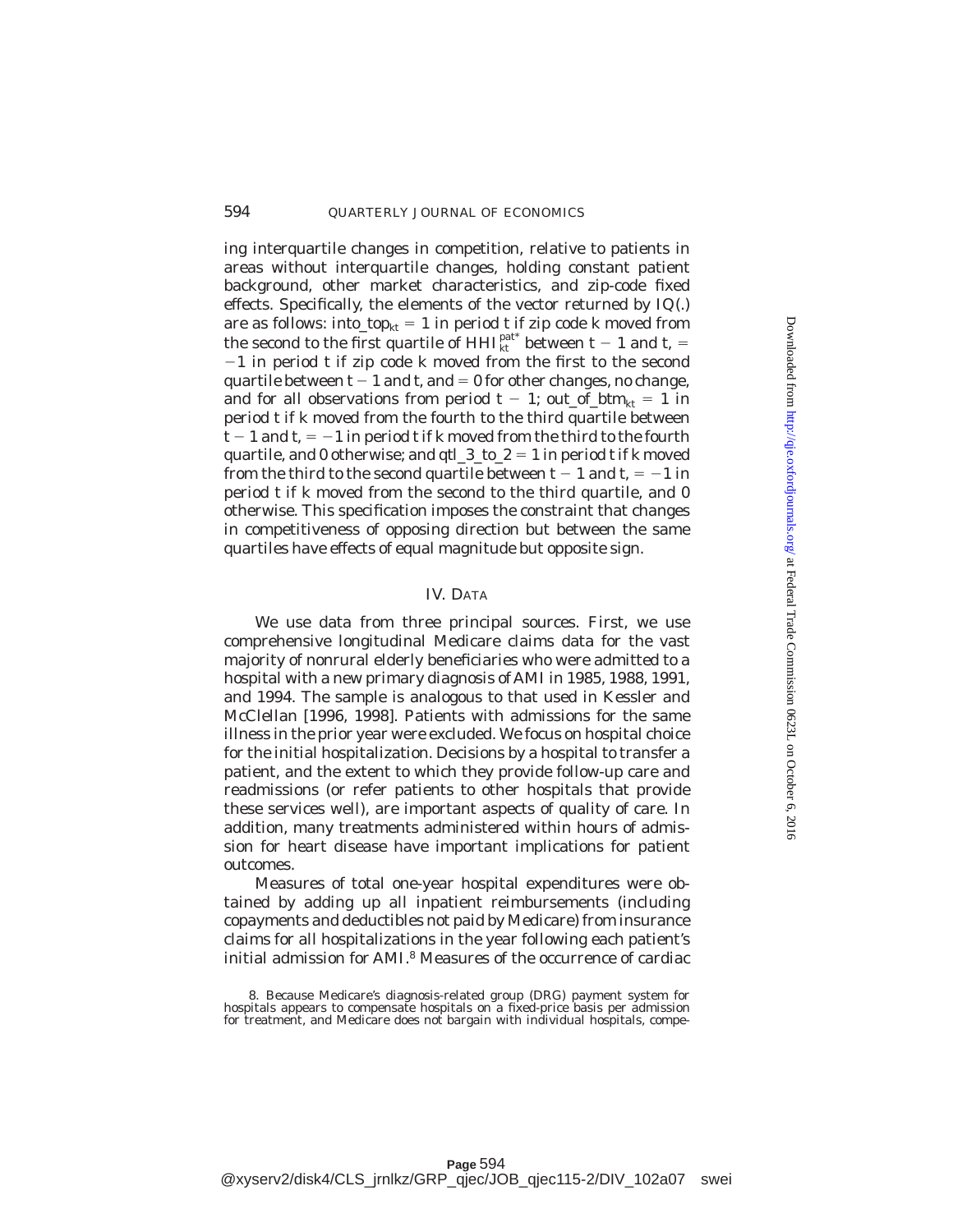ing interquartile changes in competition, relative to patients in areas without interquartile changes, holding constant patient background, other market characteristics, and zip-code fixed effects. Specifically, the elements of the vector returned by *IQ*(.) are as follows:  $into\_top_{kt} = 1$  in period *t* if zip code *k* moved from the second to the first quartile of  $HHI_{kt}^{\text{pat}}$  between  $t-1$  and  $t =$  $-1$  in period *t* if zip code *k* moved from the first to the second quartile between  $t - 1$  and  $t$ , and  $= 0$  for other changes, no change, and for all observations from period  $t - 1$ ; *out\_of\_btm<sub>kt</sub>* = 1 in period *t* if *k* moved from the fourth to the third quartile between  $t-1$  and  $t = -1$  in period *t* if *k* moved from the third to the fourth quartile, and 0 otherwise; and  $q t \frac{1}{2}$  *to*<sub> $\frac{1}{2}$ </sub> = 1 in period *t* if *k* moved from the third to the second quartile between  $t-1$  and  $t = -1$  in period *t* if *k* moved from the second to the third quartile, and 0 otherwise. This specification imposes the constraint that changes in competitiveness of opposing direction but between the same quartiles have effects of equal magnitude but opposite sign.

## IV. DATA

We use data from three principal sources. First, we use comprehensive longitudinal Medicare claims data for the vast majority of nonrural elderly beneficiaries who were admitted to a hospital with a new primary diagnosis of AMI in 1985, 1988, 1991, and 1994. The sample is analogous to that used in Kessler and McClellan [1996, 1998]. Patients with admissions for the same illness in the prior year were excluded. We focus on hospital choice for the initial hospitalization. Decisions by a hospital to transfer a patient, and the extent to which they provide follow-up care and readmissions (or refer patients to other hospitals that provide these services well), are important aspects of quality of care. In addition, many treatments administered within hours of admission for heart disease have important implications for patient outcomes.

Measures of total one-year hospital expenditures were obtained by adding up all inpatient reimbursements (including copayments and deductibles not paid by Medicare) from insurance claims for all hospitalizations in the year following each patient's initial admission for AMI.8 Measures of the occurrence of cardiac

<sup>8.</sup> Because Medicare's diagnosis-related group (DRG) payment system for hospitals appears to compensate hospitals on a fixed-price basis per admission for treatment, and Medicare does not bargain with individual hospitals, compe-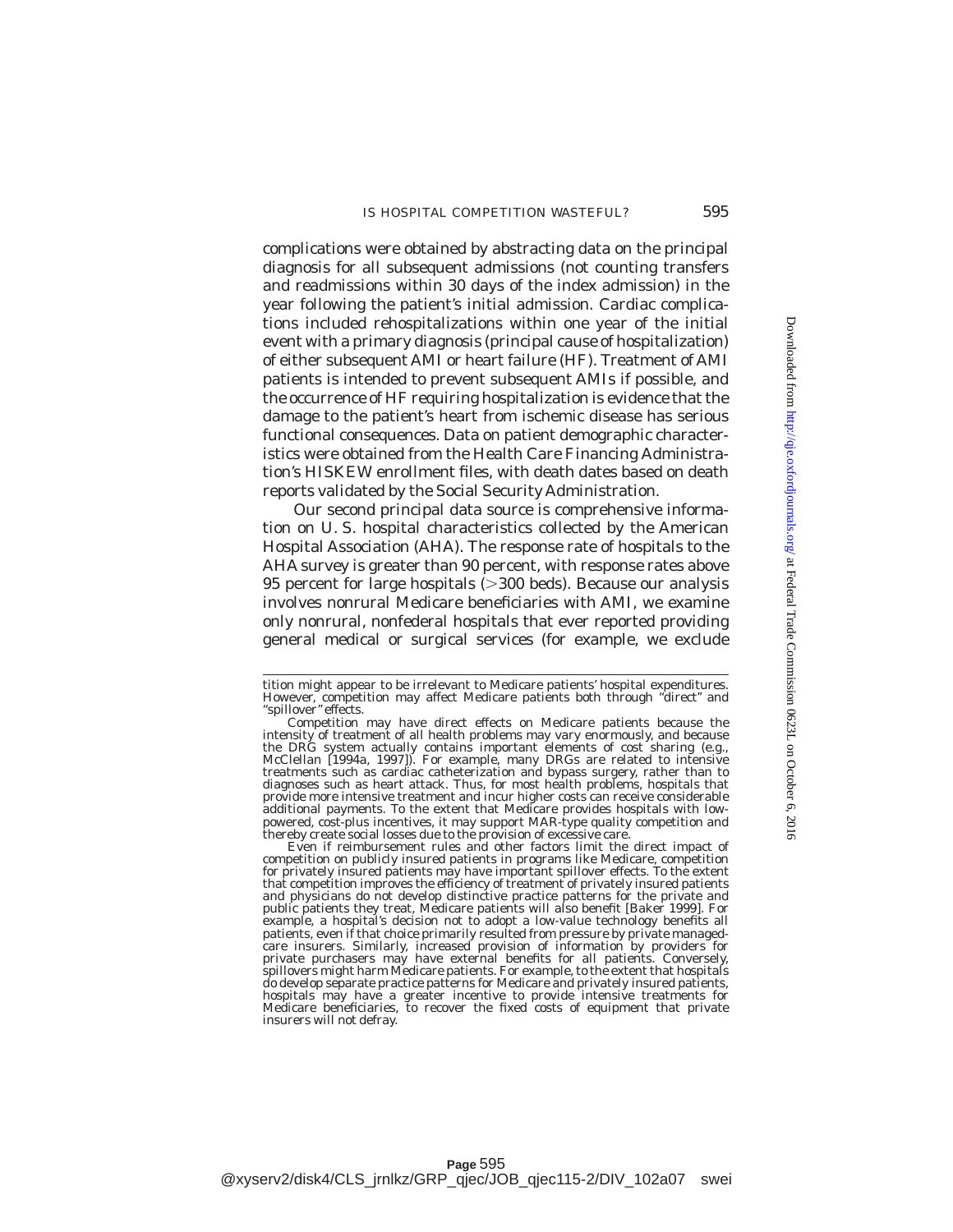complications were obtained by abstracting data on the principal diagnosis for all subsequent admissions (not counting transfers and readmissions within 30 days of the index admission) in the year following the patient's initial admission. Cardiac complications included rehospitalizations within one year of the initial event with a primary diagnosis (principal cause of hospitalization) of either subsequent AMI or heart failure (HF). Treatment of AMI patients is intended to prevent subsequent AMIs if possible, and the occurrence of HF requiring hospitalization is evidence that the damage to the patient's heart from ischemic disease has serious functional consequences. Data on patient demographic characteristics were obtained from the Health Care Financing Administration's HISKEW enrollment files, with death dates based on death reports validated by the Social Security Administration.

Our second principal data source is comprehensive information on U. S. hospital characteristics collected by the American Hospital Association (AHA). The response rate of hospitals to the AHA survey is greater than 90 percent, with response rates above 95 percent for large hospitals  $(>\!\!300$  beds). Because our analysis involves nonrural Medicare beneficiaries with AMI, we examine only nonrural, nonfederal hospitals that ever reported providing general medical or surgical services (for example, we exclude

tition might appear to be irrelevant to Medicare patients' hospital expenditures. However, competition may affect Medicare patients both through ''direct'' and ''spillover'' effects.

Competition may have direct effects on Medicare patients because the intensity of treatment of all health problems may vary enormously, and because<br>the DRG system actually contains important elements of cost sharing (e.g.,<br>McClellan [1994a, 1997]). For example, many DRGs are related to inte treatments such as cardiac catheterization and bypass surgery, rather than to diagnoses such as heart attack. Thus, for most health problems, hospitals that provide more intensive treatment and incur higher costs can receive considerable additional payments. To the extent that Medicare provides hospitals with low-powered, cost-plus incentives, it may support MAR-type quality competition and thereby create social losses due to the provision of excessive care.

Even if reimbursement rules and other factors limit the direct impact of competition on publicly insured patients in programs like Medicare, competition for privately insured patients may have important spillover effects. To the extent that competition improves the efficiency of treatment of privately insured patients *and* physicians do not develop distinctive practice patterns for the private and<br>public patients they treat, Medicare patients will also benefit [Baker 1999]. For<br>example, a hospital's decision not to adopt a low-value te patients, even if that choice primarily resulted from pressure by private managed-<br>care insurers. Similarly, increased provision of information by providers for<br>private purchasers may have external benefits spillovers might harm Medicare patients. For example, to the extent that hospitals *do* develop separate practice patterns for Medicare and privately insured patients,<br>hospitals may have a greater incentive to provide intensive treatments for<br>Medicare beneficiaries, to recover the fixed costs of equipmen insurers will not defray.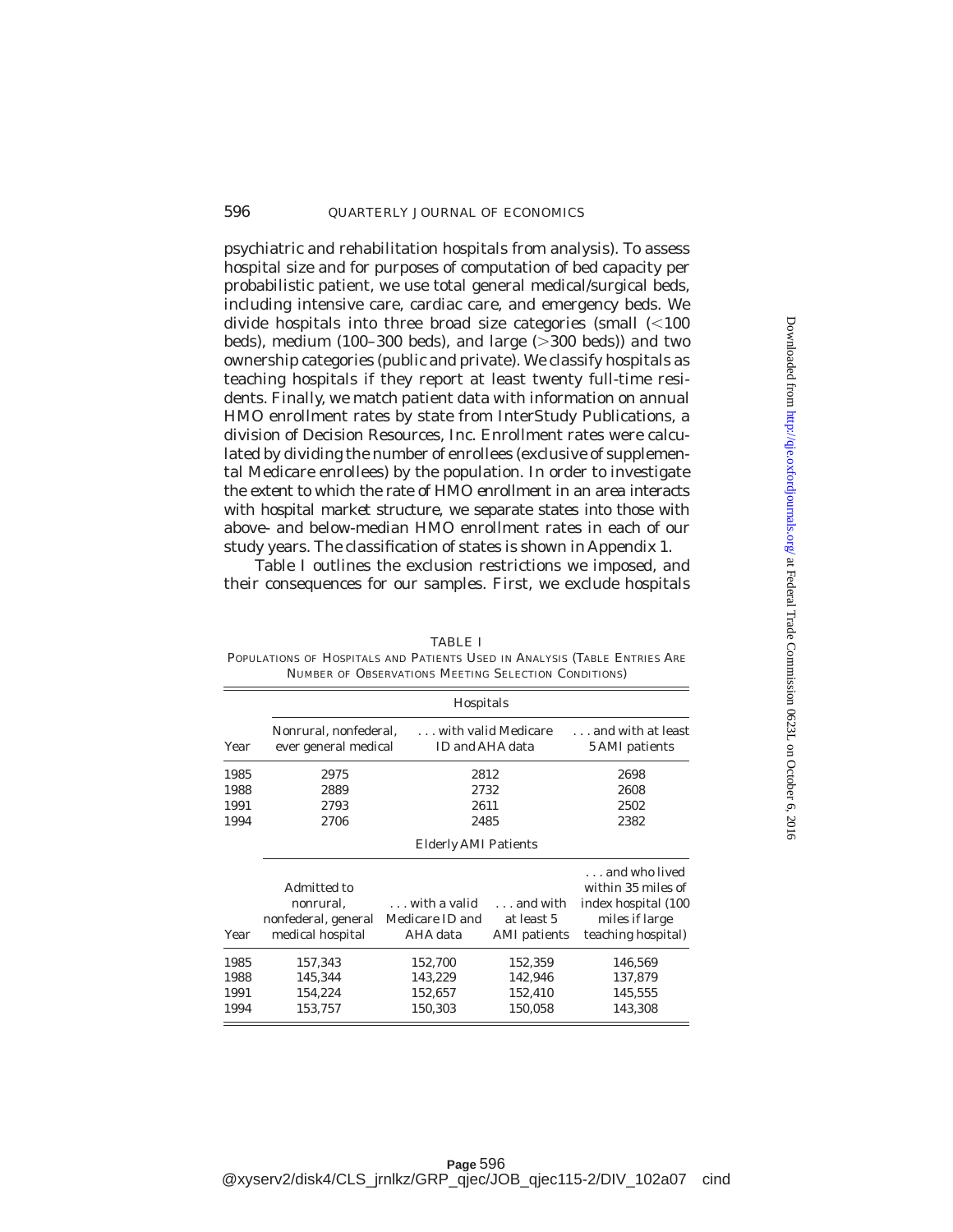psychiatric and rehabilitation hospitals from analysis). To assess hospital size and for purposes of computation of bed capacity per probabilistic patient, we use total general medical/surgical beds, including intensive care, cardiac care, and emergency beds. We divide hospitals into three broad size categories (small  $\leq 100$ ) beds), medium (100-300 beds), and large  $(>300$  beds)) and two ownership categories (public and private). We classify hospitals as teaching hospitals if they report at least twenty full-time residents. Finally, we match patient data with information on annual HMO enrollment rates by state from InterStudy Publications, a division of Decision Resources, Inc. Enrollment rates were calculated by dividing the number of enrollees (exclusive of supplemental Medicare enrollees) by the population. In order to investigate the extent to which the rate of HMO enrollment in an area interacts with hospital market structure, we separate states into those with above- and below-median HMO enrollment rates in each of our study years. The classification of states is shown in Appendix 1.

Table I outlines the exclusion restrictions we imposed, and their consequences for our samples. First, we exclude hospitals

|      |                                                                                     | <b>Hospitals</b>                                |                                                        |                                                                                                    |
|------|-------------------------------------------------------------------------------------|-------------------------------------------------|--------------------------------------------------------|----------------------------------------------------------------------------------------------------|
| Year | Nonrural, nonfederal,<br>ever general medical                                       | $\ldots$ with valid Medicare<br>ID and AHA data |                                                        | $\ldots$ and with at least<br>5 AMI patients                                                       |
| 1985 | 2975                                                                                | 2812                                            |                                                        | 2698                                                                                               |
| 1988 | 2889                                                                                | 2732                                            |                                                        | 2608                                                                                               |
| 1991 | 2793                                                                                | 2611                                            |                                                        | 2502                                                                                               |
| 1994 | 2706                                                                                | 2485                                            |                                                        | 2382                                                                                               |
|      |                                                                                     | <b>Elderly AMI Patients</b>                     |                                                        |                                                                                                    |
| Year | Admitted to<br>nonrural,<br>nonfederal, general Medicare ID and<br>medical hospital | $\dots$ with a valid<br>AHA data                | $\ldots$ and with<br>at least 5<br><b>AMI</b> patients | and who lived<br>within 35 miles of<br>index hospital (100<br>miles if large<br>teaching hospital) |
| 1985 | 157,343                                                                             | 152,700                                         | 152,359                                                | 146,569                                                                                            |
| 1988 | 145,344                                                                             | 143,229                                         | 142,946                                                | 137,879                                                                                            |
| 1991 | 154,224                                                                             | 152,657                                         | 152,410                                                | 145,555                                                                                            |
| 1994 | 153,757                                                                             | 150,303                                         | 150,058                                                | 143,308                                                                                            |

TABLE I

POPULATIONS OF HOSPITALS AND PATIENTS USED IN ANALYSIS (TABLE ENTRIES ARE NUMBER OF OBSERVATIONS MEETING SELECTION CONDITIONS)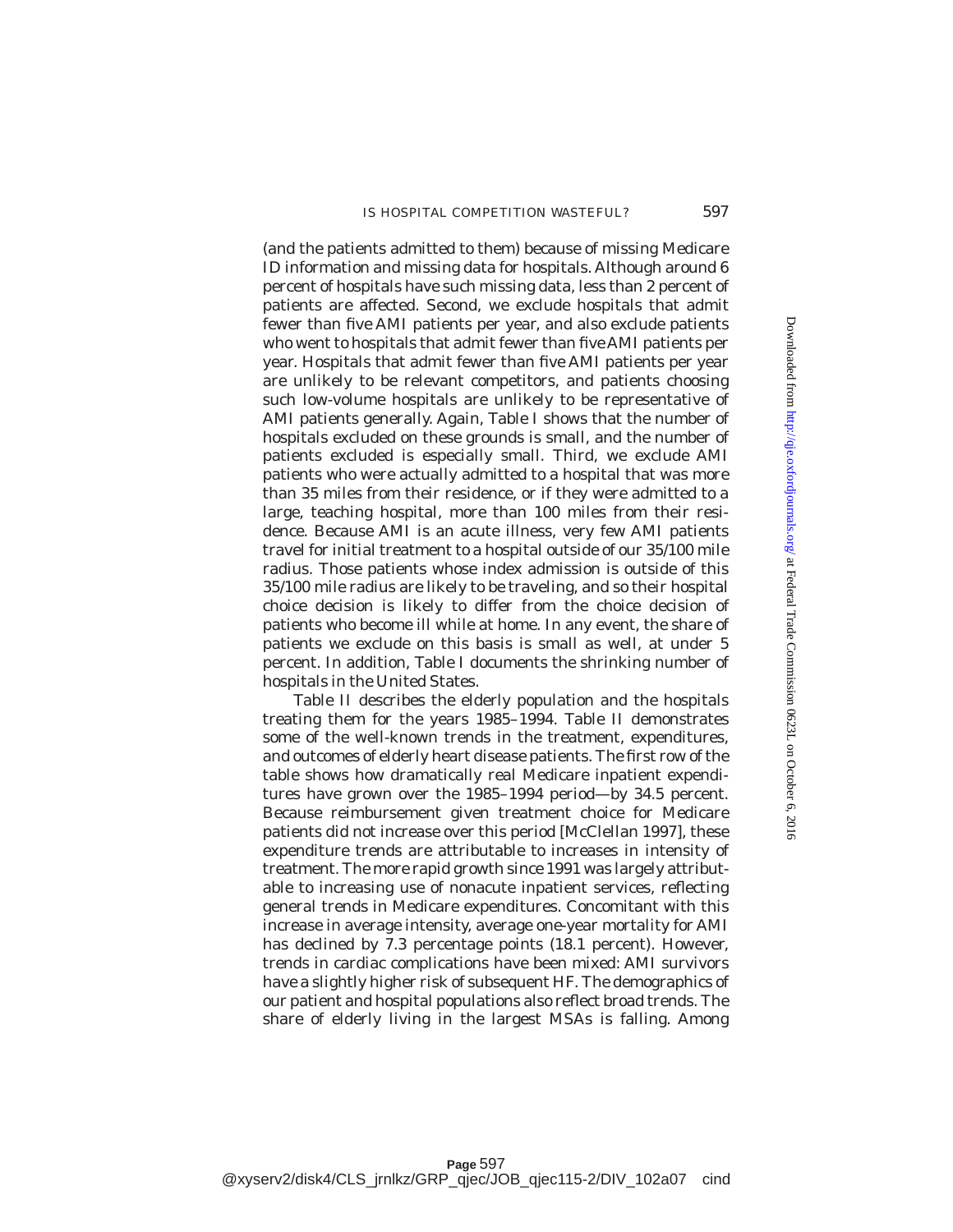(and the patients admitted to them) because of missing Medicare ID information and missing data for hospitals. Although around 6 percent of hospitals have such missing data, less than 2 percent of patients are affected. Second, we exclude hospitals that admit fewer than five AMI patients per year, and also exclude patients who went to hospitals that admit fewer than five AMI patients per year. Hospitals that admit fewer than five AMI patients per year are unlikely to be relevant competitors, and patients choosing such low-volume hospitals are unlikely to be representative of AMI patients generally. Again, Table I shows that the number of hospitals excluded on these grounds is small, and the number of patients excluded is especially small. Third, we exclude AMI patients who were actually admitted to a hospital that was more than 35 miles from their residence, or if they were admitted to a large, teaching hospital, more than 100 miles from their residence. Because AMI is an acute illness, very few AMI patients travel for initial treatment to a hospital outside of our 35/100 mile radius. Those patients whose index admission is outside of this 35/100 mile radius are likely to be traveling, and so their hospital choice decision is likely to differ from the choice decision of patients who become ill while at home. In any event, the share of patients we exclude on this basis is small as well, at under 5 percent. In addition, Table I documents the shrinking number of hospitals in the United States.

Table II describes the elderly population and the hospitals treating them for the years 1985–1994. Table II demonstrates some of the well-known trends in the treatment, expenditures, and outcomes of elderly heart disease patients. The first row of the table shows how dramatically real Medicare inpatient expenditures have grown over the 1985–1994 period—by 34.5 percent. Because reimbursement given treatment choice for Medicare patients did not increase over this period [McClellan 1997], these expenditure trends are attributable to increases in intensity of treatment. The more rapid growth since 1991 was largely attributable to increasing use of nonacute inpatient services, reflecting general trends in Medicare expenditures. Concomitant with this increase in average intensity, average one-year mortality for AMI has declined by 7.3 percentage points (18.1 percent). However, trends in cardiac complications have been mixed: AMI survivors have a slightly higher risk of subsequent HF. The demographics of our patient and hospital populations also reflect broad trends. The share of elderly living in the largest MSAs is falling. Among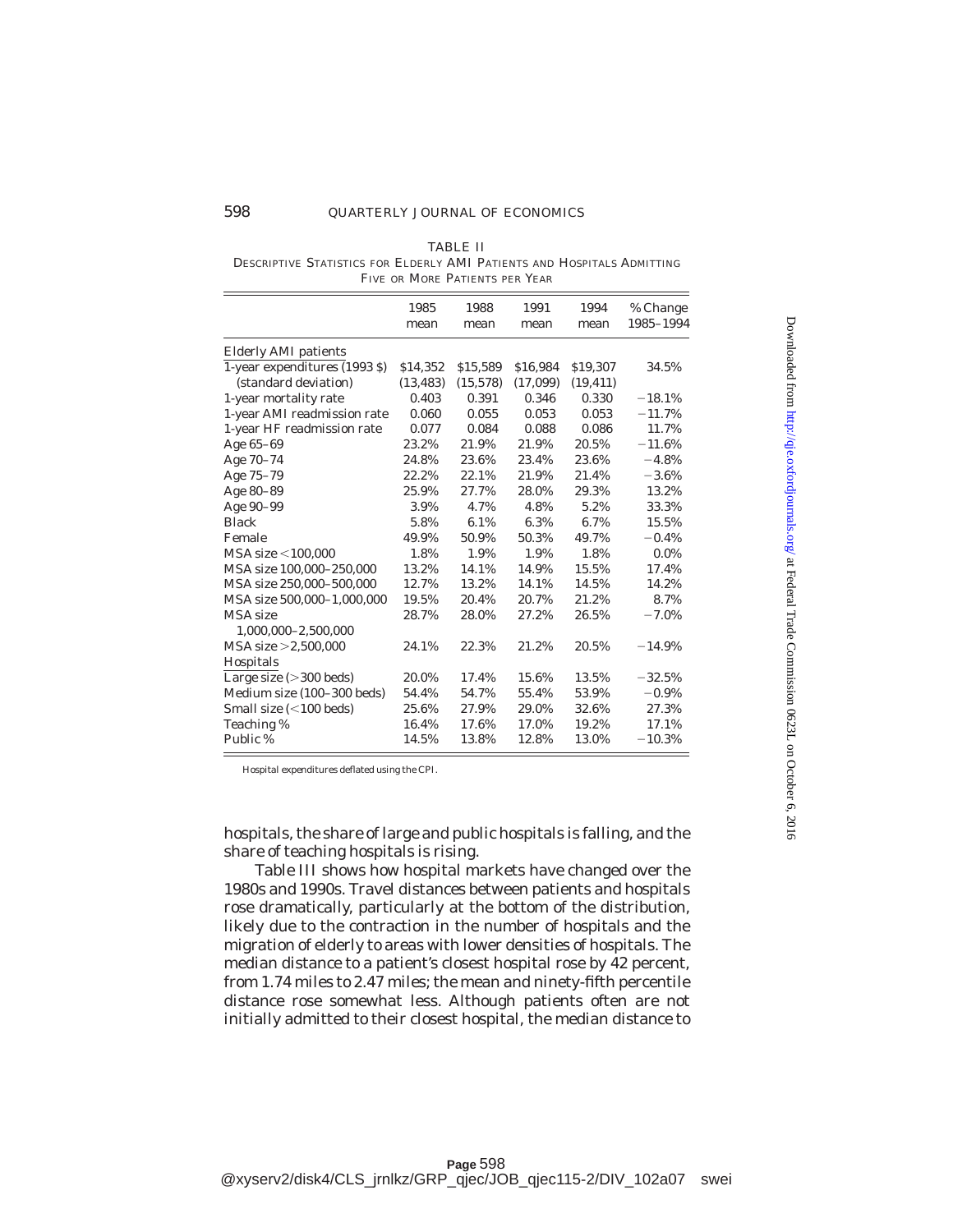## 598 *QUARTERLY JOURNAL OF ECONOMICS*

| TABLE II                                                                |
|-------------------------------------------------------------------------|
| DESCRIPTIVE STATISTICS FOR ELDERLY AMI PATIENTS AND HOSPITALS ADMITTING |
| FIVE OR MORE PATIENTS PER YEAR                                          |

|                               | 1985<br>mean | 1988<br>mean | 1991<br>mean | 1994<br>mean | % Change<br>1985-1994 |
|-------------------------------|--------------|--------------|--------------|--------------|-----------------------|
| <b>Elderly AMI</b> patients   |              |              |              |              |                       |
| 1-year expenditures (1993 \$) | \$14,352     | \$15,589     | \$16,984     | \$19,307     | 34.5%                 |
| (standard deviation)          | (13, 483)    | (15,578)     | (17,099)     | (19, 411)    |                       |
| 1-year mortality rate         | 0.403        | 0.391        | 0.346        | 0.330        | $-18.1\%$             |
| 1-year AMI readmission rate   | 0.060        | 0.055        | 0.053        | 0.053        | $-11.7%$              |
| 1-year HF readmission rate    | 0.077        | 0.084        | 0.088        | 0.086        | 11.7%                 |
| Age 65-69                     | 23.2%        | 21.9%        | 21.9%        | 20.5%        | $-11.6%$              |
| Age 70-74                     | 24.8%        | 23.6%        | 23.4%        | 23.6%        | $-4.8%$               |
| Age 75-79                     | 22.2%        | 22.1%        | 21.9%        | 21.4%        | $-3.6%$               |
| Age 80-89                     | 25.9%        | 27.7%        | 28.0%        | 29.3%        | 13.2%                 |
| Age 90-99                     | 3.9%         | 4.7%         | 4.8%         | 5.2%         | 33.3%                 |
| <b>Black</b>                  | 5.8%         | 6.1%         | 6.3%         | 6.7%         | 15.5%                 |
| Female                        | 49.9%        | 50.9%        | 50.3%        | 49.7%        | $-0.4%$               |
| MSA size $<$ 100,000          | 1.8%         | 1.9%         | 1.9%         | 1.8%         | $0.0\%$               |
| MSA size 100,000-250,000      | 13.2%        | 14.1%        | 14.9%        | 15.5%        | 17.4%                 |
| MSA size 250,000-500,000      | 12.7%        | 13.2%        | 14.1%        | 14.5%        | 14.2%                 |
| MSA size 500,000-1,000,000    | 19.5%        | 20.4%        | 20.7%        | 21.2%        | 8.7%                  |
| <b>MSA</b> size               | 28.7%        | 28.0%        | 27.2%        | 26.5%        | $-7.0%$               |
| 1,000,000-2,500,000           |              |              |              |              |                       |
| MSA size >2,500,000           | 24.1%        | 22.3%        | 21.2%        | 20.5%        | $-14.9%$              |
| Hospitals                     |              |              |              |              |                       |
| Large size $(>300$ beds)      | 20.0%        | 17.4%        | 15.6%        | 13.5%        | $-32.5%$              |
| Medium size (100-300 beds)    | 54.4%        | 54.7%        | 55.4%        | 53.9%        | $-0.9%$               |
| Small size $(<100$ beds)      | 25.6%        | 27.9%        | 29.0%        | 32.6%        | 27.3%                 |
| Teaching %                    | 16.4%        | 17.6%        | 17.0%        | 19.2%        | 17.1%                 |
| Public %                      | 14.5%        | 13.8%        | 12.8%        | 13.0%        | $-10.3%$              |

Hospital expenditures deflated using the CPI.

hospitals, the share of large and public hospitals is falling, and the share of teaching hospitals is rising.

Table III shows how hospital markets have changed over the 1980s and 1990s. Travel distances between patients and hospitals rose dramatically, particularly at the bottom of the distribution, likely due to the contraction in the number of hospitals and the migration of elderly to areas with lower densities of hospitals. The median distance to a patient's closest hospital rose by 42 percent, from 1.74 miles to 2.47 miles; the mean and ninety-fifth percentile distance rose somewhat less. Although patients often are not initially admitted to their closest hospital, the median distance to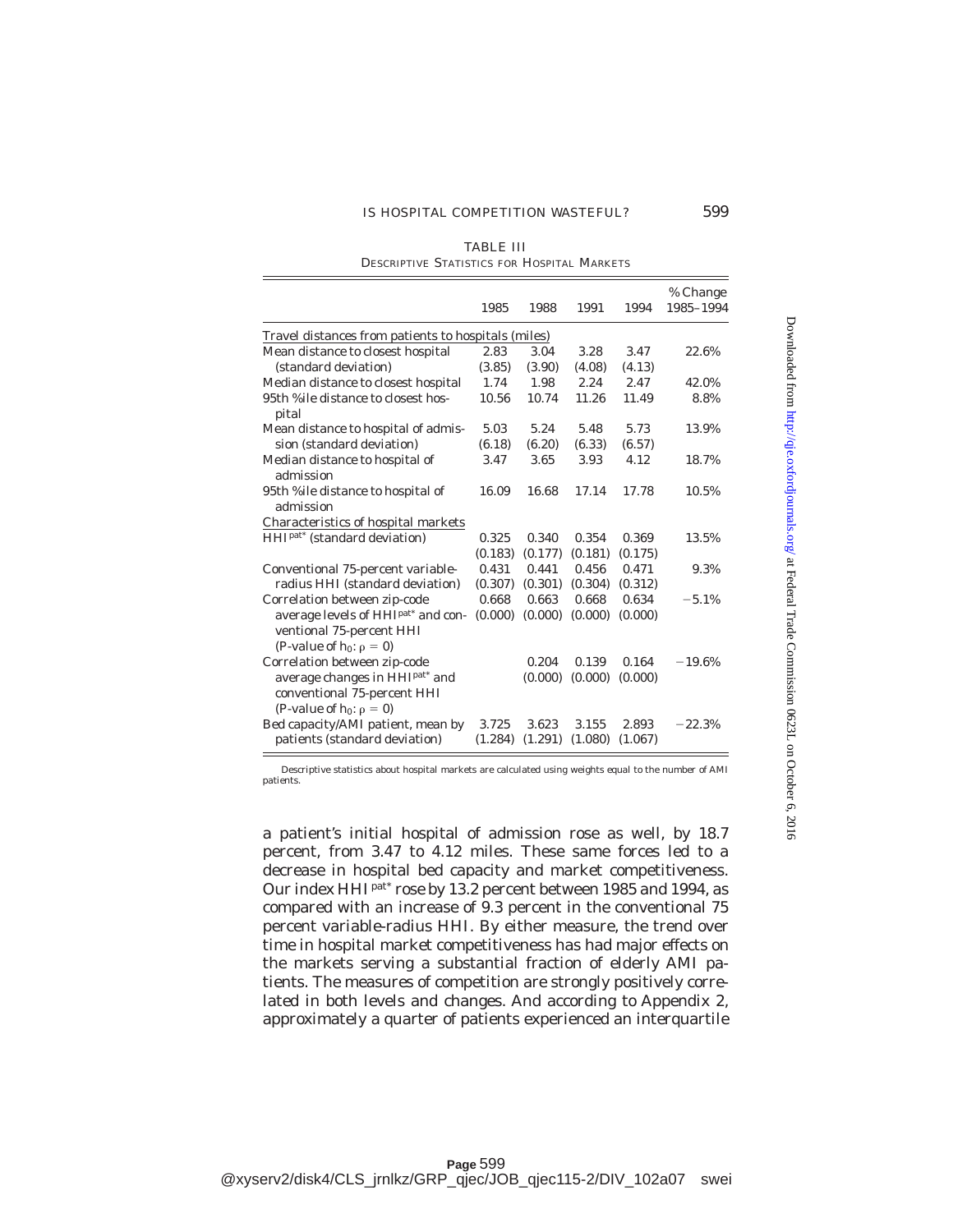| TABLE III                                          |  |
|----------------------------------------------------|--|
| <b>DESCRIPTIVE STATISTICS FOR HOSPITAL MARKETS</b> |  |
|                                                    |  |

|                                                                                                             |                  |                  |                  |                  | % Change  |
|-------------------------------------------------------------------------------------------------------------|------------------|------------------|------------------|------------------|-----------|
|                                                                                                             | 1985             | 1988             | 1991             | 1994             | 1985-1994 |
| Travel distances from patients to hospitals (miles)                                                         |                  |                  |                  |                  |           |
| Mean distance to closest hospital                                                                           | 2.83             | 3.04             | 3.28             | 3.47             | 22.6%     |
| (standard deviation)                                                                                        | (3.85)           | (3.90)           | (4.08)           | (4.13)           |           |
| Median distance to closest hospital                                                                         | 1.74             | 1.98             | 2.24             | 2.47             | 42.0%     |
| 95th %ile distance to closest hos-<br>pital                                                                 | 10.56            | 10.74            | 11.26            | 11.49            | 8.8%      |
| Mean distance to hospital of admis-                                                                         | 5.03             | 5.24             | 5.48             | 5.73             | 13.9%     |
| sion (standard deviation)                                                                                   | (6.18)           | (6.20)           | (6.33)           | (6.57)           |           |
| Median distance to hospital of<br>admission                                                                 | 3.47             | 3.65             | 3.93             | 4.12             | 18.7%     |
| 95th %ile distance to hospital of<br>admission                                                              | 16.09            | 16.68            | 17.14            | 17.78            | 10.5%     |
| Characteristics of hospital markets                                                                         |                  |                  |                  |                  |           |
| HHI <sup>pat*</sup> (standard deviation)                                                                    | 0.325            | 0.340            | 0.354            | 0.369            | 13.5%     |
|                                                                                                             | (0.183)          | (0.177)          | (0.181)          | (0.175)          |           |
| Conventional 75-percent variable-                                                                           | 0.431            | 0.441            | 0.456            | 0.471            | 9.3%      |
| radius HHI (standard deviation)                                                                             | (0.307)          | (0.301)          | (0.304)          | (0.312)          |           |
| Correlation between zip-code                                                                                | 0.668            | 0.663            | 0.668            | 0.634            | $-5.1%$   |
| average levels of HHIPat* and con-<br>ventional 75-percent HHI<br>( <i>P</i> -value of $h_0$ : $\rho = 0$ ) | (0.000)          | (0.000)          | (0.000)          | (0.000)          |           |
| Correlation between zip-code                                                                                |                  | 0.204            | 0.139            | 0.164            | $-19.6%$  |
| average changes in HHIPat* and<br>conventional 75-percent HHI<br>( <i>P</i> -value of $h_0$ : $\rho = 0$ )  |                  | (0.000)          | (0.000)          | (0.000)          |           |
| Bed capacity/AMI patient, mean by<br>patients (standard deviation)                                          | 3.725<br>(1.284) | 3.623<br>(1.291) | 3.155<br>(1.080) | 2.893<br>(1.067) | $-22.3%$  |

Descriptive statistics about hospital markets are calculated using weights equal to the number of AMI patients.

a patient's initial hospital of admission rose as well, by 18.7 percent, from 3.47 to 4.12 miles. These same forces led to a decrease in hospital bed capacity and market competitiveness. Our index *HHI*<sup>pat\*</sup> rose by 13.2 percent between 1985 and 1994, as compared with an increase of 9.3 percent in the conventional 75 percent variable-radius HHI. By either measure, the trend over time in hospital market competitiveness has had major effects on the markets serving a substantial fraction of elderly AMI patients. The measures of competition are strongly positively correlated in both levels and changes. And according to Appendix 2, approximately a quarter of patients experienced an interquartile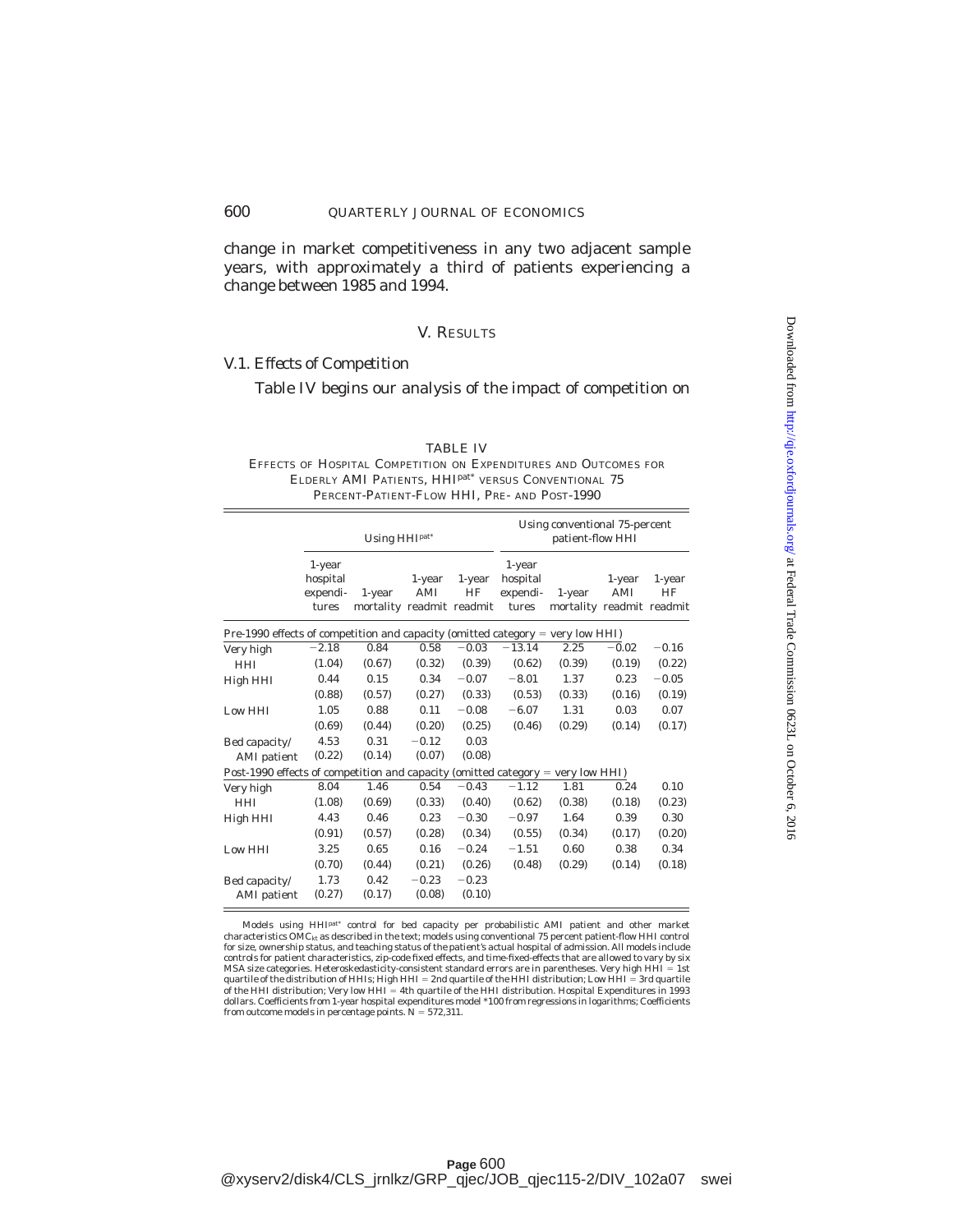## 600 *QUARTERLY JOURNAL OF ECONOMICS*

change in market competitiveness in any two adjacent sample years, with approximately a third of patients experiencing a change between 1985 and 1994.

### V. RESULTS

## *V.1. Effects of Competition*

Table IV begins our analysis of the impact of competition on

| TABLE IV                                                         |
|------------------------------------------------------------------|
| EFFECTS OF HOSPITAL COMPETITION ON EXPENDITURES AND OUTCOMES FOR |
| ELDERLY AMI PATIENTS. HHIPat <sup>*</sup> VERSUS CONVENTIONAL 75 |
| PERCENT-PATIENT-FLOW HHI. PRE- AND POST-1990                     |

TABLE IV

|                                                                                  |                                         | Using HHIpat*                       |                   |                   |                                         | Using conventional 75-percent<br>patient-flow HHI |               |              |
|----------------------------------------------------------------------------------|-----------------------------------------|-------------------------------------|-------------------|-------------------|-----------------------------------------|---------------------------------------------------|---------------|--------------|
|                                                                                  | 1-year<br>hospital<br>expendi-<br>tures | 1-year<br>mortality readmit readmit | 1-year<br>AMI     | 1-year<br>HF      | 1-year<br>hospital<br>expendi-<br>tures | 1-year<br>mortality readmit readmit               | 1-year<br>AMI | 1-year<br>HF |
| $Pre-1990$ effects of competition and capacity (omitted category = very low HHI) |                                         |                                     |                   |                   |                                         |                                                   |               |              |
| Very high                                                                        | $-2.18$                                 | 0.84                                | 0.58              | $-0.03$           | $-13.14$                                | 2.25                                              | $-0.02$       | $-0.16$      |
| <b>HHI</b>                                                                       | (1.04)                                  | (0.67)                              | (0.32)            | (0.39)            | (0.62)                                  | (0.39)                                            | (0.19)        | (0.22)       |
| High HHI                                                                         | 0.44                                    | 0.15                                | 0.34              | $-0.07$           | $-8.01$                                 | 1.37                                              | 0.23          | $-0.05$      |
|                                                                                  | (0.88)                                  | (0.57)                              | (0.27)            | (0.33)            | (0.53)                                  | (0.33)                                            | (0.16)        | (0.19)       |
| Low HHI                                                                          | 1.05                                    | 0.88                                | 0.11              | $-0.08$           | $-6.07$                                 | 1.31                                              | 0.03          | 0.07         |
|                                                                                  | (0.69)                                  | (0.44)                              | (0.20)            | (0.25)            | (0.46)                                  | (0.29)                                            | (0.14)        | (0.17)       |
| Bed capacity/<br><b>AMI</b> patient                                              | 4.53<br>(0.22)                          | 0.31<br>(0.14)                      | $-0.12$<br>(0.07) | 0.03<br>(0.08)    |                                         |                                                   |               |              |
| Post-1990 effects of competition and capacity (omitted category = very low HHI)  |                                         |                                     |                   |                   |                                         |                                                   |               |              |
| Very high                                                                        | 8.04                                    | 1.46                                | 0.54              | $-0.43$           | $-1.12$                                 | 1.81                                              | 0.24          | 0.10         |
| <b>HHI</b>                                                                       | (1.08)                                  | (0.69)                              | (0.33)            | (0.40)            | (0.62)                                  | (0.38)                                            | (0.18)        | (0.23)       |
| High HHI                                                                         | 4.43                                    | 0.46                                | 0.23              | $-0.30$           | $-0.97$                                 | 1.64                                              | 0.39          | 0.30         |
|                                                                                  | (0.91)                                  | (0.57)                              | (0.28)            | (0.34)            | (0.55)                                  | (0.34)                                            | (0.17)        | (0.20)       |
| Low HHI                                                                          | 3.25                                    | 0.65                                | 0.16              | $-0.24$           | $-1.51$                                 | 0.60                                              | 0.38          | 0.34         |
|                                                                                  | (0.70)                                  | (0.44)                              | (0.21)            | (0.26)            | (0.48)                                  | (0.29)                                            | (0.14)        | (0.18)       |
| Bed capacity/<br><b>AMI</b> patient                                              | 1.73<br>(0.27)                          | 0.42<br>(0.17)                      | $-0.23$<br>(0.08) | $-0.23$<br>(0.10) |                                         |                                                   |               |              |

Models using *HHI*pat\* control for bed capacity per probabilistic AMI patient and other market characteristics *OMCkt* as described in the text; models using conventional 75 percent patient-flow HHI control for size, ownership status, and teaching status of the patient's actual hospital of admission. All models include controls for patient characteristics, zip-code fixed effects, and time-fixed-effects that are allowed to vary by six<br>MSA size categories. Heteroskedasticity-consistent standard errors are in parentheses. Very high HHI = 1s quartile of the distribution of HHIs; High HHI = 2nd quartile of the HHI distribution; Low HHI = 3rd quartile of the HHI distribution; Very low HHI 5 4th quartile of the HHI distribution. Hospital Expenditures in 1993 dollars. Coefficients from 1-year hospital expenditures model \*100 from regressions in logarithms; Coefficients<br>from outcome models in percentage points. N = 572,311.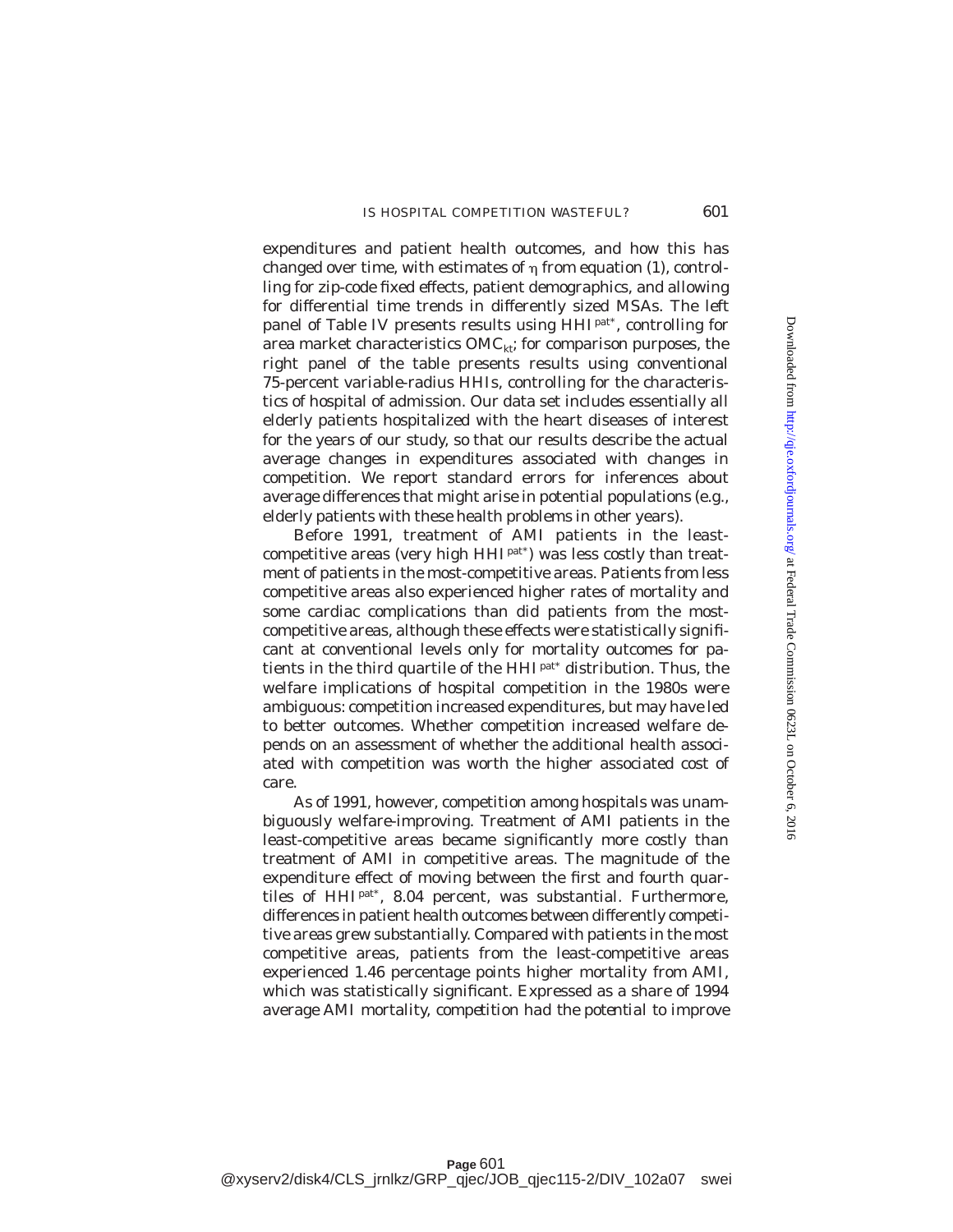expenditures and patient health outcomes, and how this has changed over time, with estimates of  $\eta$  from equation (1), controlling for zip-code fixed effects, patient demographics, and allowing for differential time trends in differently sized MSAs. The left panel of Table IV presents results using  $HHI<sup>pat*</sup>$ , controlling for area market characteristics *OMCkt*; for comparison purposes, the right panel of the table presents results using conventional 75-percent variable-radius HHIs, controlling for the characteristics of hospital of admission. Our data set includes essentially all elderly patients hospitalized with the heart diseases of interest for the years of our study, so that our results describe the actual average changes in expenditures associated with changes in competition. We report standard errors for inferences about average differences that might arise in potential populations (e.g., elderly patients with these health problems in other years).

Before 1991, treatment of AMI patients in the leastcompetitive areas (very high *HHI*<sup>pat\*</sup>) was less costly than treatment of patients in the most-competitive areas. Patients from less competitive areas also experienced higher rates of mortality and some cardiac complications than did patients from the mostcompetitive areas, although these effects were statistically significant at conventional levels only for mortality outcomes for patients in the third quartile of the *HHI*<sup>pat\*</sup> distribution. Thus, the welfare implications of hospital competition in the 1980s were ambiguous: competition increased expenditures, but may have led to better outcomes. Whether competition increased welfare depends on an assessment of whether the additional health associated with competition was worth the higher associated cost of care.

As of 1991, however, competition among hospitals was unambiguously welfare-improving. Treatment of AMI patients in the least-competitive areas became significantly *more* costly than treatment of AMI in competitive areas. The magnitude of the expenditure effect of moving between the first and fourth quartiles of *HHI*<sup>pat\*</sup>, 8.04 percent, was substantial. Furthermore, differences in patient health outcomes between differently competitive areas grew substantially. Compared with patients in the most competitive areas, patients from the least-competitive areas experienced 1.46 percentage points higher mortality from AMI, which was statistically significant. Expressed as a share of 1994 average AMI mortality, *competition had the potential to improve*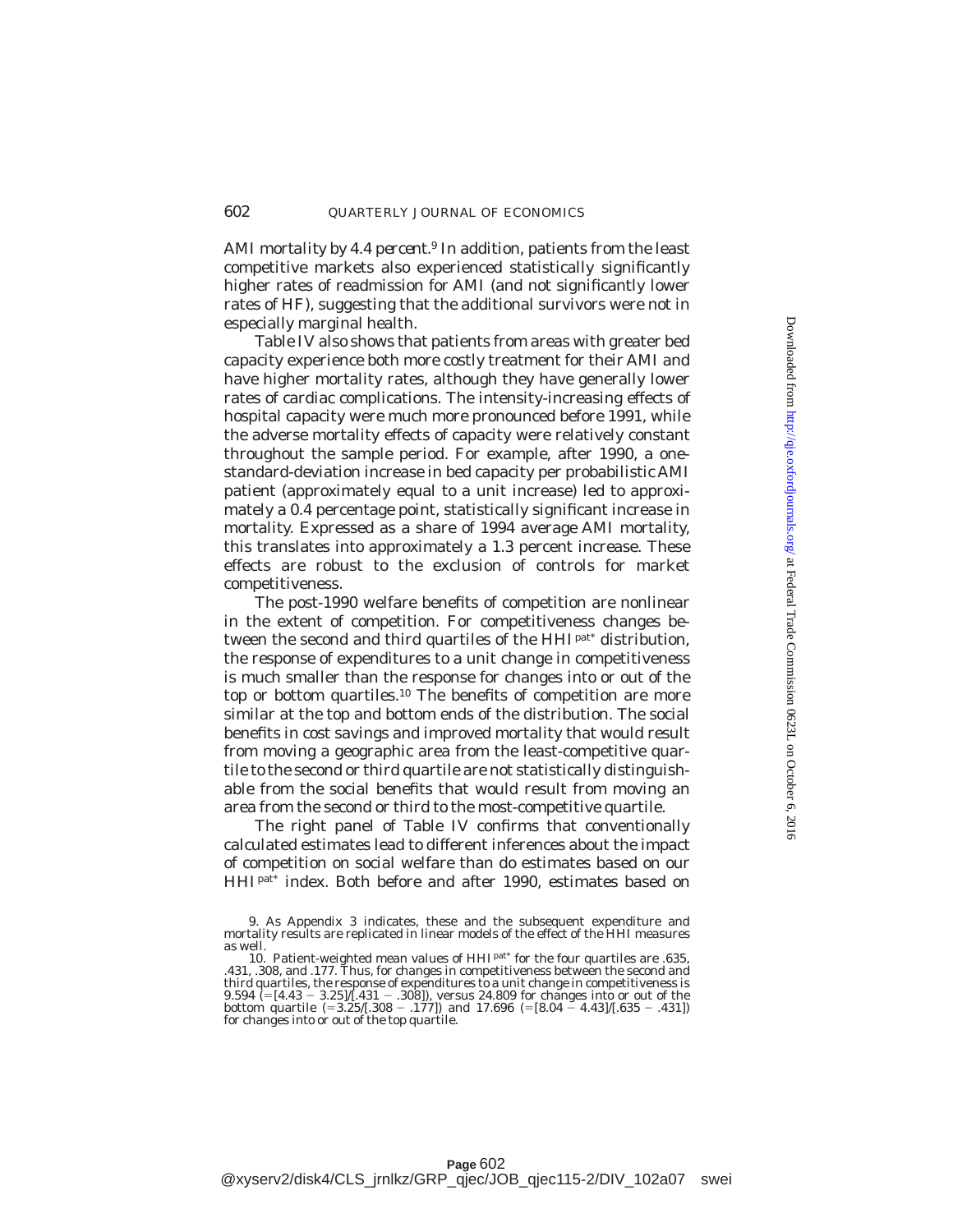*AMI mortality by 4.4 percent.*<sup>9</sup> In addition, patients from the least competitive markets also experienced statistically significantly higher rates of readmission for AMI (and not significantly lower rates of HF), suggesting that the additional survivors were not in especially marginal health.

Table IV also shows that patients from areas with greater bed capacity experience both more costly treatment for their AMI and have higher mortality rates, although they have generally lower rates of cardiac complications. The intensity-increasing effects of hospital capacity were much more pronounced before 1991, while the adverse mortality effects of capacity were relatively constant throughout the sample period. For example, after 1990, a onestandard-deviation increase in bed capacity per probabilistic AMI patient (approximately equal to a unit increase) led to approximately a 0.4 percentage point, statistically significant increase in mortality. Expressed as a share of 1994 average AMI mortality, this translates into approximately a 1.3 percent increase. These effects are robust to the exclusion of controls for market competitiveness.

The post-1990 welfare benefits of competition are nonlinear in the extent of competition. For competitiveness changes between the second and third quartiles of the *HHI*<sup>pat\*</sup> distribution, the response of expenditures to a unit change in competitiveness is much smaller than the response for changes into or out of the top or bottom quartiles.10 The benefits of competition are more similar at the top and bottom ends of the distribution. The social benefits in cost savings and improved mortality that would result from moving a geographic area from the least-competitive quartile to the second or third quartile are not statistically distinguishable from the social benefits that would result from moving an area from the second or third to the most-competitive quartile.

The right panel of Table IV confirms that conventionally calculated estimates lead to different inferences about the impact of competition on social welfare than do estimates based on our HHI<sup>pat\*</sup> index. Both before and after 1990, estimates based on

<sup>9.</sup> As Appendix 3 indicates, these and the subsequent expenditure and mortality results are replicated in linear models of the effect of the *HHI* measures as well.

<sup>10.</sup> Patient-weighted mean values of *HHI*<sup>pat\*</sup> for the four quartiles are .635, .431, .308, and .177. Thus, for changes in competitiveness between the second and third quartiles, the response of expenditures to a unit change in competitiveness is<br>9.594 (=[4.43 – 3.25]/[.431 – .308]), versus 24.809 for changes into or out of the<br>bottom quartile (=3.25/[.308 – .177]) and 17.696 for changes into or out of the top quartile.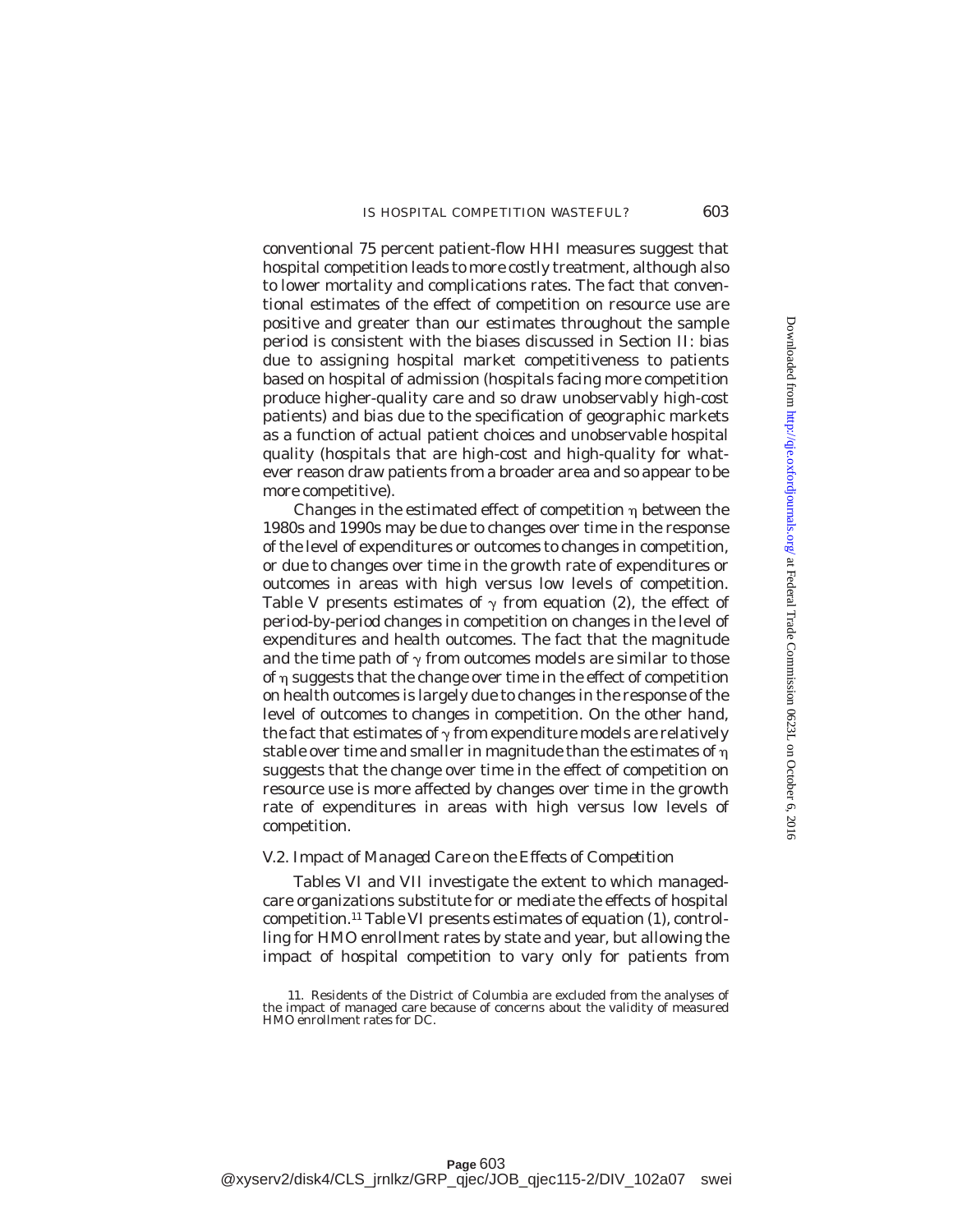conventional 75 percent patient-flow HHI measures suggest that hospital competition leads to more costly treatment, although also to lower mortality and complications rates. The fact that conventional estimates of the effect of competition on resource use are positive and greater than our estimates throughout the sample period is consistent with the biases discussed in Section II: bias due to assigning hospital market competitiveness to patients based on hospital of admission (hospitals facing more competition produce higher-quality care and so draw unobservably high-cost patients) and bias due to the specification of geographic markets as a function of actual patient choices and unobservable hospital quality (hospitals that are high-cost and high-quality for whatever reason draw patients from a broader area and so appear to be more competitive).

Changes in the estimated effect of competition  $\eta$  between the 1980s and 1990s may be due to changes over time in the response of the level of expenditures or outcomes to changes in competition, or due to changes over time in the growth rate of expenditures or outcomes in areas with high versus low levels of competition. Table V presents estimates of  $\gamma$  from equation (2), the effect of period-by-period changes in competition on changes in the level of expenditures and health outcomes. The fact that the magnitude and the time path of  $\gamma$  from outcomes models are similar to those of  $\eta$  suggests that the change over time in the effect of competition on health outcomes is largely due to changes in the response of the level of outcomes to changes in competition. On the other hand, the fact that estimates of  $\gamma$  from expenditure models are relatively stable over time and smaller in magnitude than the estimates of  $\eta$ suggests that the change over time in the effect of competition on resource use is more affected by changes over time in the growth rate of expenditures in areas with high versus low levels of competition.

### *V.2. Impact of Managed Care on the Effects of Competition*

Tables VI and VII investigate the extent to which managedcare organizations substitute for or mediate the effects of hospital competition.<sup>11</sup> Table VI presents estimates of equation (1), controlling for HMO enrollment rates by state and year, but allowing the impact of hospital competition to vary only for patients from

<sup>11.</sup> Residents of the District of Columbia are excluded from the analyses of the impact of managed care because of concerns about the validity of measured HMO enrollment rates for DC.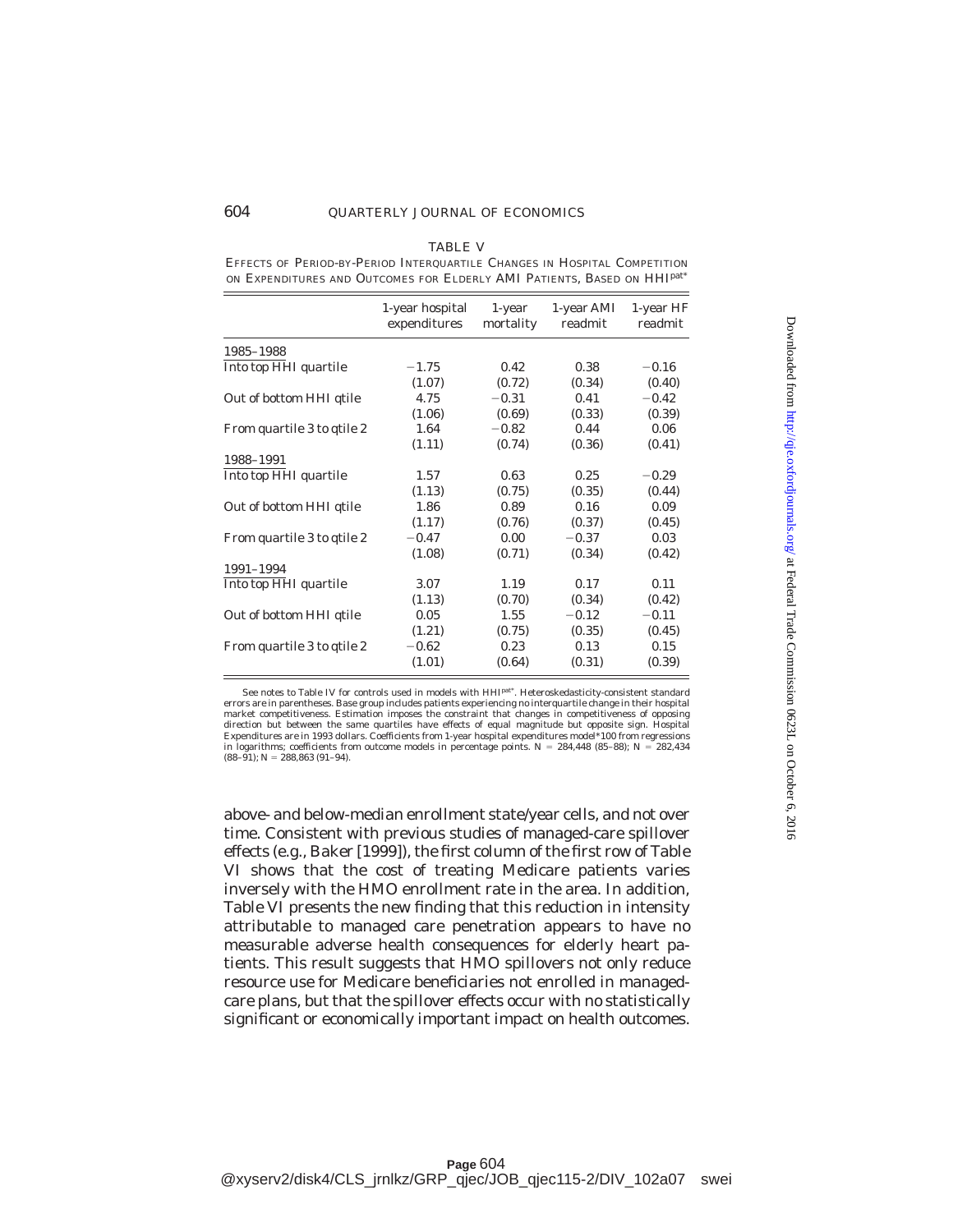### 604 *QUARTERLY JOURNAL OF ECONOMICS*

#### TABLE V

|                            | 1-year hospital<br>expenditures | 1-year<br>mortality | 1-year AMI<br>readmit | 1-year HF<br>readmit |
|----------------------------|---------------------------------|---------------------|-----------------------|----------------------|
| 1985-1988                  |                                 |                     |                       |                      |
| Into top HHI quartile      | $-1.75$                         | 0.42                | 0.38                  | $-0.16$              |
|                            | (1.07)                          | (0.72)              | (0.34)                | (0.40)               |
| Out of bottom HHI qtile    | 4.75                            | $-0.31$             | 0.41                  | $-0.42$              |
|                            | (1.06)                          | (0.69)              | (0.33)                | (0.39)               |
| From quartile 3 to gtile 2 | 1.64                            | $-0.82$             | 0.44                  | 0.06                 |
|                            | (1.11)                          | (0.74)              | (0.36)                | (0.41)               |
| 1988-1991                  |                                 |                     |                       |                      |
| Into top HHI quartile      | 1.57                            | 0.63                | 0.25                  | $-0.29$              |
|                            | (1.13)                          | (0.75)              | (0.35)                | (0.44)               |
| Out of bottom HHI gtile    | 1.86                            | 0.89                | 0.16                  | 0.09                 |
|                            | (1.17)                          | (0.76)              | (0.37)                | (0.45)               |
| From quartile 3 to qtile 2 | $-0.47$                         | 0.00                | $-0.37$               | 0.03                 |
|                            | (1.08)                          | (0.71)              | (0.34)                | (0.42)               |
| 1991-1994                  |                                 |                     |                       |                      |
| Into top HHI quartile      | 3.07                            | 1.19                | 0.17                  | 0.11                 |
|                            | (1.13)                          | (0.70)              | (0.34)                | (0.42)               |
| Out of bottom HHI qtile    | 0.05                            | 1.55                | $-0.12$               | $-0.11$              |
|                            | (1.21)                          | (0.75)              | (0.35)                | (0.45)               |
| From quartile 3 to gtile 2 | $-0.62$                         | 0.23                | 0.13                  | 0.15                 |
|                            | (1.01)                          | (0.64)              | (0.31)                | (0.39)               |

EFFECTS OF PERIOD-BY-PERIOD INTERQUARTILE CHANGES IN HOSPITAL COMPETITION ON EXPENDITURES AND OUTCOMES FOR ELDERLY AMI PATIENTS, BASED ON *HHI*pat\*

See notes to Table IV for controls used in models with *HHI*pat\*. Heteroskedasticity-consistent standard errors are in parentheses. Base group includes patients experiencing no interquartile change in their hospital market competitiveness. Estimation imposes the constraint that changes in competitiveness of opposing direction but between the same quartiles have effects of equal magnitude but opposite sign. Hospital Expenditures are in 1993 dollars. Coefficients from 1-year hospital expenditures model\*100 from regressions in logarithms; coefficients from outcome models in percentage points. N = 284,448 (85–88); N = 282,434<br>(88–91); N = 288,863 (91–94).

above- and below-median enrollment state/year cells, and not over time. Consistent with previous studies of managed-care spillover effects (e.g., Baker [1999]), the first column of the first row of Table VI shows that the cost of treating Medicare patients varies inversely with the HMO enrollment rate in the area. In addition, Table VI presents the new finding that this reduction in intensity attributable to managed care penetration appears to have no measurable adverse health consequences for elderly heart patients. This result suggests that HMO spillovers not only reduce resource use for Medicare beneficiaries not enrolled in managedcare plans, but that the spillover effects occur with no statistically significant or economically important impact on health outcomes.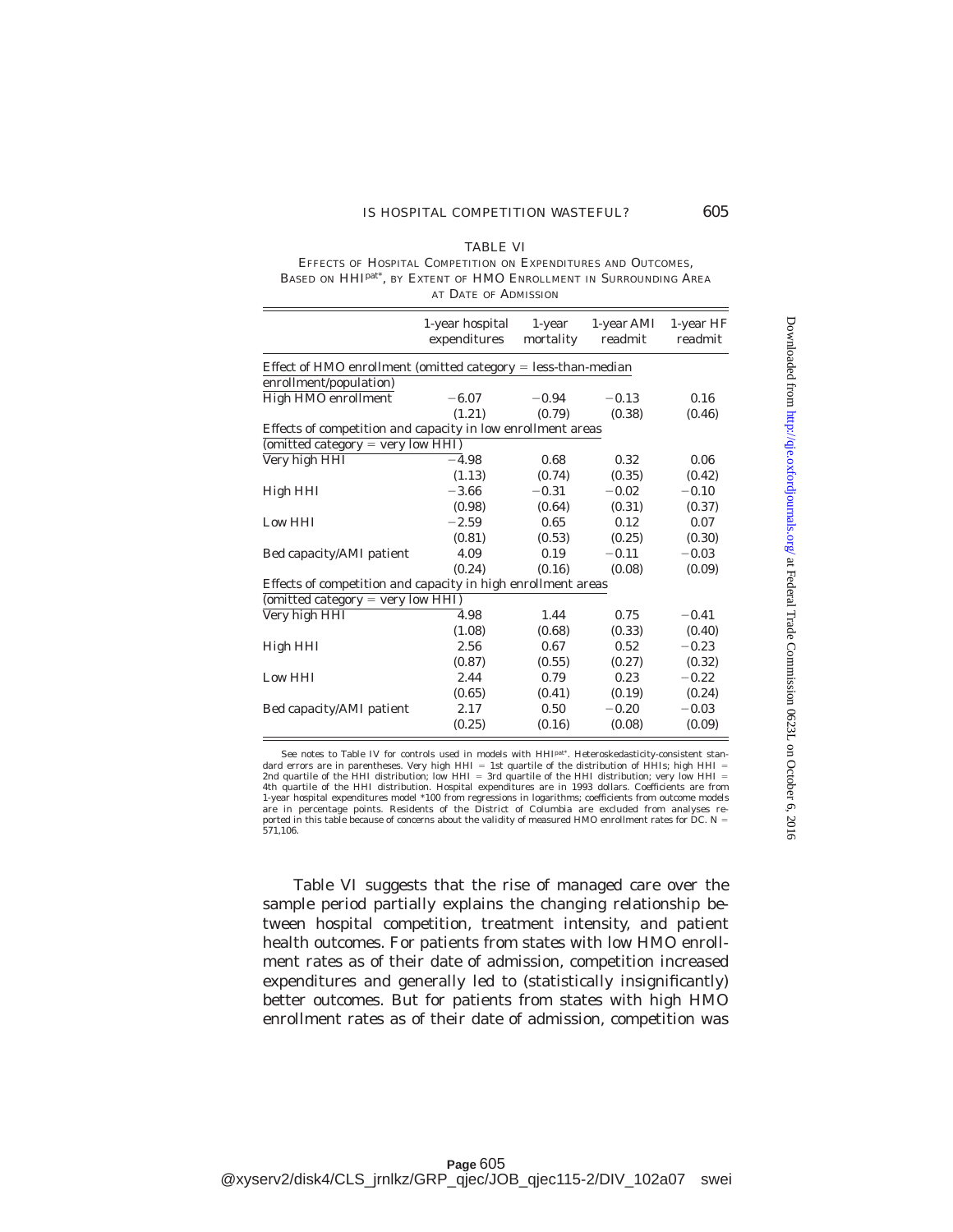|--|--|

| EFFECTS OF HOSPITAL COMPETITION ON EXPENDITURES AND OUTCOMES.                  |
|--------------------------------------------------------------------------------|
| BASED ON HHIP <sup>at*</sup> , BY EXTENT OF HMO ENROLLMENT IN SURROUNDING AREA |
| AT DATE OF ADMISSION                                                           |

|                                                                 | 1-year hospital<br>expenditures | 1-year<br>mortality | 1-year AMI<br>readmit | 1-year HF<br>readmit |
|-----------------------------------------------------------------|---------------------------------|---------------------|-----------------------|----------------------|
| Effect of HMO enrollment (omitted category $=$ less-than-median |                                 |                     |                       |                      |
| enrollment/population)                                          |                                 |                     |                       |                      |
| High HMO enrollment                                             | $-6.07$                         | $-0.94$             | $-0.13$               | 0.16                 |
|                                                                 | (1.21)                          | (0.79)              | (0.38)                | (0.46)               |
| Effects of competition and capacity in low enrollment areas     |                                 |                     |                       |                      |
| (omitted category $=$ very low HHI)                             |                                 |                     |                       |                      |
| Very high HHI                                                   | $-4.98$                         | 0.68                | 0.32                  | 0.06                 |
|                                                                 | (1.13)                          | (0.74)              | (0.35)                | (0.42)               |
| High HHI                                                        | $-3.66$                         | $-0.31$             | $-0.02$               | $-0.10$              |
|                                                                 | (0.98)                          | (0.64)              | (0.31)                | (0.37)               |
| <b>Low HHI</b>                                                  | $-2.59$                         | 0.65                | 0.12                  | 0.07                 |
|                                                                 | (0.81)                          | (0.53)              | (0.25)                | (0.30)               |
| Bed capacity/AMI patient                                        | 4.09                            | 0.19                | $-0.11$               | $-0.03$              |
|                                                                 | (0.24)                          | (0.16)              | (0.08)                | (0.09)               |
| Effects of competition and capacity in high enrollment areas    |                                 |                     |                       |                      |
| (omitted category $=$ very low HHI)                             |                                 |                     |                       |                      |
| Very high HHI                                                   | 4.98                            | 1.44                | 0.75                  | $-0.41$              |
|                                                                 | (1.08)                          | (0.68)              | (0.33)                | (0.40)               |
| High HHI                                                        | 2.56                            | 0.67                | 0.52                  | $-0.23$              |
|                                                                 | (0.87)                          | (0.55)              | (0.27)                | (0.32)               |
| Low HHI                                                         | 2.44                            | 0.79                | 0.23                  | $-0.22$              |
|                                                                 | (0.65)                          | (0.41)              | (0.19)                | (0.24)               |
| Bed capacity/AMI patient                                        | 2.17                            | 0.50                | $-0.20$               | $-0.03$              |
|                                                                 | (0.25)                          | (0.16)              | (0.08)                | (0.09)               |

See notes to Table IV for controls used in models with *HHI*pat\*. Heteroskedasticity-consistent standard errors are in parentheses. Very high HHI = 1st quartile of the distribution of HHIs; high HHI =<br>2nd quartile of the HHI distribution; low HHI = 3rd quartile of the HHI distribution; very low HHI = 4th quartile of the HHI distribution. Hospital expenditures are in 1993 dollars. Coefficients are from 1-year hospital expenditures model \*100 from regressions in logarithms; coefficients from outcome models are in percentage points. Residents of the District of Columbia are excluded from analyses reported in this table because of concerns about the validity of measured HMO enrollment rates for DC. N =<br>571,106.

Table VI suggests that the rise of managed care over the sample period partially explains the changing relationship between hospital competition, treatment intensity, and patient health outcomes. For patients from states with low HMO enrollment rates as of their date of admission, competition increased expenditures and generally led to (statistically insignificantly) better outcomes. But for patients from states with high HMO enrollment rates as of their date of admission, competition was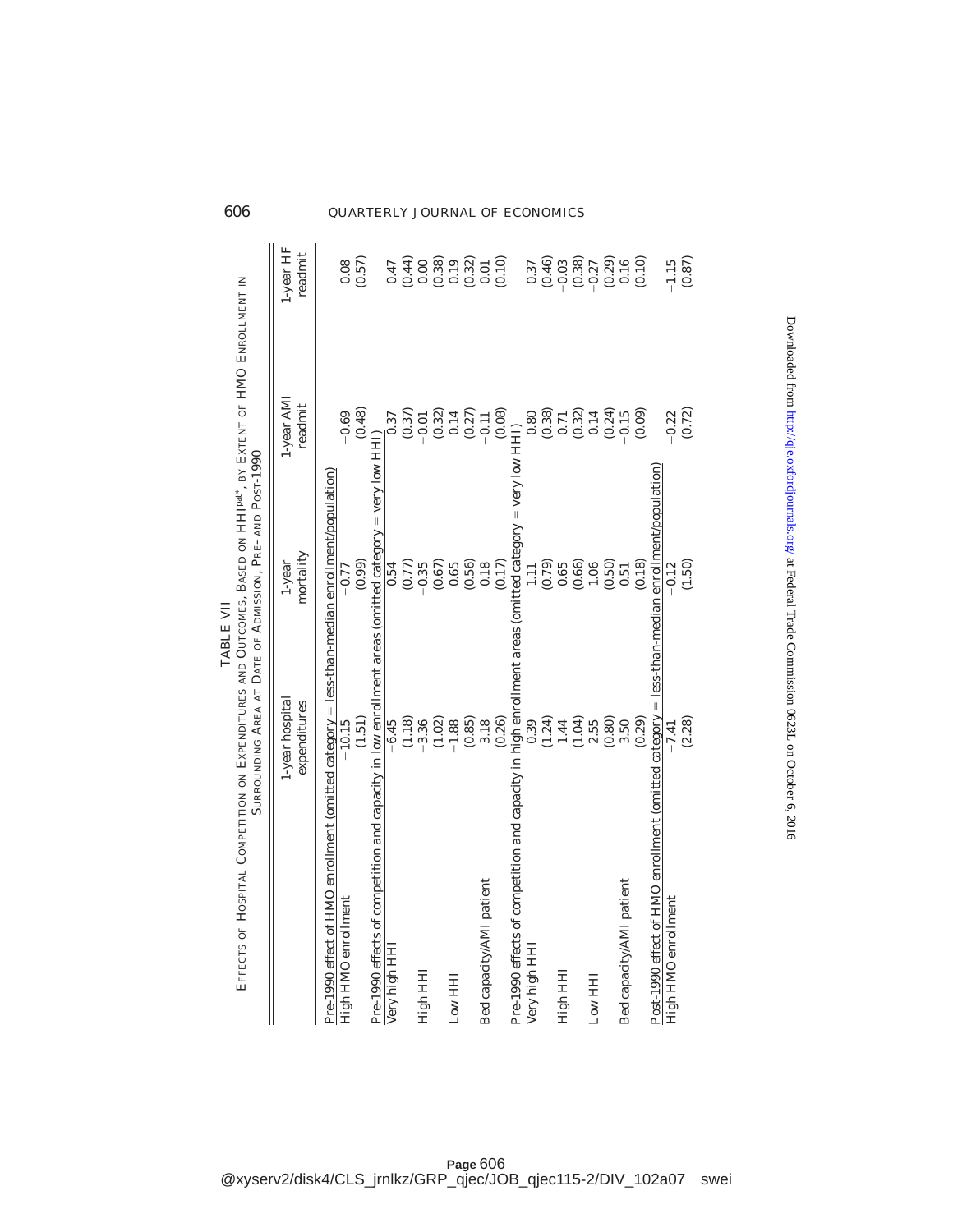| EFFECTS OF HOSPITAL COMPETITION ON EXPENDITURES AND OUTCOMES, BASED ON HHIP <sup>at</sup> , by EXTENT OF HMO ENROLLMENT IN | SURROUNDING AREA AT DATE OF ADMISSION, PRE- AND POST-1990 |                                                               |                                                                                                  |                                                       |
|----------------------------------------------------------------------------------------------------------------------------|-----------------------------------------------------------|---------------------------------------------------------------|--------------------------------------------------------------------------------------------------|-------------------------------------------------------|
|                                                                                                                            | 1-year hospital<br>expenditures                           | mortality<br>$1$ -year                                        | 1-year AMI<br>readmit                                                                            | 1-year HF<br>readmit                                  |
| Pre-1990 effect of HMO enrollment (omitted category = less-than-median enrollment/population)                              |                                                           |                                                               |                                                                                                  |                                                       |
| High HMO enrollment                                                                                                        | $-10.15$                                                  | $-0.77$                                                       | $-0.69$                                                                                          | 0.08                                                  |
|                                                                                                                            | (1.51)                                                    | (0.99)                                                        | (0.48)                                                                                           | (0.57)                                                |
| Pre-1990 effects of competition and capacity in low enrollment areas (omitted category = very low HHI)                     |                                                           |                                                               |                                                                                                  |                                                       |
| Very high HH                                                                                                               | $-6.45$                                                   | 0.54                                                          | 0.37                                                                                             | 0.47                                                  |
|                                                                                                                            | (1.18)                                                    |                                                               | $(0.37)$<br>-0.01                                                                                |                                                       |
| High HHI                                                                                                                   | $-3.36$                                                   | $(0.77)$<br>-0.35                                             |                                                                                                  |                                                       |
|                                                                                                                            | $(1.02)$                                                  |                                                               |                                                                                                  | $(0.44)$<br>$0.00$<br>$0.38$<br>$0.19$                |
| Low HHI                                                                                                                    | $-1.88$                                                   | $\begin{array}{c} (0.67) \\ 0.65 \end{array}$                 |                                                                                                  |                                                       |
|                                                                                                                            | (0.85)                                                    | (0.56)                                                        | $\begin{array}{c} (0.32) \\ 0.14 \\ (0.27) \\ -0.11 \end{array}$                                 | $(0.32)$<br>0.01                                      |
| Bed capacity/AMI patient                                                                                                   | 3.18                                                      | 0.18                                                          |                                                                                                  |                                                       |
|                                                                                                                            | (0.26)                                                    | (0.17)                                                        | (0.08)                                                                                           | (0.10)                                                |
| Pre-1990 effects of competition and capacity in high enrollment areas (omitted category = very low HHI)                    |                                                           |                                                               |                                                                                                  |                                                       |
| Very high HHI                                                                                                              | $-0.39$                                                   |                                                               |                                                                                                  | $-0.37$                                               |
|                                                                                                                            |                                                           | $1.11$<br>(0.79)                                              |                                                                                                  | (0.46)                                                |
| High HHI                                                                                                                   | $(1.24)$<br>1.44                                          |                                                               |                                                                                                  | $-0.03$                                               |
|                                                                                                                            | (1.04)                                                    |                                                               |                                                                                                  | (0.38)                                                |
| Low HHI                                                                                                                    | 2.55                                                      |                                                               |                                                                                                  | $-0.27$                                               |
|                                                                                                                            | (0.80)                                                    | $\begin{array}{c} 0.65 \\ 0.66) \\ 1.06 \\ 0.50) \end{array}$ | $\begin{array}{c} 0.80 \\ 0.38) \\ 0.71 \\ 0.32) \\ 0.14 \\ 0.24) \\ 0.24) \\ -0.15 \end{array}$ | $\begin{array}{c} (0.29) \\ 0.16 \\ 0.10 \end{array}$ |
| Bed capacity/AMI patient                                                                                                   | 3.50                                                      | 0.51                                                          |                                                                                                  |                                                       |
|                                                                                                                            | (0.29)                                                    | (0.18)                                                        | (0.09)                                                                                           |                                                       |
| Post-1990 effect of HMO enrollment (omitted category = less-than-median enrollment/population)                             |                                                           |                                                               |                                                                                                  |                                                       |
| High HMO enrollment                                                                                                        | $-7.41$                                                   | $-0.12$                                                       | $-0.22$                                                                                          | $-1.15$                                               |
|                                                                                                                            | (2.28)                                                    | (1.50)                                                        | (0.72)                                                                                           | (0.87)                                                |

TABLE VII

TABLE VII

# 606 *QUARTERLY JOURNAL OF ECONOMICS*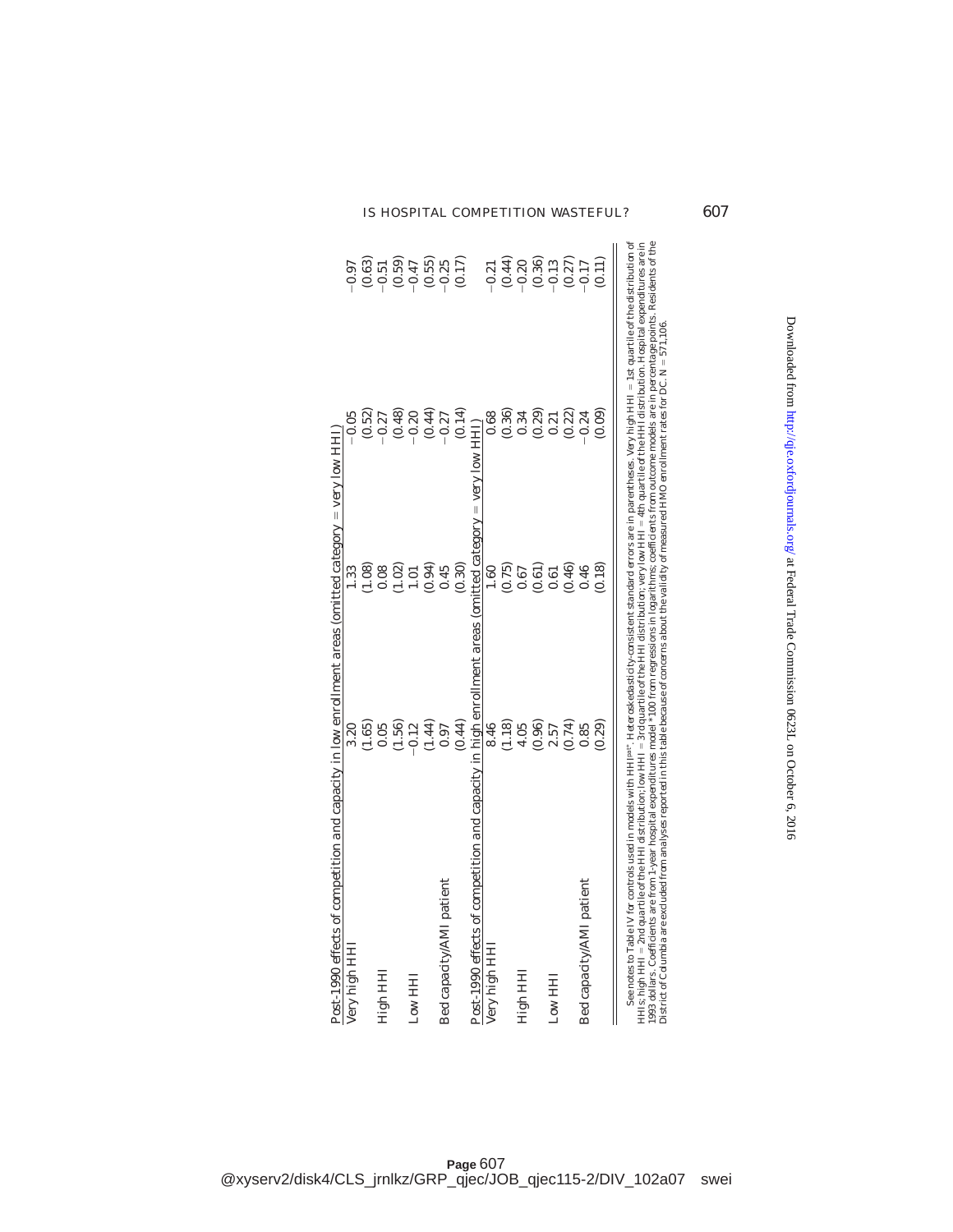| Post-1990 effects of competition and capacity in low enrollment areas (omitted category = very low HHI                                                                              |         |          |         |                     |
|-------------------------------------------------------------------------------------------------------------------------------------------------------------------------------------|---------|----------|---------|---------------------|
| Very high HHI                                                                                                                                                                       | 3.20    | 1.33     | $-0.05$ | $-0.97$             |
|                                                                                                                                                                                     | (1.65)  | (1.08)   | (0.52)  | (0.63)              |
| High HHI                                                                                                                                                                            | 0.05    | 0.08     | $-0.27$ | $-0.51$             |
|                                                                                                                                                                                     | (1.56)  | (1.02)   | (0.48)  | (0.59)              |
| Low HHI                                                                                                                                                                             | $-0.12$ | $1.01\,$ | $-0.20$ | $-0.47$             |
|                                                                                                                                                                                     | (1.44)  | (0.94)   | (0.44)  | $(0.55)$<br>$-0.25$ |
| Bed capacity/AMI patient                                                                                                                                                            | 0.97    | 0.45     | $-0.27$ |                     |
|                                                                                                                                                                                     | (0.44)  | (0.30)   | (0.14)  | (0.17)              |
| Post-1990 effects of competition and capacity in high enrollment areas (omitted category = very low HHI)                                                                            |         |          |         |                     |
| Very high HHI                                                                                                                                                                       | 8.46    | 0.61     | 0.68    | $-0.21$             |
|                                                                                                                                                                                     | (1.18)  | (0.75)   | (0.36)  | (0.44)              |
| High HHI                                                                                                                                                                            | 4.05    | $0.67$   | 0.34    | $-0.20$             |
|                                                                                                                                                                                     | (0.96)  | (0.61)   | (0.29)  | $(0.36)$<br>-0.13   |
| Low HHI                                                                                                                                                                             | 2.57    | 0.61     | 0.21    |                     |
|                                                                                                                                                                                     | (0.74)  | (0.46)   | (0.22)  | (0.27)              |
| Bed capacity/AMI patient                                                                                                                                                            | 0.85    | 0.46     | $-0.24$ | $-0.17$             |
|                                                                                                                                                                                     | (0.29)  | (0.18)   | (0.09)  | (0.11)              |
| See notes to Table IV for controls used in models with HHIm". Heteroskedasticity-consistent standard errors are in parentheses. Very high HHI = 1st quartile of the distribution of |         |          |         |                     |

| S                                                                                                   |                      |                                                                                                                                                                                                                                |
|-----------------------------------------------------------------------------------------------------|----------------------|--------------------------------------------------------------------------------------------------------------------------------------------------------------------------------------------------------------------------------|
| ç                                                                                                   | į<br>ì               |                                                                                                                                                                                                                                |
| i të të sh                                                                                          | l<br>Ì               |                                                                                                                                                                                                                                |
| i                                                                                                   |                      |                                                                                                                                                                                                                                |
|                                                                                                     |                      |                                                                                                                                                                                                                                |
| <b>ת ייזורת</b>                                                                                     |                      |                                                                                                                                                                                                                                |
| ī<br>¢<br>i                                                                                         |                      | .106                                                                                                                                                                                                                           |
| j                                                                                                   |                      | ֧֢ׅ֧֧ׅ֧֧֧ׅ֪֧֧֧֚֚֚֚֚֚֚֚֚֚֚֚֚֚֚֚֚֚֚֚֚֚֚֚֚֚֬֡֘֓֡֘֜֓֡֓֡֜֓֡֡֡֬֓֡                                                                                                                                                                    |
|                                                                                                     | Ì                    | $\mathbf{  }$<br>Z                                                                                                                                                                                                             |
| $\overline{1}$                                                                                      | î                    | j                                                                                                                                                                                                                              |
|                                                                                                     |                      |                                                                                                                                                                                                                                |
|                                                                                                     |                      |                                                                                                                                                                                                                                |
|                                                                                                     |                      | nt rotac for DI                                                                                                                                                                                                                |
| i                                                                                                   | more                 |                                                                                                                                                                                                                                |
|                                                                                                     | $r$ oma              |                                                                                                                                                                                                                                |
|                                                                                                     |                      |                                                                                                                                                                                                                                |
| $-5.71377$<br>Ï                                                                                     |                      |                                                                                                                                                                                                                                |
| I                                                                                                   |                      |                                                                                                                                                                                                                                |
| $\frac{1}{1}$                                                                                       |                      | $-22$<br>I                                                                                                                                                                                                                     |
| I                                                                                                   |                      |                                                                                                                                                                                                                                |
| <b>DOM</b>                                                                                          |                      |                                                                                                                                                                                                                                |
| <b>WALK AT A STATE</b><br>ì                                                                         |                      |                                                                                                                                                                                                                                |
| i                                                                                                   | is a set             |                                                                                                                                                                                                                                |
| i                                                                                                   |                      |                                                                                                                                                                                                                                |
| $\ddot{\phantom{a}}$<br>ī                                                                           | r<br>S               | $\ddot{\phantom{a}}$<br>ł                                                                                                                                                                                                      |
| i                                                                                                   |                      | ł                                                                                                                                                                                                                              |
|                                                                                                     |                      |                                                                                                                                                                                                                                |
|                                                                                                     |                      |                                                                                                                                                                                                                                |
|                                                                                                     |                      |                                                                                                                                                                                                                                |
| --------                                                                                            |                      |                                                                                                                                                                                                                                |
| i                                                                                                   |                      |                                                                                                                                                                                                                                |
| こうしゅう こうしょう                                                                                         |                      | is the contract of the contract of the contract of the contract of the contract of the contract of the contract of the contract of the contract of the contract of the contract of the contract of the contract of the contrac |
|                                                                                                     | ł                    |                                                                                                                                                                                                                                |
| i Hindi                                                                                             |                      | $\mathbf{I}$                                                                                                                                                                                                                   |
|                                                                                                     | l                    | ţ                                                                                                                                                                                                                              |
|                                                                                                     |                      | .<br>.<br>.                                                                                                                                                                                                                    |
|                                                                                                     |                      |                                                                                                                                                                                                                                |
| l                                                                                                   |                      | ł                                                                                                                                                                                                                              |
|                                                                                                     | å                    | i<br>j                                                                                                                                                                                                                         |
| ï<br>Î                                                                                              |                      |                                                                                                                                                                                                                                |
| ĺ<br>i                                                                                              |                      |                                                                                                                                                                                                                                |
|                                                                                                     | is are               |                                                                                                                                                                                                                                |
|                                                                                                     |                      |                                                                                                                                                                                                                                |
| $= 7$ nd annart                                                                                     | í                    |                                                                                                                                                                                                                                |
| Ì                                                                                                   | $\ddot{\phantom{a}}$ | .<br>.<br>.                                                                                                                                                                                                                    |
| ֦֦֦֢֦֦֢֦֦֦֦֦֦֧֦֦֦֦֦֦֦֦֦֧֦ׅ֪ׅ֧ׅ֧ׅ֧ׅ֧ׅ֧֚֚֚֚֚֚֚֚֚֚֚֚֩֘֘֘֜֘֜֘֜֡֓֘֝֓֡֟֓֡֓֡֓֡֓֡֓֡֓֡֓֡֓֓֞֡֬֞֓֞֡֬֞֓֬֓֞֡֝֬֞֞ | i                    |                                                                                                                                                                                                                                |
| See not<br>ć                                                                                        |                      | į                                                                                                                                                                                                                              |
| i<br>I                                                                                              |                      | i<br>į                                                                                                                                                                                                                         |
|                                                                                                     |                      | ì<br>١                                                                                                                                                                                                                         |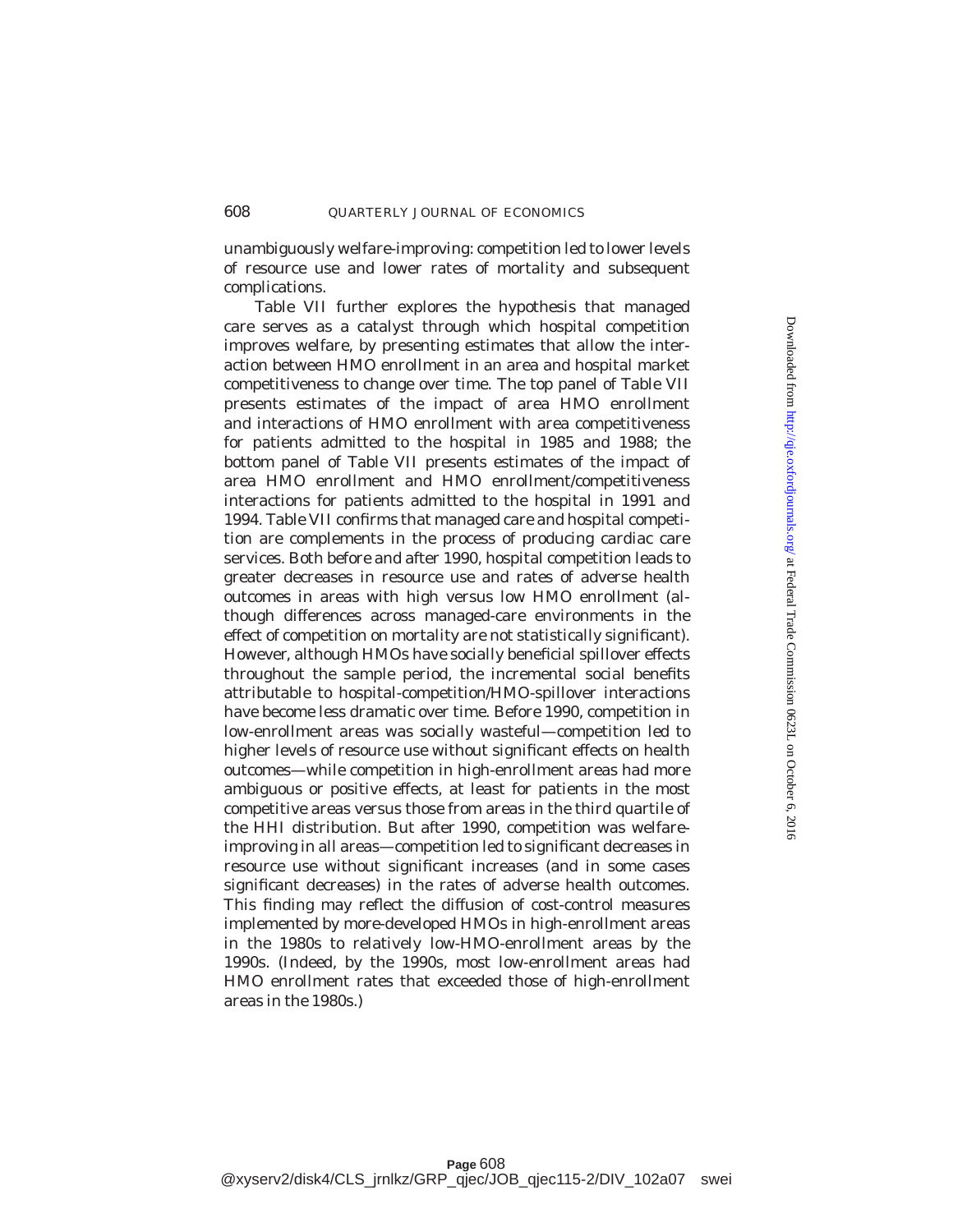unambiguously welfare-improving: competition led to lower levels of resource use and lower rates of mortality and subsequent complications.

Table VII further explores the hypothesis that managed care serves as a catalyst through which hospital competition improves welfare, by presenting estimates that allow the interaction between HMO enrollment in an area and hospital market competitiveness to change over time. The top panel of Table VII presents estimates of the impact of area HMO enrollment and interactions of HMO enrollment with area competitiveness for patients admitted to the hospital in 1985 and 1988; the bottom panel of Table VII presents estimates of the impact of area HMO enrollment and HMO enrollment/competitiveness interactions for patients admitted to the hospital in 1991 and 1994. Table VII confirms that managed care and hospital competition are complements in the process of producing cardiac care services. Both before and after 1990, hospital competition leads to greater decreases in resource use and rates of adverse health outcomes in areas with high versus low HMO enrollment (although differences across managed-care environments in the effect of competition on mortality are not statistically significant). However, although HMOs have socially beneficial spillover effects throughout the sample period, the incremental social benefits attributable to hospital-competition/HMO-spillover interactions have become less dramatic over time. Before 1990, competition in low-enrollment areas was socially wasteful—competition led to higher levels of resource use without significant effects on health outcomes—while competition in high-enrollment areas had more ambiguous or positive effects, at least for patients in the most competitive areas versus those from areas in the third quartile of the HHI distribution. But after 1990, competition was welfareimproving in all areas—competition led to significant decreases in resource use without significant increases (and in some cases significant decreases) in the rates of adverse health outcomes. This finding may reflect the diffusion of cost-control measures implemented by more-developed HMOs in high-enrollment areas in the 1980s to relatively low-HMO-enrollment areas by the 1990s. (Indeed, by the 1990s, most low-enrollment areas had HMO enrollment rates that exceeded those of high-enrollment areas in the 1980s.)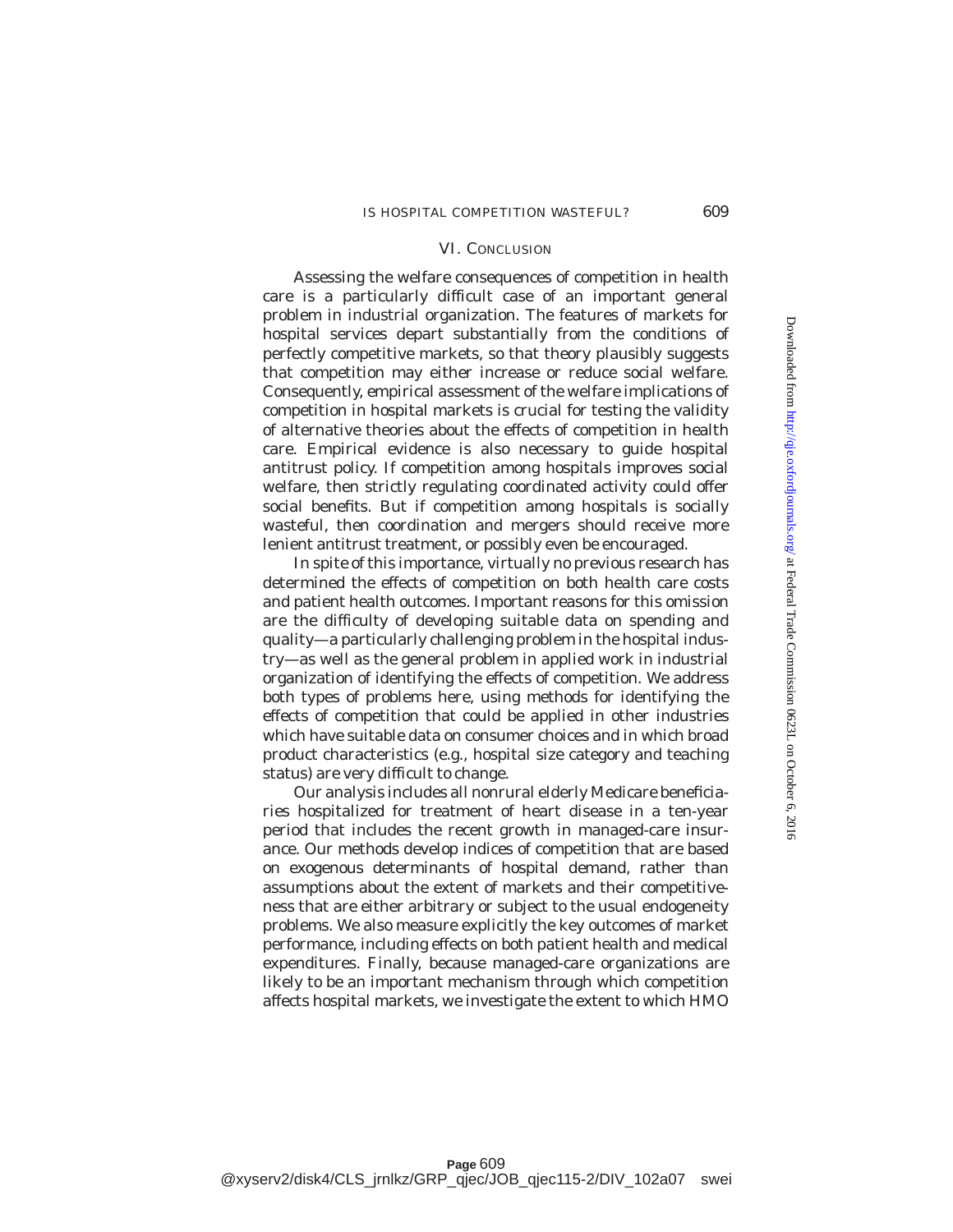### VI. CONCLUSION

Assessing the welfare consequences of competition in health care is a particularly difficult case of an important general problem in industrial organization. The features of markets for hospital services depart substantially from the conditions of perfectly competitive markets, so that theory plausibly suggests that competition may either increase or reduce social welfare. Consequently, empirical assessment of the welfare implications of competition in hospital markets is crucial for testing the validity of alternative theories about the effects of competition in health care. Empirical evidence is also necessary to guide hospital antitrust policy. If competition among hospitals improves social welfare, then strictly regulating coordinated activity could offer social benefits. But if competition among hospitals is socially wasteful, then coordination and mergers should receive more lenient antitrust treatment, or possibly even be encouraged.

In spite of this importance, virtually no previous research has determined the effects of competition on both health care costs and patient health outcomes. Important reasons for this omission are the difficulty of developing suitable data on spending and quality—a particularly challenging problem in the hospital industry—as well as the general problem in applied work in industrial organization of identifying the effects of competition. We address both types of problems here, using methods for identifying the effects of competition that could be applied in other industries which have suitable data on consumer choices and in which broad product characteristics (e.g., hospital size category and teaching status) are very difficult to change.

Our analysis includes all nonrural elderly Medicare beneficiaries hospitalized for treatment of heart disease in a ten-year period that includes the recent growth in managed-care insurance. Our methods develop indices of competition that are based on exogenous determinants of hospital demand, rather than assumptions about the extent of markets and their competitiveness that are either arbitrary or subject to the usual endogeneity problems. We also measure explicitly the key outcomes of market performance, including effects on both patient health and medical expenditures. Finally, because managed-care organizations are likely to be an important mechanism through which competition affects hospital markets, we investigate the extent to which HMO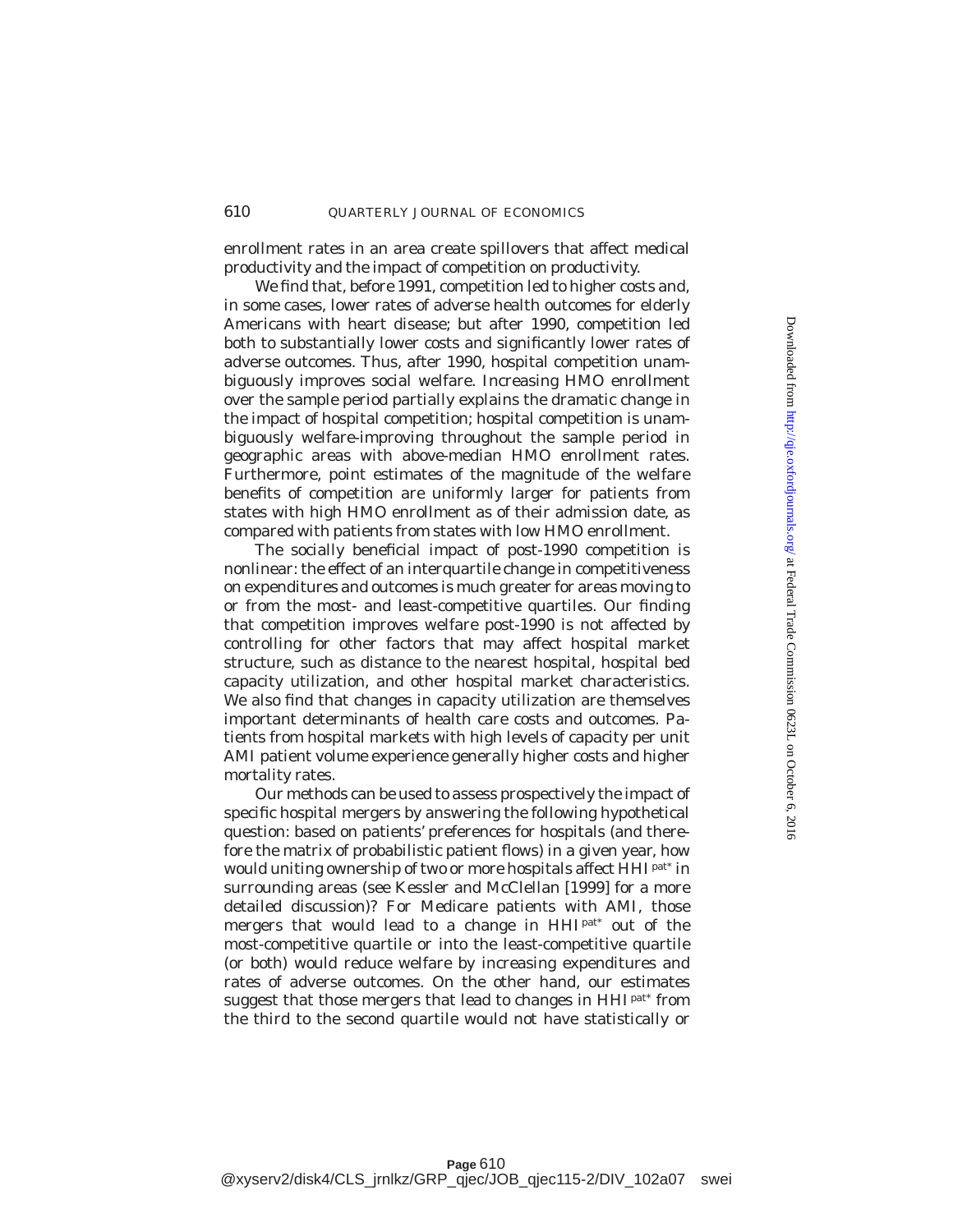enrollment rates in an area create spillovers that affect medical productivity and the impact of competition on productivity.

We find that, before 1991, competition led to higher costs and, in some cases, lower rates of adverse health outcomes for elderly Americans with heart disease; but after 1990, competition led both to substantially lower costs and significantly lower rates of adverse outcomes. Thus, after 1990, hospital competition unambiguously improves social welfare. Increasing HMO enrollment over the sample period partially explains the dramatic change in the impact of hospital competition; hospital competition is unambiguously welfare-improving throughout the sample period in geographic areas with above-median HMO enrollment rates. Furthermore, point estimates of the magnitude of the welfare benefits of competition are uniformly larger for patients from states with high HMO enrollment as of their admission date, as compared with patients from states with low HMO enrollment.

The socially beneficial impact of post-1990 competition is nonlinear: the effect of an interquartile change in competitiveness on expenditures and outcomes is much greater for areas moving to or from the most- and least-competitive quartiles. Our finding that competition improves welfare post-1990 is not affected by controlling for other factors that may affect hospital market structure, such as distance to the nearest hospital, hospital bed capacity utilization, and other hospital market characteristics. We also find that changes in capacity utilization are themselves important determinants of health care costs and outcomes. Patients from hospital markets with high levels of capacity per unit AMI patient volume experience generally higher costs and higher mortality rates.

Our methods can be used to assess prospectively the impact of specific hospital mergers by answering the following hypothetical question: based on patients' preferences for hospitals (and therefore the matrix of probabilistic patient flows) in a given year, how would uniting ownership of two or more hospitals affect *HHI*<sup>pat\*</sup> in surrounding areas (see Kessler and McClellan [1999] for a more detailed discussion)? For Medicare patients with AMI, those mergers that would lead to a change in *HHI*<sup>pat\*</sup> out of the most-competitive quartile or into the least-competitive quartile (or both) would reduce welfare by increasing expenditures and rates of adverse outcomes. On the other hand, our estimates suggest that those mergers that lead to changes in *HHI*<sup>pat\*</sup> from the third to the second quartile would not have statistically or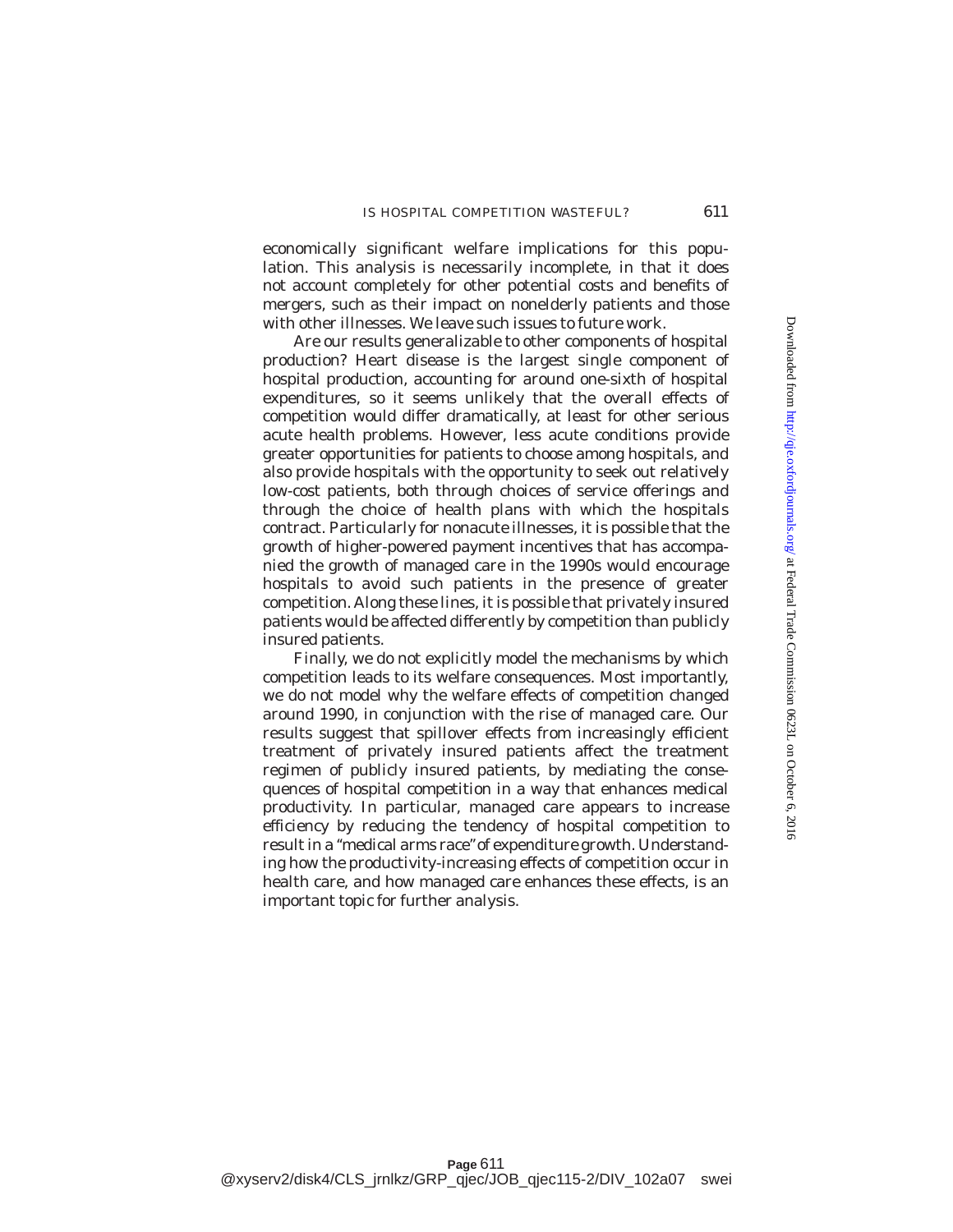economically significant welfare implications for this population. This analysis is necessarily incomplete, in that it does not account completely for other potential costs and benefits of mergers, such as their impact on nonelderly patients and those with other illnesses. We leave such issues to future work.

Are our results generalizable to other components of hospital production? Heart disease is the largest single component of hospital production, accounting for around one-sixth of hospital expenditures, so it seems unlikely that the overall effects of competition would differ dramatically, at least for other serious acute health problems. However, less acute conditions provide greater opportunities for patients to choose among hospitals, and also provide hospitals with the opportunity to seek out relatively low-cost patients, both through choices of service offerings and through the choice of health plans with which the hospitals contract. Particularly for nonacute illnesses, it is possible that the growth of higher-powered payment incentives that has accompanied the growth of managed care in the 1990s would encourage hospitals to avoid such patients in the presence of greater competition. Along these lines, it is possible that privately insured patients would be affected differently by competition than publicly insured patients.

Finally, we do not explicitly model the mechanisms by which competition leads to its welfare consequences. Most importantly, we do not model why the welfare effects of competition changed around 1990, in conjunction with the rise of managed care. Our results suggest that spillover effects from increasingly efficient treatment of privately insured patients affect the treatment regimen of publicly insured patients, by mediating the consequences of hospital competition in a way that enhances medical productivity. In particular, managed care appears to increase efficiency by reducing the tendency of hospital competition to result in a ''medical arms race''of expenditure growth. Understanding how the productivity-increasing effects of competition occur in health care, and how managed care enhances these effects, is an important topic for further analysis.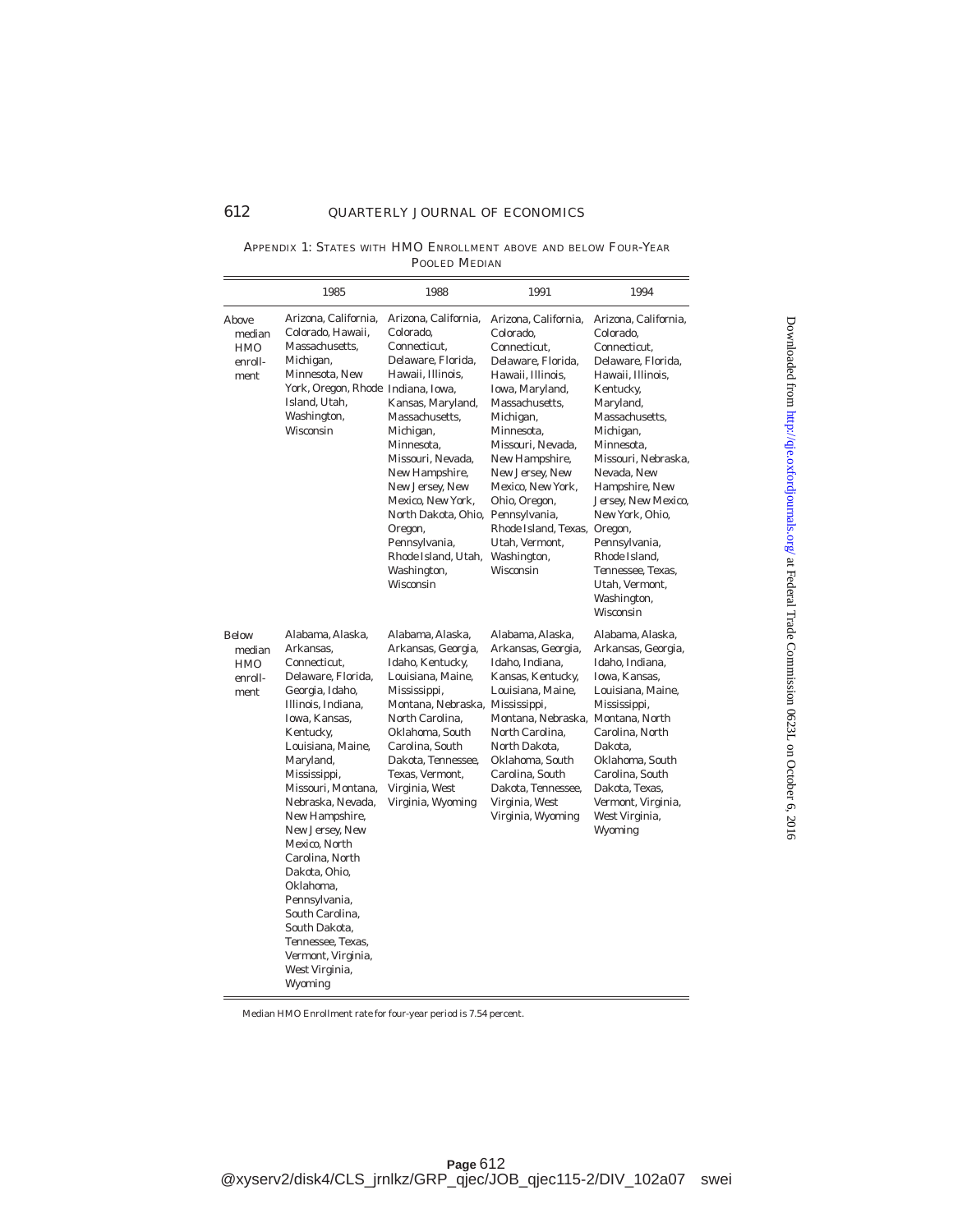|                                                         | 1985                                                                                                                                                                                                                                                                                                                                                                                                                                                             | 1988                                                                                                                                                                                                                                                                                                                                                | 1991                                                                                                                                                                                                                                                                                                                                                        | 1994                                                                                                                                                                                                                                                                                                                                                                       |
|---------------------------------------------------------|------------------------------------------------------------------------------------------------------------------------------------------------------------------------------------------------------------------------------------------------------------------------------------------------------------------------------------------------------------------------------------------------------------------------------------------------------------------|-----------------------------------------------------------------------------------------------------------------------------------------------------------------------------------------------------------------------------------------------------------------------------------------------------------------------------------------------------|-------------------------------------------------------------------------------------------------------------------------------------------------------------------------------------------------------------------------------------------------------------------------------------------------------------------------------------------------------------|----------------------------------------------------------------------------------------------------------------------------------------------------------------------------------------------------------------------------------------------------------------------------------------------------------------------------------------------------------------------------|
| Above<br>median<br><b>HMO</b><br>enroll-<br>ment        | Arizona, California,<br>Colorado, Hawaii,<br>Massachusetts,<br>Michigan,<br>Minnesota, New<br>York, Oregon, Rhode Indiana, Iowa,<br>Island, Utah,<br>Washington,<br>Wisconsin                                                                                                                                                                                                                                                                                    | Arizona, California,<br>Colorado.<br>Connecticut.<br>Delaware. Florida.<br>Hawaii, Illinois,<br>Kansas, Maryland,<br>Massachusetts,<br>Michigan,<br>Minnesota,<br>Missouri, Nevada,<br>New Hampshire,<br>New Jersey, New<br>Mexico, New York,<br>North Dakota, Ohio,<br>Oregon,<br>Pennsylvania,<br>Rhode Island, Utah,<br>Washington,<br>Wisconsin | Arizona, California,<br>Colorado.<br>Connecticut.<br>Delaware. Florida.<br>Hawaii, Illinois,<br>Iowa, Maryland,<br>Massachusetts,<br>Michigan,<br>Minnesota,<br>Missouri, Nevada,<br>New Hampshire,<br>New Jersey, New<br>Mexico, New York,<br>Ohio, Oregon,<br>Pennsylvania,<br>Rhode Island, Texas, Oregon,<br>Utah. Vermont.<br>Washington,<br>Wisconsin | Arizona, California,<br>Colorado.<br>Connecticut.<br>Delaware. Florida.<br>Hawaii, Illinois,<br>Kentucky,<br>Maryland,<br>Massachusetts,<br>Michigan,<br>Minnesota,<br>Missouri, Nebraska,<br>Nevada, New<br>Hampshire, New<br>Jersey, New Mexico,<br>New York, Ohio,<br>Pennsylvania,<br>Rhode Island,<br>Tennessee, Texas,<br>Utah, Vermont,<br>Washington,<br>Wisconsin |
| <b>Below</b><br>median<br><b>HMO</b><br>enroll-<br>ment | Alabama, Alaska,<br>Arkansas.<br>Connecticut.<br>Delaware, Florida,<br>Georgia, Idaho,<br>Illinois, Indiana,<br>Iowa, Kansas,<br>Kentucky,<br>Louisiana, Maine,<br>Maryland,<br>Mississippi,<br>Missouri, Montana,<br>Nebraska, Nevada,<br>New Hampshire,<br>New Jersey, New<br>Mexico, North<br>Carolina, North<br>Dakota, Ohio,<br>Oklahoma,<br>Pennsylvania,<br>South Carolina,<br>South Dakota.<br>Tennessee, Texas,<br>Vermont, Virginia,<br>West Virginia, | Alabama, Alaska,<br>Arkansas, Georgia,<br>Idaho, Kentucky,<br>Louisiana, Maine,<br>Mississippi,<br>Montana, Nebraska,<br>North Carolina,<br>Oklahoma, South<br>Carolina, South<br>Dakota, Tennessee,<br>Texas, Vermont,<br>Virginia, West<br>Virginia, Wyoming                                                                                      | Alabama, Alaska,<br>Arkansas, Georgia,<br>Idaho, Indiana,<br>Kansas, Kentucky,<br>Louisiana, Maine,<br>Mississippi,<br>Montana, Nebraska,<br>North Carolina,<br>North Dakota,<br>Oklahoma, South<br>Carolina, South<br>Dakota, Tennessee,<br>Virginia, West<br>Virginia, Wyoming                                                                            | Alabama, Alaska,<br>Arkansas, Georgia,<br>Idaho. Indiana.<br>Iowa, Kansas.<br>Louisiana, Maine,<br>Mississippi,<br>Montana, North<br>Carolina, North<br>Dakota,<br>Oklahoma, South<br>Carolina. South<br>Dakota, Texas,<br>Vermont, Virginia,<br>West Virginia,<br>Wyoming                                                                                                 |

APPENDIX 1: STATES WITH HMO ENROLLMENT ABOVE AND BELOW FOUR-YEAR POOLED MEDIAN

Median HMO Enrollment rate for four-year period is 7.54 percent.

Wyoming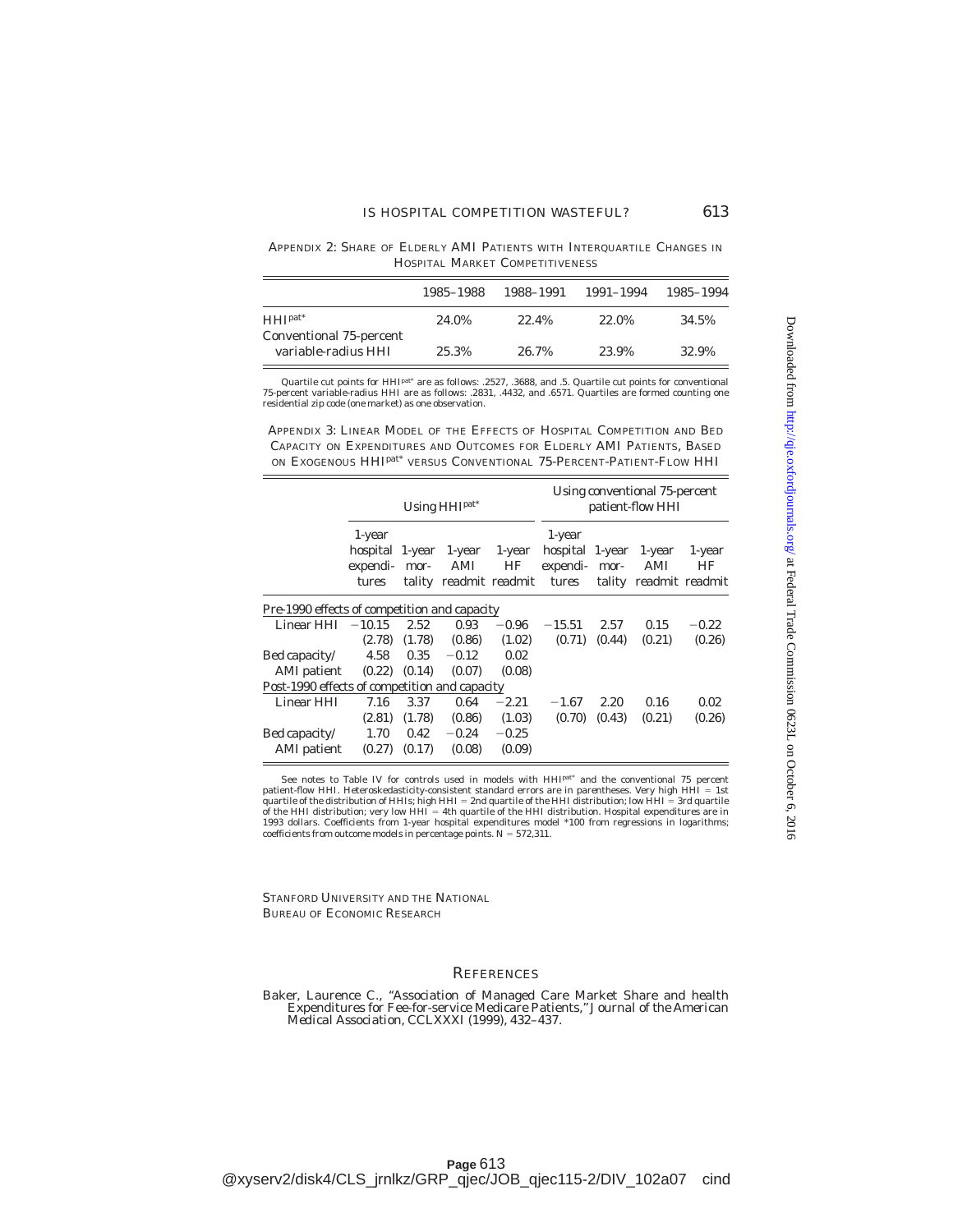APPENDIX 2: SHARE OF ELDERLY AMI PATIENTS WITH INTERQUARTILE CHANGES IN HOSPITAL MARKET COMPETITIVENESS

|                                      | 1985–1988 | 1988-1991 | 1991–1994 | 1985–1994 |
|--------------------------------------|-----------|-----------|-----------|-----------|
| $HHPat$ *<br>Conventional 75-percent | 24.0%     | 22.4%     | 22.0%     | 34.5%     |
| variable-radius HHI                  | 25.3%     | 26.7%     | 23.9%     | 32.9%     |

Quartile cut points for *HH*Ipat\* are as follows: .2527, .3688, and .5. Quartile cut points for conventional 75-percent variable-radius HHI are as follows: .2831, .4432, and .6571. Quartiles are formed counting one residential zip code (one market) as one observation.

| APPENDIX 3: LINEAR MODEL OF THE EFFECTS OF HOSPITAL COMPETITION AND BED                 |
|-----------------------------------------------------------------------------------------|
| CAPACITY ON EXPENDITURES AND OUTCOMES FOR ELDERLY AMI PATIENTS. BASED                   |
| ON EXOGENOUS <i>HHI</i> <sup>pat*</sup> versus CONVENTIONAL 75-PERCENT-PATIENT-FLOW HHI |

|                                               | Using HHIpat*                                  |        |                                         | Using conventional 75-percent<br>patient-flow HHI |                                                |        |                                         |              |
|-----------------------------------------------|------------------------------------------------|--------|-----------------------------------------|---------------------------------------------------|------------------------------------------------|--------|-----------------------------------------|--------------|
|                                               | 1-year<br>hospital 1-year<br>expendi-<br>tures | mor-   | 1-year<br>AMI<br>tality readmit readmit | 1-year<br>HF                                      | 1-year<br>hospital 1-year<br>expendi-<br>tures | mor-   | 1-year<br>AMI<br>tality readmit readmit | 1-year<br>HF |
| Pre-1990 effects of competition and capacity  |                                                |        |                                         |                                                   |                                                |        |                                         |              |
| Linear HHI                                    | $-10.15$                                       | 2.52   | 0.93                                    | $-0.96$                                           | $-15.51$                                       | 2.57   | 0.15                                    | $-0.22$      |
|                                               | (2.78)                                         | (1.78) | (0.86)                                  | (1.02)                                            | (0.71)                                         | (0.44) | (0.21)                                  | (0.26)       |
| Bed capacity/                                 | 4.58                                           | 0.35   | $-0.12$                                 | 0.02                                              |                                                |        |                                         |              |
| AMI patient                                   | (0.22)                                         | (0.14) | (0.07)                                  | (0.08)                                            |                                                |        |                                         |              |
| Post-1990 effects of competition and capacity |                                                |        |                                         |                                                   |                                                |        |                                         |              |
| <b>Linear HHI</b>                             | 7.16                                           | 3.37   | 0.64                                    | $-2.21$                                           | $-1.67$                                        | 2.20   | 0.16                                    | 0.02         |
|                                               | (2.81)                                         | (1.78) | (0.86)                                  | (1.03)                                            | (0.70)                                         | (0.43) | (0.21)                                  | (0.26)       |
| Bed capacity/                                 | 1.70                                           | 0.42   | $-0.24$                                 | $-0.25$                                           |                                                |        |                                         |              |
| <b>AMI</b> patient                            | (0.27)                                         | (0.17) | (0.08)                                  | (0.09)                                            |                                                |        |                                         |              |

See notes to Table IV for controls used in models with *HHI*<sup>pat\*</sup> and the conventional 75 percent patient-flow HHI. Heteroskedasticity-consistent standard errors are in parentheses. Very high HHI = 1st quartile of the distribution of HHIs; high HHI = 2nd quartile of the HHI distribution; low HHI  $=$  3rd quartile of the HHI distribution; very low HHI = 4th quartile of the HHI distribution. Hospital expenditures are in<br>1993 dollars. Coefficients from 1-year hospital expenditures model \*100 from regressions in logarithms; coefficients from outcome models in percentage points.  $N = 572,311$ .

STANFORD UNIVERSITY AND THE NATIONAL BUREAU OF ECONOMIC RESEARCH

### **REFERENCES**

Baker, Laurence C., ''Association of Managed Care Market Share and health Expenditures for Fee-for-service Medicare Patients,'' *Journal of the American Medical Association,* CCLXXXI (1999), 432–437.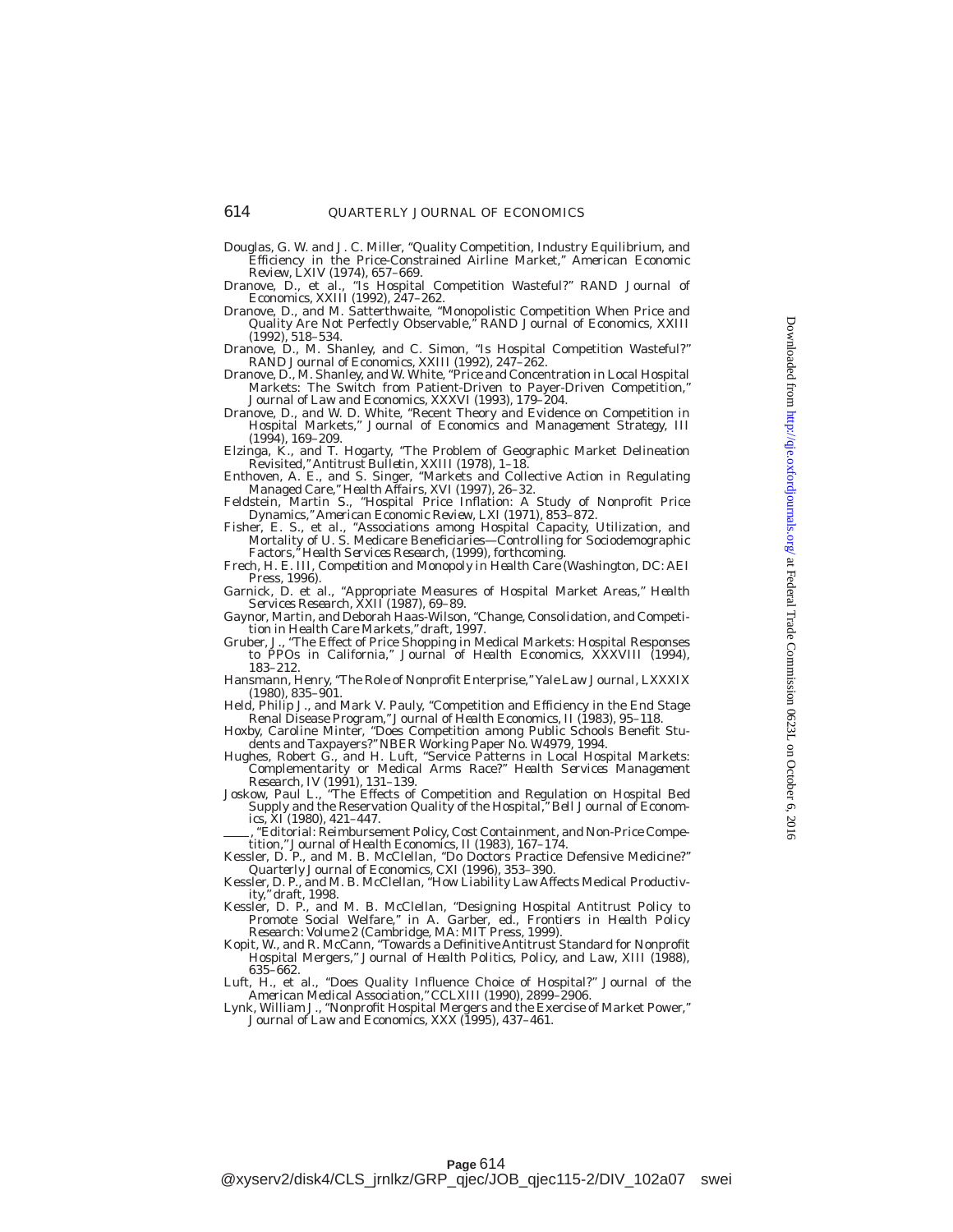- Douglas, G. W. and J. C. Miller, ''Quality Competition, Industry Equilibrium, and Efficiency in the Price-Constrained Airline Market,'' *American Economic Review,* LXIV (1974), 657–669.
- Dranove, D., et al., ''Is Hospital Competition Wasteful?'' *RAND Journal of Economics,* XXIII (1992), 247–262.
- Dranove, D., and M. Satterthwaite, ''Monopolistic Competition When Price and Quality Are Not Perfectly Observable,'' *RAND Journal of Economics,* XXIII  $(1992), 518 - 534.$
- Dranove, D., M. Shanley, and C. Simon, ''Is Hospital Competition Wasteful?'' *RAND Journal of Economics,* XXIII (1992), 247–262.
- Dranove, D., M. Shanley, and W. White, ''Price and Concentration in Local Hospital Markets: The Switch from Patient-Driven to Payer-Driven Competition,'' *Journal of Law and Economics,* XXXVI (1993), 179–204.
- Dranove, D., and W. D. White, ''Recent Theory and Evidence on Competition in Hospital Markets,'' *Journal of Economics and Management Strategy,* III (1994), 169–209.
- Elzinga, K., and T. Hogarty, ''The Problem of Geographic Market Delineation Revisited,'' *Antitrust Bulletin,* XXIII (1978), 1–18.
- Enthoven, A. E., and S. Singer, ''Markets and Collective Action in Regulating Managed Care,'' *Health Affairs,* XVI (1997), 26–32.
- Feldstein, Martin S., ''Hospital Price Inflation: A Study of Nonprofit Price Dynamics,'' *American Economic Review,* LXI (1971), 853–872.
- Fisher, E. S., et al., ''Associations among Hospital Capacity, Utilization, and Mortality of U. S. Medicare Beneficiaries—Controlling for Sociodemographic Factors,'' *Health Services Research,* (1999), forthcoming.
- Frech, H. E. III, *Competition and Monopoly in Health Care* (Washington, DC: AEI Press, 1996).
- Garnick, D. et al., ''Appropriate Measures of Hospital Market Areas,'' *Health Services Research,* XXII (1987), 69–89.
- Gaynor, Martin, and Deborah Haas-Wilson, ''Change, Consolidation, and Competition in Health Care Markets,'' draft, 1997.
- Gruber, J., ''The Effect of Price Shopping in Medical Markets: Hospital Responses to PPOs in California,'' *Journal of Health Economics,* XXXVIII (1994), 183–212.
- Hansmann, Henry, ''The Role of Nonprofit Enterprise,''*Yale Law Journal,* LXXXIX  $(1980), 835 - 901.$
- Held, Philip J., and Mark V. Pauly, ''Competition and Efficiency in the End Stage Renal Disease Program,'' *Journal of Health Economics,* II (1983), 95–118.
- Hoxby, Caroline Minter, ''Does Competition among Public Schools Benefit Students and Taxpayers?'' NBER Working Paper No. W4979, 1994.
- Hughes, Robert G., and H. Luft, ''Service Patterns in Local Hospital Markets: Complementarity or Medical Arms Race?'' *Health Services Management Research,* IV (1991), 131–139.
- Joskow, Paul L., ''The Effects of Competition and Regulation on Hospital Bed Supply and the Reservation Quality of the Hospital,'' *Bell Journal of Economics,* XI (1980), 421–447.
	- "Editorial: Reimbursement Policy, Cost Containment, and Non-Price Competition,'' *Journal of Health Economics,* II (1983), 167–174.
- Kessler, D. P., and M. B. McClellan, ''Do Doctors Practice Defensive Medicine?'' *Quarterly Journal of Economics,* CXI (1996), 353–390.
- Kessler, D. P., and M. B. McClellan, ''How Liability Law Affects Medical Productivity,'' draft, 1998.
- Kessler, D. P., and M. B. McClellan, ''Designing Hospital Antitrust Policy to Promote Social Welfare,'' in A. Garber, ed., *Frontiers in Health Policy Research: Volume 2* (Cambridge, MA: MIT Press, 1999).
- Kopit, W., and R. McCann, ''Towards a Definitive Antitrust Standard for Nonprofit Hospital Mergers,'' *Journal of Health Politics, Policy, and Law,* XIII (1988), 635–662.
- Luft, H., et al., ''Does Quality Influence Choice of Hospital?'' *Journal of the American Medical Association,''* CCLXIII (1990), 2899–2906.
- Lynk, William J., ''Nonprofit Hospital Mergers and the Exercise of Market Power,'' *Journal of Law and Economics,* XXX (1995), 437–461.